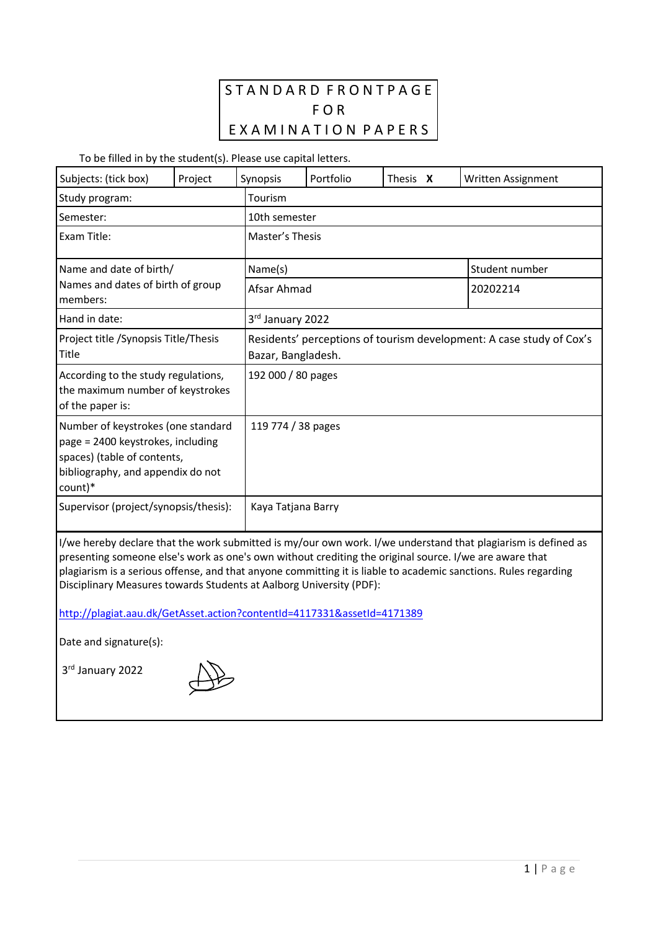# S T A N D A R D F R O N T P A G E F O R EXAMINATION PAPERS

To be filled in by the student(s). Please use capital letters.

| Subjects: (tick box)                                                                                                                                     | Project | Synopsis    | Portfolio                                                                                  | Thesis X | Written Assignment |  |
|----------------------------------------------------------------------------------------------------------------------------------------------------------|---------|-------------|--------------------------------------------------------------------------------------------|----------|--------------------|--|
| Study program:                                                                                                                                           |         | Tourism     |                                                                                            |          |                    |  |
| Semester:                                                                                                                                                |         |             | 10th semester                                                                              |          |                    |  |
| Exam Title:                                                                                                                                              |         |             | Master's Thesis                                                                            |          |                    |  |
| Name and date of birth/<br>Names and dates of birth of group<br>members:                                                                                 |         | Name(s)     |                                                                                            |          | Student number     |  |
|                                                                                                                                                          |         | Afsar Ahmad |                                                                                            | 20202214 |                    |  |
| Hand in date:                                                                                                                                            |         |             | 3rd January 2022                                                                           |          |                    |  |
| Project title / Synopsis Title/Thesis<br>Title                                                                                                           |         |             | Residents' perceptions of tourism development: A case study of Cox's<br>Bazar, Bangladesh. |          |                    |  |
| According to the study regulations,<br>the maximum number of keystrokes<br>of the paper is:                                                              |         |             | 192 000 / 80 pages                                                                         |          |                    |  |
| Number of keystrokes (one standard<br>page = 2400 keystrokes, including<br>spaces) (table of contents,<br>bibliography, and appendix do not<br>$count)*$ |         |             | 119 774 / 38 pages                                                                         |          |                    |  |
| Supervisor (project/synopsis/thesis):                                                                                                                    |         |             | Kaya Tatjana Barry                                                                         |          |                    |  |

I/we hereby declare that the work submitted is my/our own work. I/we understand that plagiarism is defined as presenting someone else's work as one's own without crediting the original source. I/we are aware that plagiarism is a serious offense, and that anyone committing it is liable to academic sanctions. Rules regarding Disciplinary Measures towards Students at Aalborg University (PDF):

<http://plagiat.aau.dk/GetAsset.action?contentId=4117331&assetId=4171389>

Date and signature(s):

3 rd January 2022

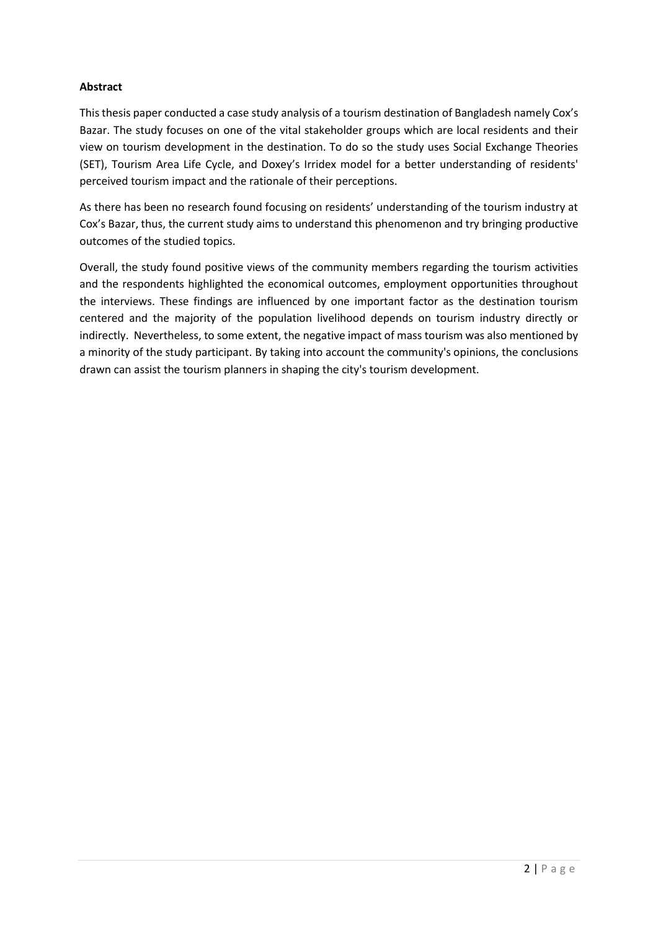### **Abstract**

This thesis paper conducted a case study analysis of a tourism destination of Bangladesh namely Cox's Bazar. The study focuses on one of the vital stakeholder groups which are local residents and their view on tourism development in the destination. To do so the study uses Social Exchange Theories (SET), Tourism Area Life Cycle, and Doxey's Irridex model for a better understanding of residents' perceived tourism impact and the rationale of their perceptions.

As there has been no research found focusing on residents' understanding of the tourism industry at Cox's Bazar, thus, the current study aims to understand this phenomenon and try bringing productive outcomes of the studied topics.

Overall, the study found positive views of the community members regarding the tourism activities and the respondents highlighted the economical outcomes, employment opportunities throughout the interviews. These findings are influenced by one important factor as the destination tourism centered and the majority of the population livelihood depends on tourism industry directly or indirectly. Nevertheless, to some extent, the negative impact of mass tourism was also mentioned by a minority of the study participant. By taking into account the community's opinions, the conclusions drawn can assist the tourism planners in shaping the city's tourism development.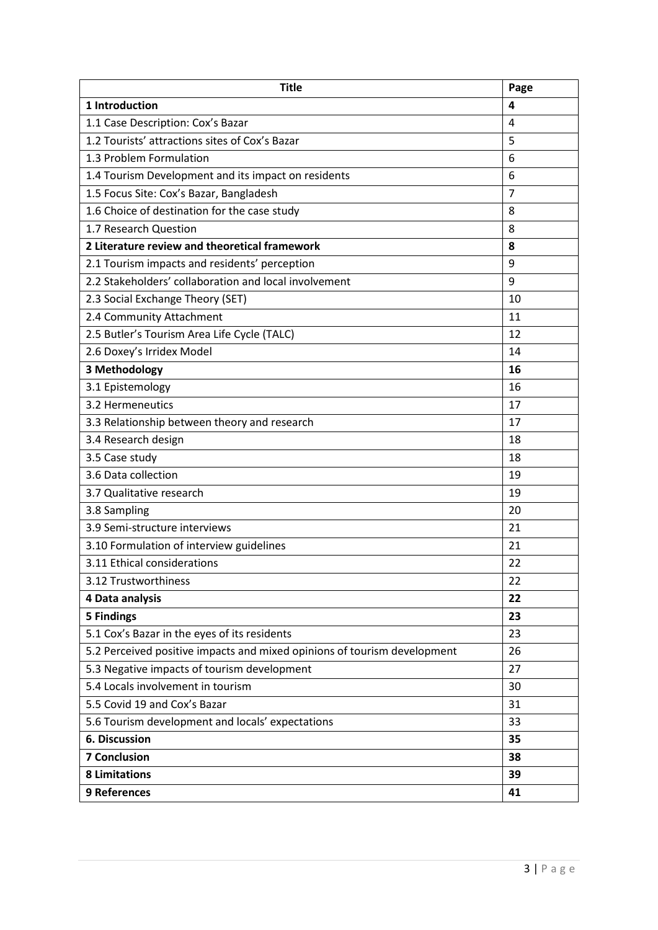| <b>Title</b>                                                             | Page           |  |
|--------------------------------------------------------------------------|----------------|--|
| 1 Introduction                                                           | 4              |  |
| 1.1 Case Description: Cox's Bazar                                        | 4              |  |
| 1.2 Tourists' attractions sites of Cox's Bazar                           | 5              |  |
| 1.3 Problem Formulation                                                  | 6              |  |
| 1.4 Tourism Development and its impact on residents                      | 6              |  |
| 1.5 Focus Site: Cox's Bazar, Bangladesh                                  | $\overline{7}$ |  |
| 1.6 Choice of destination for the case study                             | 8              |  |
| 1.7 Research Question                                                    | 8              |  |
| 2 Literature review and theoretical framework                            | 8              |  |
| 2.1 Tourism impacts and residents' perception                            | 9              |  |
| 2.2 Stakeholders' collaboration and local involvement                    | 9              |  |
| 2.3 Social Exchange Theory (SET)                                         | 10             |  |
| 2.4 Community Attachment                                                 | 11             |  |
| 2.5 Butler's Tourism Area Life Cycle (TALC)                              | 12             |  |
| 2.6 Doxey's Irridex Model                                                | 14             |  |
| 3 Methodology                                                            | 16             |  |
| 3.1 Epistemology                                                         | 16             |  |
| 3.2 Hermeneutics                                                         | 17             |  |
| 3.3 Relationship between theory and research                             | 17             |  |
| 3.4 Research design                                                      | 18             |  |
| 3.5 Case study                                                           | 18             |  |
| 3.6 Data collection                                                      | 19             |  |
| 3.7 Qualitative research                                                 | 19             |  |
| 3.8 Sampling                                                             | 20             |  |
| 3.9 Semi-structure interviews                                            | 21             |  |
| 3.10 Formulation of interview guidelines                                 | 21             |  |
| 3.11 Ethical considerations                                              | 22             |  |
| 3.12 Trustworthiness                                                     | 22             |  |
| 4 Data analysis                                                          | 22             |  |
| <b>5 Findings</b>                                                        | 23             |  |
| 5.1 Cox's Bazar in the eyes of its residents                             | 23             |  |
| 5.2 Perceived positive impacts and mixed opinions of tourism development | 26             |  |
| 5.3 Negative impacts of tourism development                              | 27             |  |
| 5.4 Locals involvement in tourism                                        | 30             |  |
| 5.5 Covid 19 and Cox's Bazar                                             | 31             |  |
| 5.6 Tourism development and locals' expectations                         | 33             |  |
| <b>6. Discussion</b>                                                     | 35             |  |
| <b>7 Conclusion</b>                                                      | 38             |  |
| <b>8 Limitations</b>                                                     | 39             |  |
| 9 References                                                             |                |  |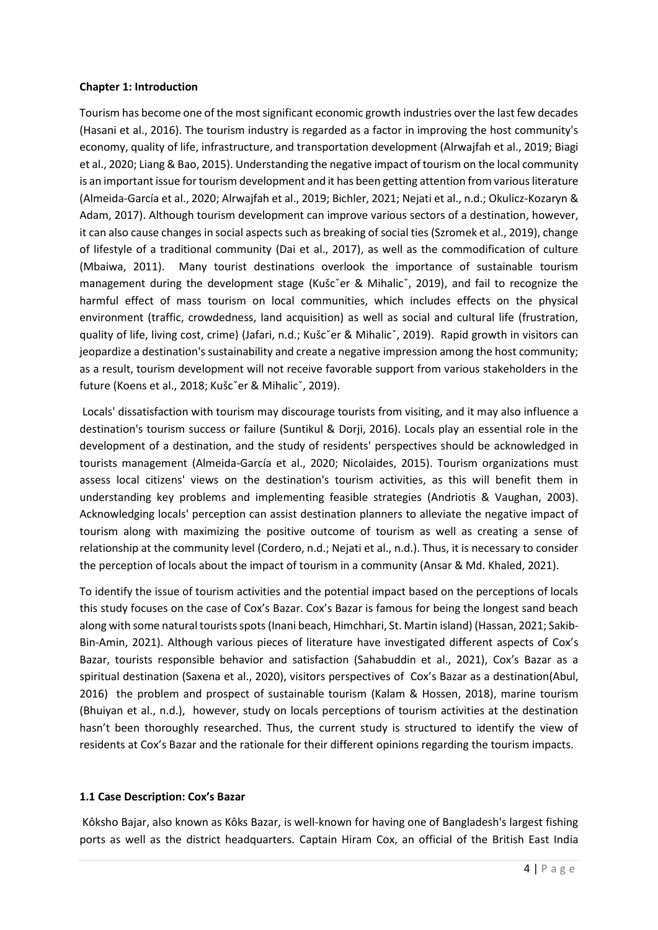#### **Chapter 1: Introduction**

Tourism has become one of the most significant economic growth industries over the last few decades (Hasani et al., 2016). The tourism industry is regarded as a factor in improving the host community's economy, quality of life, infrastructure, and transportation development (Alrwajfah et al., 2019; Biagi et al., 2020; Liang & Bao, 2015). Understanding the negative impact of tourism on the local community is an important issue for tourism development and it has been getting attention from various literature (Almeida-García et al., 2020; Alrwajfah et al., 2019; Bichler, 2021; Nejati et al., n.d.; Okulicz-Kozaryn & Adam, 2017). Although tourism development can improve various sectors of a destination, however, it can also cause changes in social aspects such as breaking of social ties (Szromek et al., 2019), change of lifestyle of a traditional community (Dai et al., 2017), as well as the commodification of culture (Mbaiwa, 2011). Many tourist destinations overlook the importance of sustainable tourism management during the development stage (Kušcˇer & Mihalicˇ, 2019), and fail to recognize the harmful effect of mass tourism on local communities, which includes effects on the physical environment (traffic, crowdedness, land acquisition) as well as social and cultural life (frustration, quality of life, living cost, crime) (Jafari, n.d.; Kušcˇer & Mihalicˇ, 2019). Rapid growth in visitors can jeopardize a destination's sustainability and create a negative impression among the host community; as a result, tourism development will not receive favorable support from various stakeholders in the future (Koens et al., 2018; Kušcˇer & Mihalicˇ, 2019).

Locals' dissatisfaction with tourism may discourage tourists from visiting, and it may also influence a destination's tourism success or failure (Suntikul & Dorji, 2016). Locals play an essential role in the development of a destination, and the study of residents' perspectives should be acknowledged in tourists management (Almeida-García et al., 2020; Nicolaides, 2015). Tourism organizations must assess local citizens' views on the destination's tourism activities, as this will benefit them in understanding key problems and implementing feasible strategies (Andriotis & Vaughan, 2003). Acknowledging locals' perception can assist destination planners to alleviate the negative impact of tourism along with maximizing the positive outcome of tourism as well as creating a sense of relationship at the community level (Cordero, n.d.; Nejati et al., n.d.). Thus, it is necessary to consider the perception of locals about the impact of tourism in a community (Ansar & Md. Khaled, 2021).

To identify the issue of tourism activities and the potential impact based on the perceptions of locals this study focuses on the case of Cox's Bazar. Cox's Bazar is famous for being the longest sand beach along with some natural tourists spots (Inani beach, Himchhari, St. Martin island) (Hassan, 2021; Sakib-Bin-Amin, 2021). Although various pieces of literature have investigated different aspects of Cox's Bazar, tourists responsible behavior and satisfaction (Sahabuddin et al., 2021), Cox's Bazar as a spiritual destination (Saxena et al., 2020), visitors perspectives of Cox's Bazar as a destination(Abul, 2016) the problem and prospect of sustainable tourism (Kalam & Hossen, 2018), marine tourism (Bhuiyan et al., n.d.), however, study on locals perceptions of tourism activities at the destination hasn't been thoroughly researched. Thus, the current study is structured to identify the view of residents at Cox's Bazar and the rationale for their different opinions regarding the tourism impacts.

#### **1.1 Case Description: Cox's Bazar**

Kôksho Bajar, also known as Kôks Bazar, is well-known for having one of Bangladesh's largest fishing ports as well as the district headquarters. Captain Hiram Cox, an official of the British East India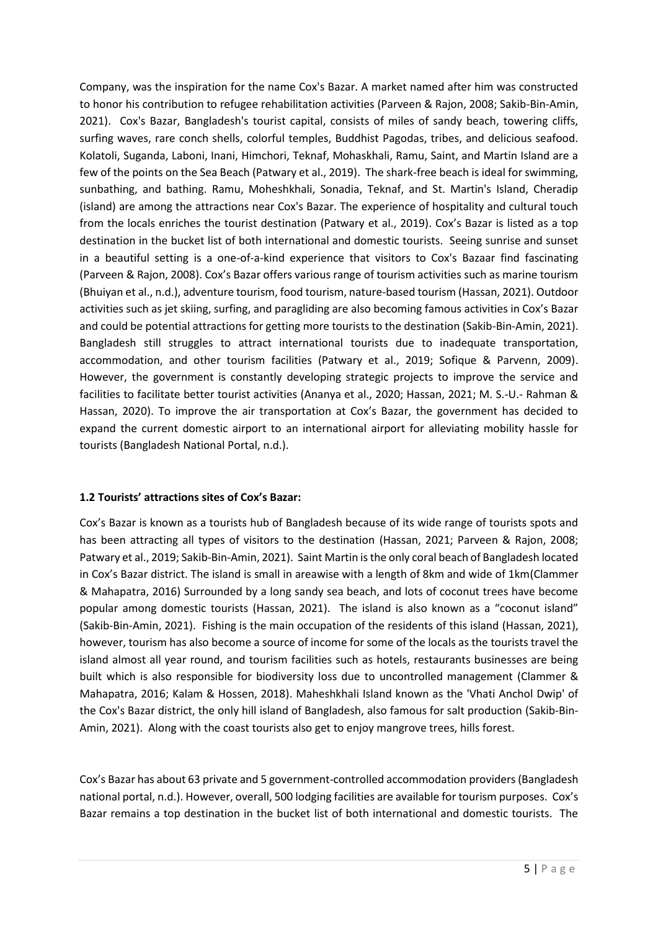Company, was the inspiration for the name Cox's Bazar. A market named after him was constructed to honor his contribution to refugee rehabilitation activities (Parveen & Rajon, 2008; Sakib-Bin-Amin, 2021). Cox's Bazar, Bangladesh's tourist capital, consists of miles of sandy beach, towering cliffs, surfing waves, rare conch shells, colorful temples, Buddhist Pagodas, tribes, and delicious seafood. Kolatoli, Suganda, Laboni, Inani, Himchori, Teknaf, Mohaskhali, Ramu, Saint, and Martin Island are a few of the points on the Sea Beach (Patwary et al., 2019). The shark-free beach is ideal for swimming, sunbathing, and bathing. Ramu, Moheshkhali, Sonadia, Teknaf, and St. Martin's Island, Cheradip (island) are among the attractions near Cox's Bazar. The experience of hospitality and cultural touch from the locals enriches the tourist destination (Patwary et al., 2019). Cox's Bazar is listed as a top destination in the bucket list of both international and domestic tourists. Seeing sunrise and sunset in a beautiful setting is a one-of-a-kind experience that visitors to Cox's Bazaar find fascinating (Parveen & Rajon, 2008). Cox's Bazar offers various range of tourism activities such as marine tourism (Bhuiyan et al., n.d.), adventure tourism, food tourism, nature-based tourism (Hassan, 2021). Outdoor activities such as jet skiing, surfing, and paragliding are also becoming famous activities in Cox's Bazar and could be potential attractions for getting more tourists to the destination (Sakib-Bin-Amin, 2021). Bangladesh still struggles to attract international tourists due to inadequate transportation, accommodation, and other tourism facilities (Patwary et al., 2019; Sofique & Parvenn, 2009). However, the government is constantly developing strategic projects to improve the service and facilities to facilitate better tourist activities (Ananya et al., 2020; Hassan, 2021; M. S.-U.- Rahman & Hassan, 2020). To improve the air transportation at Cox's Bazar, the government has decided to expand the current domestic airport to an international airport for alleviating mobility hassle for tourists (Bangladesh National Portal, n.d.).

### **1.2 Tourists' attractions sites of Cox's Bazar:**

Cox's Bazar is known as a tourists hub of Bangladesh because of its wide range of tourists spots and has been attracting all types of visitors to the destination (Hassan, 2021; Parveen & Rajon, 2008; Patwary et al., 2019; Sakib-Bin-Amin, 2021). Saint Martin is the only coral beach of Bangladesh located in Cox's Bazar district. The island is small in areawise with a length of 8km and wide of 1km(Clammer & Mahapatra, 2016) Surrounded by a long sandy sea beach, and lots of coconut trees have become popular among domestic tourists (Hassan, 2021). The island is also known as a "coconut island" (Sakib-Bin-Amin, 2021). Fishing is the main occupation of the residents of this island (Hassan, 2021), however, tourism has also become a source of income for some of the locals as the tourists travel the island almost all year round, and tourism facilities such as hotels, restaurants businesses are being built which is also responsible for biodiversity loss due to uncontrolled management (Clammer & Mahapatra, 2016; Kalam & Hossen, 2018). Maheshkhali Island known as the 'Vhati Anchol Dwip' of the Cox's Bazar district, the only hill island of Bangladesh, also famous for salt production (Sakib-Bin-Amin, 2021). Along with the coast tourists also get to enjoy mangrove trees, hills forest.

Cox's Bazar has about 63 private and 5 government-controlled accommodation providers (Bangladesh national portal, n.d.). However, overall, 500 lodging facilities are available for tourism purposes. Cox's Bazar remains a top destination in the bucket list of both international and domestic tourists. The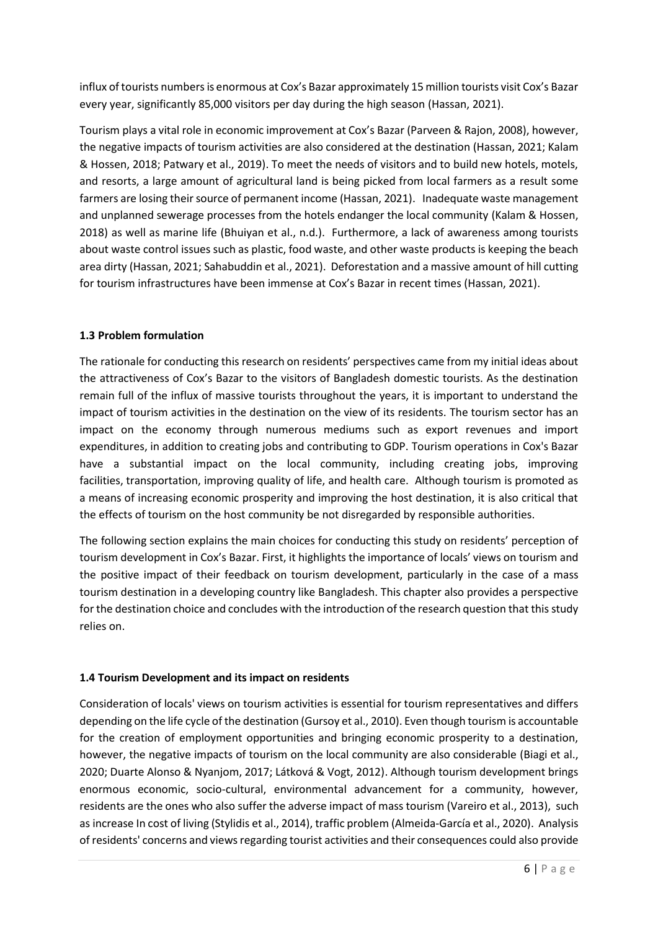influx oftourists numbers is enormous at Cox's Bazar approximately 15 million tourists visit Cox's Bazar every year, significantly 85,000 visitors per day during the high season (Hassan, 2021).

Tourism plays a vital role in economic improvement at Cox's Bazar (Parveen & Rajon, 2008), however, the negative impacts of tourism activities are also considered at the destination (Hassan, 2021; Kalam & Hossen, 2018; Patwary et al., 2019). To meet the needs of visitors and to build new hotels, motels, and resorts, a large amount of agricultural land is being picked from local farmers as a result some farmers are losing their source of permanent income (Hassan, 2021). Inadequate waste management and unplanned sewerage processes from the hotels endanger the local community (Kalam & Hossen, 2018) as well as marine life (Bhuiyan et al., n.d.). Furthermore, a lack of awareness among tourists about waste control issues such as plastic, food waste, and other waste products is keeping the beach area dirty (Hassan, 2021; Sahabuddin et al., 2021). Deforestation and a massive amount of hill cutting for tourism infrastructures have been immense at Cox's Bazar in recent times (Hassan, 2021).

### **1.3 Problem formulation**

The rationale for conducting this research on residents' perspectives came from my initial ideas about the attractiveness of Cox's Bazar to the visitors of Bangladesh domestic tourists. As the destination remain full of the influx of massive tourists throughout the years, it is important to understand the impact of tourism activities in the destination on the view of its residents. The tourism sector has an impact on the economy through numerous mediums such as export revenues and import expenditures, in addition to creating jobs and contributing to GDP. Tourism operations in Cox's Bazar have a substantial impact on the local community, including creating jobs, improving facilities, transportation, improving quality of life, and health care. Although tourism is promoted as a means of increasing economic prosperity and improving the host destination, it is also critical that the effects of tourism on the host community be not disregarded by responsible authorities.

The following section explains the main choices for conducting this study on residents' perception of tourism development in Cox's Bazar. First, it highlights the importance of locals' views on tourism and the positive impact of their feedback on tourism development, particularly in the case of a mass tourism destination in a developing country like Bangladesh. This chapter also provides a perspective for the destination choice and concludes with the introduction of the research question that this study relies on.

# **1.4 Tourism Development and its impact on residents**

Consideration of locals' views on tourism activities is essential for tourism representatives and differs depending on the life cycle of the destination (Gursoy et al., 2010). Even though tourism is accountable for the creation of employment opportunities and bringing economic prosperity to a destination, however, the negative impacts of tourism on the local community are also considerable (Biagi et al., 2020; Duarte Alonso & Nyanjom, 2017; Látková & Vogt, 2012). Although tourism development brings enormous economic, socio-cultural, environmental advancement for a community, however, residents are the ones who also suffer the adverse impact of mass tourism (Vareiro et al., 2013), such as increase In cost of living (Stylidis et al., 2014), traffic problem (Almeida-García et al., 2020). Analysis of residents' concerns and views regarding tourist activities and their consequences could also provide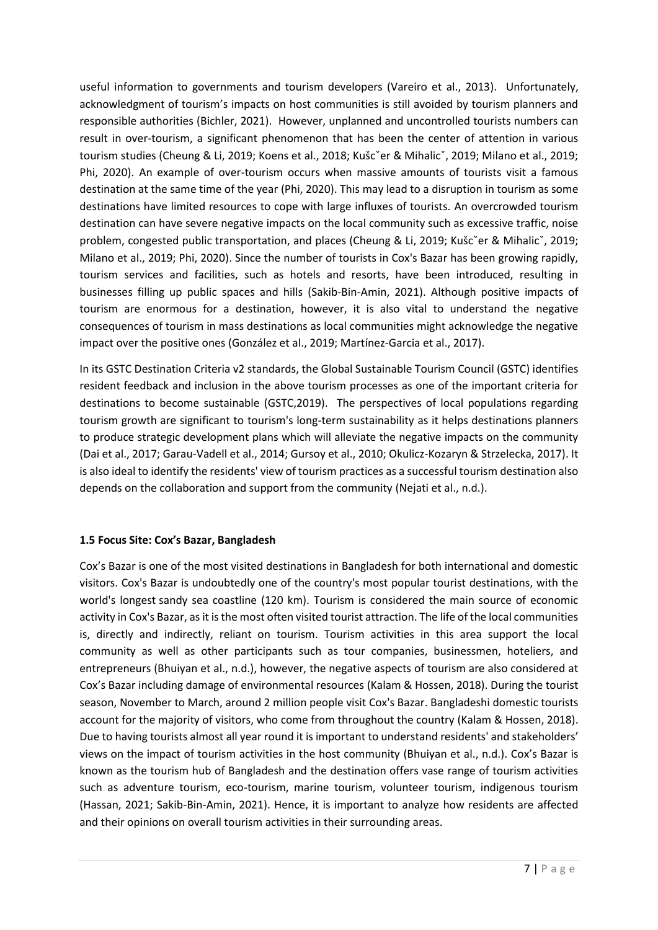useful information to governments and tourism developers (Vareiro et al., 2013). Unfortunately, acknowledgment of tourism's impacts on host communities is still avoided by tourism planners and responsible authorities (Bichler, 2021). However, unplanned and uncontrolled tourists numbers can result in over-tourism, a significant phenomenon that has been the center of attention in various tourism studies (Cheung & Li, 2019; Koens et al., 2018; Kušc<sup>x</sup>er & Mihalic<sup>x</sup>, 2019; Milano et al., 2019; Phi, 2020). An example of over-tourism occurs when massive amounts of tourists visit a famous destination at the same time of the year (Phi, 2020). This may lead to a disruption in tourism as some destinations have limited resources to cope with large influxes of tourists. An overcrowded tourism destination can have severe negative impacts on the local community such as excessive traffic, noise problem, congested public transportation, and places (Cheung & Li, 2019; Kušc<sup>o</sup>er & Mihalic<sup>o</sup>, 2019; Milano et al., 2019; Phi, 2020). Since the number of tourists in Cox's Bazar has been growing rapidly, tourism services and facilities, such as hotels and resorts, have been introduced, resulting in businesses filling up public spaces and hills (Sakib-Bin-Amin, 2021). Although positive impacts of tourism are enormous for a destination, however, it is also vital to understand the negative consequences of tourism in mass destinations as local communities might acknowledge the negative impact over the positive ones (González et al., 2019; Martínez-Garcia et al., 2017).

In its GSTC Destination Criteria v2 standards, the Global Sustainable Tourism Council (GSTC) identifies resident feedback and inclusion in the above tourism processes as one of the important criteria for destinations to become sustainable (GSTC,2019). The perspectives of local populations regarding tourism growth are significant to tourism's long-term sustainability as it helps destinations planners to produce strategic development plans which will alleviate the negative impacts on the community (Dai et al., 2017; Garau-Vadell et al., 2014; Gursoy et al., 2010; Okulicz-Kozaryn & Strzelecka, 2017). It is also ideal to identify the residents' view of tourism practices as a successful tourism destination also depends on the collaboration and support from the community (Nejati et al., n.d.).

### **1.5 Focus Site: Cox's Bazar, Bangladesh**

Cox's Bazar is one of the most visited destinations in Bangladesh for both international and domestic visitors. Cox's Bazar is undoubtedly one of the country's most popular tourist destinations, with the world's longest sandy sea coastline (120 km). Tourism is considered the main source of economic activity in Cox's Bazar, as it is the most often visited tourist attraction. The life of the local communities is, directly and indirectly, reliant on tourism. Tourism activities in this area support the local community as well as other participants such as tour companies, businessmen, hoteliers, and entrepreneurs (Bhuiyan et al., n.d.), however, the negative aspects of tourism are also considered at Cox's Bazar including damage of environmental resources (Kalam & Hossen, 2018). During the tourist season, November to March, around 2 million people visit Cox's Bazar. Bangladeshi domestic tourists account for the majority of visitors, who come from throughout the country (Kalam & Hossen, 2018). Due to having tourists almost all year round it is important to understand residents' and stakeholders' views on the impact of tourism activities in the host community (Bhuiyan et al., n.d.). Cox's Bazar is known as the tourism hub of Bangladesh and the destination offers vase range of tourism activities such as adventure tourism, eco-tourism, marine tourism, volunteer tourism, indigenous tourism (Hassan, 2021; Sakib-Bin-Amin, 2021). Hence, it is important to analyze how residents are affected and their opinions on overall tourism activities in their surrounding areas.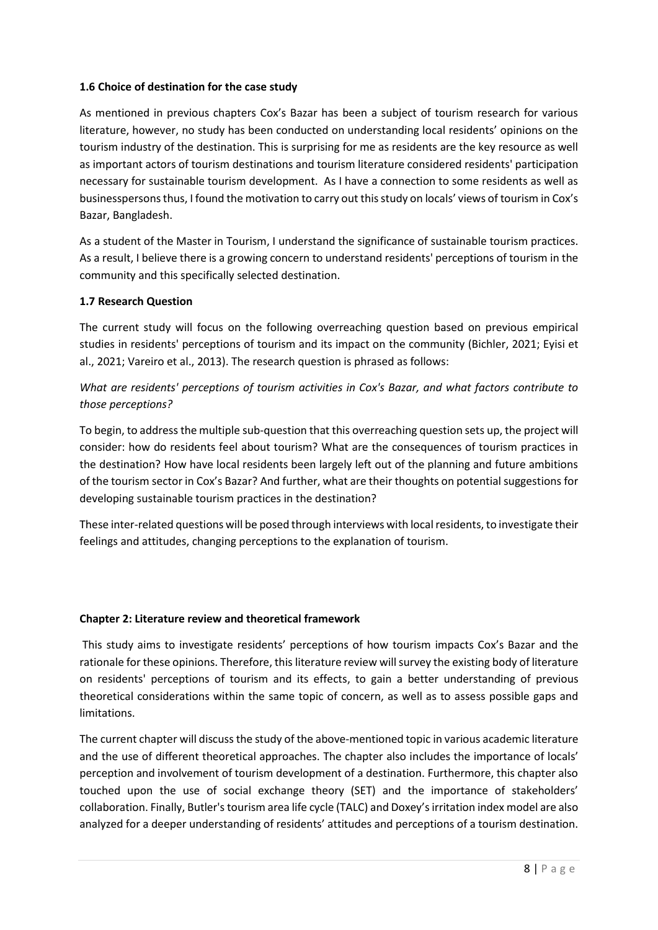### **1.6 Choice of destination for the case study**

As mentioned in previous chapters Cox's Bazar has been a subject of tourism research for various literature, however, no study has been conducted on understanding local residents' opinions on the tourism industry of the destination. This is surprising for me as residents are the key resource as well as important actors of tourism destinations and tourism literature considered residents' participation necessary for sustainable tourism development. As I have a connection to some residents as well as businesspersons thus, I found the motivation to carry out this study on locals' views of tourism in Cox's Bazar, Bangladesh.

As a student of the Master in Tourism, I understand the significance of sustainable tourism practices. As a result, I believe there is a growing concern to understand residents' perceptions of tourism in the community and this specifically selected destination.

#### **1.7 Research Question**

The current study will focus on the following overreaching question based on previous empirical studies in residents' perceptions of tourism and its impact on the community (Bichler, 2021; Eyisi et al., 2021; Vareiro et al., 2013). The research question is phrased as follows:

*What are residents' perceptions of tourism activities in Cox's Bazar, and what factors contribute to those perceptions?*

To begin, to address the multiple sub-question that this overreaching question sets up, the project will consider: how do residents feel about tourism? What are the consequences of tourism practices in the destination? How have local residents been largely left out of the planning and future ambitions of the tourism sector in Cox's Bazar? And further, what are their thoughts on potential suggestions for developing sustainable tourism practices in the destination?

These inter-related questions will be posed through interviews with local residents, to investigate their feelings and attitudes, changing perceptions to the explanation of tourism.

#### **Chapter 2: Literature review and theoretical framework**

This study aims to investigate residents' perceptions of how tourism impacts Cox's Bazar and the rationale for these opinions. Therefore, this literature review will survey the existing body of literature on residents' perceptions of tourism and its effects, to gain a better understanding of previous theoretical considerations within the same topic of concern, as well as to assess possible gaps and limitations.

The current chapter will discuss the study of the above-mentioned topic in various academic literature and the use of different theoretical approaches. The chapter also includes the importance of locals' perception and involvement of tourism development of a destination. Furthermore, this chapter also touched upon the use of social exchange theory (SET) and the importance of stakeholders' collaboration. Finally, Butler's tourism area life cycle (TALC) and Doxey's irritation index model are also analyzed for a deeper understanding of residents' attitudes and perceptions of a tourism destination.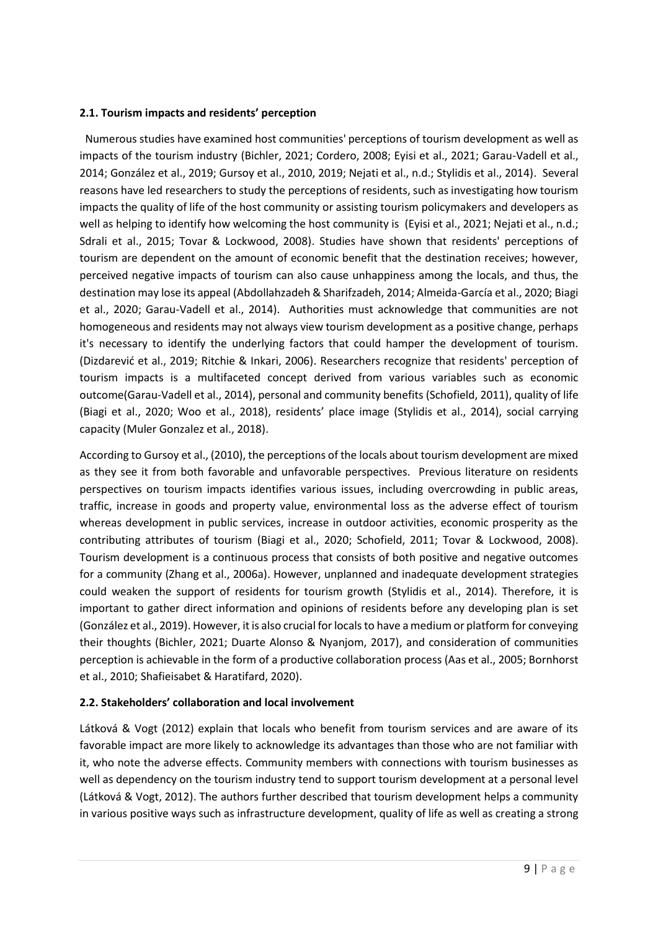### **2.1. Tourism impacts and residents' perception**

 Numerous studies have examined host communities' perceptions of tourism development as well as impacts of the tourism industry (Bichler, 2021; Cordero, 2008; Eyisi et al., 2021; Garau-Vadell et al., 2014; González et al., 2019; Gursoy et al., 2010, 2019; Nejati et al., n.d.; Stylidis et al., 2014). Several reasons have led researchers to study the perceptions of residents, such as investigating how tourism impacts the quality of life of the host community or assisting tourism policymakers and developers as well as helping to identify how welcoming the host community is (Eyisi et al., 2021; Nejati et al., n.d.; Sdrali et al., 2015; Tovar & Lockwood, 2008). Studies have shown that residents' perceptions of tourism are dependent on the amount of economic benefit that the destination receives; however, perceived negative impacts of tourism can also cause unhappiness among the locals, and thus, the destination may lose its appeal (Abdollahzadeh & Sharifzadeh, 2014; Almeida-García et al., 2020; Biagi et al., 2020; Garau-Vadell et al., 2014). Authorities must acknowledge that communities are not homogeneous and residents may not always view tourism development as a positive change, perhaps it's necessary to identify the underlying factors that could hamper the development of tourism. (Dizdarević et al., 2019; Ritchie & Inkari, 2006). Researchers recognize that residents' perception of tourism impacts is a multifaceted concept derived from various variables such as economic outcome(Garau-Vadell et al., 2014), personal and community benefits (Schofield, 2011), quality of life (Biagi et al., 2020; Woo et al., 2018), residents' place image (Stylidis et al., 2014), social carrying capacity (Muler Gonzalez et al., 2018).

According to Gursoy et al., (2010), the perceptions of the locals about tourism development are mixed as they see it from both favorable and unfavorable perspectives. Previous literature on residents perspectives on tourism impacts identifies various issues, including overcrowding in public areas, traffic, increase in goods and property value, environmental loss as the adverse effect of tourism whereas development in public services, increase in outdoor activities, economic prosperity as the contributing attributes of tourism (Biagi et al., 2020; Schofield, 2011; Tovar & Lockwood, 2008). Tourism development is a continuous process that consists of both positive and negative outcomes for a community (Zhang et al., 2006a). However, unplanned and inadequate development strategies could weaken the support of residents for tourism growth (Stylidis et al., 2014). Therefore, it is important to gather direct information and opinions of residents before any developing plan is set (González et al., 2019). However, it is also crucial for locals to have a medium or platform for conveying their thoughts (Bichler, 2021; Duarte Alonso & Nyanjom, 2017), and consideration of communities perception is achievable in the form of a productive collaboration process (Aas et al., 2005; Bornhorst et al., 2010; Shafieisabet & Haratifard, 2020).

#### **2.2. Stakeholders' collaboration and local involvement**

Látková & Vogt (2012) explain that locals who benefit from tourism services and are aware of its favorable impact are more likely to acknowledge its advantages than those who are not familiar with it, who note the adverse effects. Community members with connections with tourism businesses as well as dependency on the tourism industry tend to support tourism development at a personal level (Látková & Vogt, 2012). The authors further described that tourism development helps a community in various positive ways such as infrastructure development, quality of life as well as creating a strong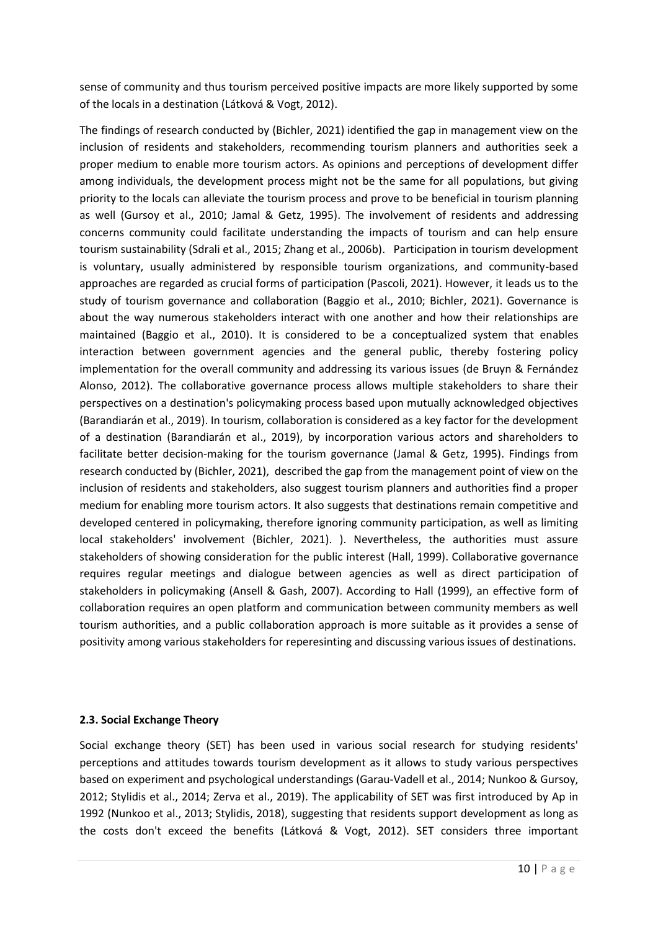sense of community and thus tourism perceived positive impacts are more likely supported by some of the locals in a destination (Látková & Vogt, 2012).

The findings of research conducted by (Bichler, 2021) identified the gap in management view on the inclusion of residents and stakeholders, recommending tourism planners and authorities seek a proper medium to enable more tourism actors. As opinions and perceptions of development differ among individuals, the development process might not be the same for all populations, but giving priority to the locals can alleviate the tourism process and prove to be beneficial in tourism planning as well (Gursoy et al., 2010; Jamal & Getz, 1995). The involvement of residents and addressing concerns community could facilitate understanding the impacts of tourism and can help ensure tourism sustainability (Sdrali et al., 2015; Zhang et al., 2006b). Participation in tourism development is voluntary, usually administered by responsible tourism organizations, and community-based approaches are regarded as crucial forms of participation (Pascoli, 2021). However, it leads us to the study of tourism governance and collaboration (Baggio et al., 2010; Bichler, 2021). Governance is about the way numerous stakeholders interact with one another and how their relationships are maintained (Baggio et al., 2010). It is considered to be a conceptualized system that enables interaction between government agencies and the general public, thereby fostering policy implementation for the overall community and addressing its various issues (de Bruyn & Fernández Alonso, 2012). The collaborative governance process allows multiple stakeholders to share their perspectives on a destination's policymaking process based upon mutually acknowledged objectives (Barandiarán et al., 2019). In tourism, collaboration is considered as a key factor for the development of a destination (Barandiarán et al., 2019), by incorporation various actors and shareholders to facilitate better decision-making for the tourism governance (Jamal & Getz, 1995). Findings from research conducted by (Bichler, 2021), described the gap from the management point of view on the inclusion of residents and stakeholders, also suggest tourism planners and authorities find a proper medium for enabling more tourism actors. It also suggests that destinations remain competitive and developed centered in policymaking, therefore ignoring community participation, as well as limiting local stakeholders' involvement (Bichler, 2021). ). Nevertheless, the authorities must assure stakeholders of showing consideration for the public interest (Hall, 1999). Collaborative governance requires regular meetings and dialogue between agencies as well as direct participation of stakeholders in policymaking (Ansell & Gash, 2007). According to Hall (1999), an effective form of collaboration requires an open platform and communication between community members as well tourism authorities, and a public collaboration approach is more suitable as it provides a sense of positivity among various stakeholders for reperesinting and discussing various issues of destinations.

### **2.3. Social Exchange Theory**

Social exchange theory (SET) has been used in various social research for studying residents' perceptions and attitudes towards tourism development as it allows to study various perspectives based on experiment and psychological understandings (Garau-Vadell et al., 2014; Nunkoo & Gursoy, 2012; Stylidis et al., 2014; Zerva et al., 2019). The applicability of SET was first introduced by Ap in 1992 (Nunkoo et al., 2013; Stylidis, 2018), suggesting that residents support development as long as the costs don't exceed the benefits (Látková & Vogt, 2012). SET considers three important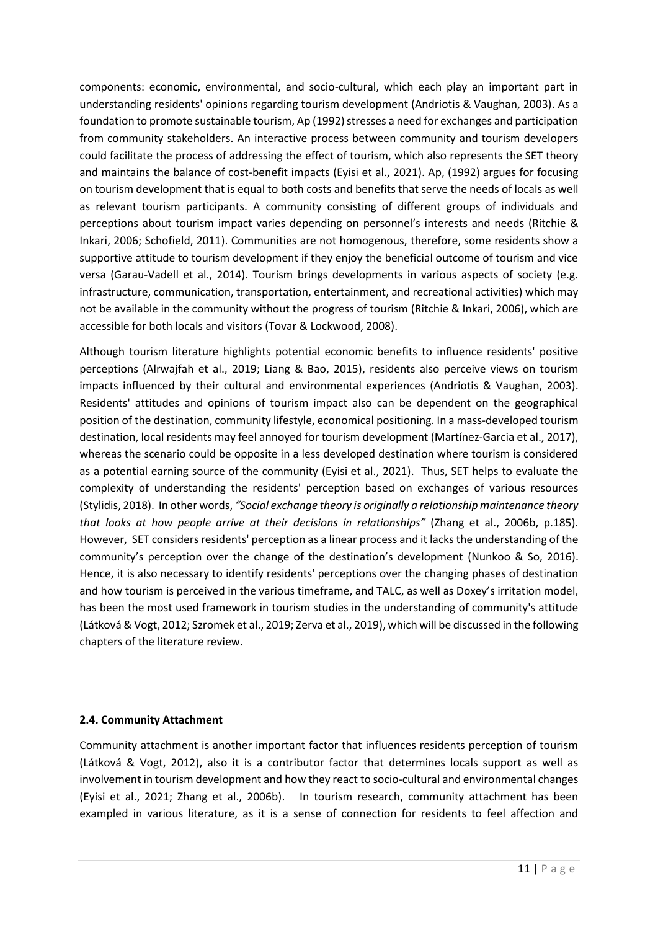components: economic, environmental, and socio-cultural, which each play an important part in understanding residents' opinions regarding tourism development (Andriotis & Vaughan, 2003). As a foundation to promote sustainable tourism, Ap (1992) stresses a need for exchanges and participation from community stakeholders. An interactive process between community and tourism developers could facilitate the process of addressing the effect of tourism, which also represents the SET theory and maintains the balance of cost-benefit impacts (Eyisi et al., 2021). Ap, (1992) argues for focusing on tourism development that is equal to both costs and benefits that serve the needs of locals as well as relevant tourism participants. A community consisting of different groups of individuals and perceptions about tourism impact varies depending on personnel's interests and needs (Ritchie & Inkari, 2006; Schofield, 2011). Communities are not homogenous, therefore, some residents show a supportive attitude to tourism development if they enjoy the beneficial outcome of tourism and vice versa (Garau-Vadell et al., 2014). Tourism brings developments in various aspects of society (e.g. infrastructure, communication, transportation, entertainment, and recreational activities) which may not be available in the community without the progress of tourism (Ritchie & Inkari, 2006), which are accessible for both locals and visitors (Tovar & Lockwood, 2008).

Although tourism literature highlights potential economic benefits to influence residents' positive perceptions (Alrwajfah et al., 2019; Liang & Bao, 2015), residents also perceive views on tourism impacts influenced by their cultural and environmental experiences (Andriotis & Vaughan, 2003). Residents' attitudes and opinions of tourism impact also can be dependent on the geographical position of the destination, community lifestyle, economical positioning. In a mass-developed tourism destination, local residents may feel annoyed for tourism development (Martínez-Garcia et al., 2017), whereas the scenario could be opposite in a less developed destination where tourism is considered as a potential earning source of the community (Eyisi et al., 2021). Thus, SET helps to evaluate the complexity of understanding the residents' perception based on exchanges of various resources (Stylidis, 2018). In other words, *"Social exchange theory is originally a relationship maintenance theory that looks at how people arrive at their decisions in relationships"* (Zhang et al., 2006b, p.185). However, SET considers residents' perception as a linear process and it lacks the understanding of the community's perception over the change of the destination's development (Nunkoo & So, 2016). Hence, it is also necessary to identify residents' perceptions over the changing phases of destination and how tourism is perceived in the various timeframe, and TALC, as well as Doxey's irritation model, has been the most used framework in tourism studies in the understanding of community's attitude (Látková & Vogt, 2012; Szromek et al., 2019; Zerva et al., 2019), which will be discussed in the following chapters of the literature review.

### **2.4. Community Attachment**

Community attachment is another important factor that influences residents perception of tourism (Látková & Vogt, 2012), also it is a contributor factor that determines locals support as well as involvement in tourism development and how they react to socio-cultural and environmental changes (Eyisi et al., 2021; Zhang et al., 2006b). In tourism research, community attachment has been exampled in various literature, as it is a sense of connection for residents to feel affection and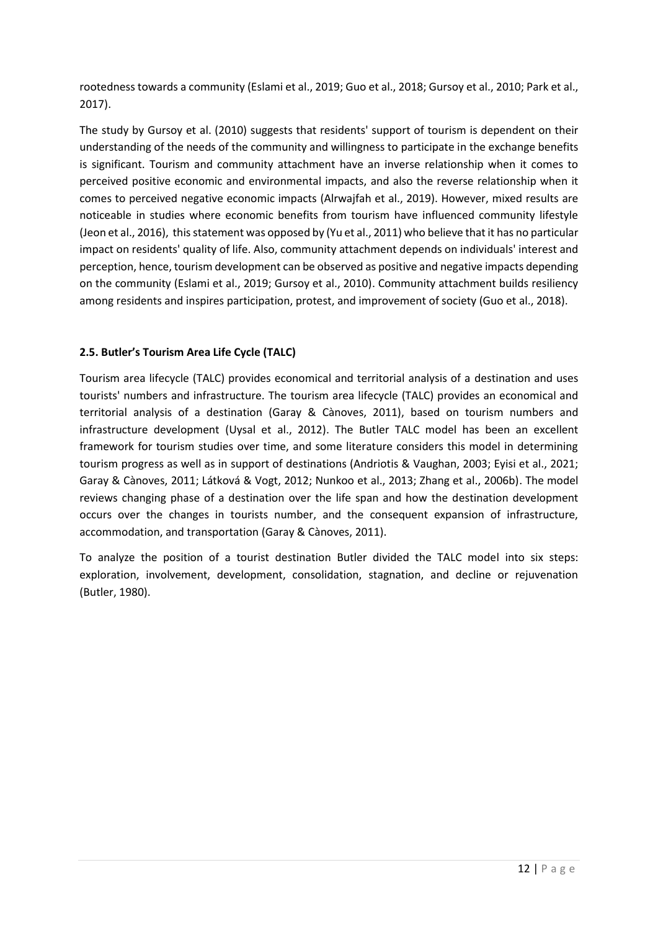rootedness towards a community (Eslami et al., 2019; Guo et al., 2018; Gursoy et al., 2010; Park et al., 2017).

The study by Gursoy et al. (2010) suggests that residents' support of tourism is dependent on their understanding of the needs of the community and willingness to participate in the exchange benefits is significant. Tourism and community attachment have an inverse relationship when it comes to perceived positive economic and environmental impacts, and also the reverse relationship when it comes to perceived negative economic impacts (Alrwajfah et al., 2019). However, mixed results are noticeable in studies where economic benefits from tourism have influenced community lifestyle (Jeon et al., 2016), this statement was opposed by (Yu et al., 2011) who believe that it has no particular impact on residents' quality of life. Also, community attachment depends on individuals' interest and perception, hence, tourism development can be observed as positive and negative impacts depending on the community (Eslami et al., 2019; Gursoy et al., 2010). Community attachment builds resiliency among residents and inspires participation, protest, and improvement of society (Guo et al., 2018).

## **2.5. Butler's Tourism Area Life Cycle (TALC)**

Tourism area lifecycle (TALC) provides economical and territorial analysis of a destination and uses tourists' numbers and infrastructure. The tourism area lifecycle (TALC) provides an economical and territorial analysis of a destination (Garay & Cànoves, 2011), based on tourism numbers and infrastructure development (Uysal et al., 2012). The Butler TALC model has been an excellent framework for tourism studies over time, and some literature considers this model in determining tourism progress as well as in support of destinations (Andriotis & Vaughan, 2003; Eyisi et al., 2021; Garay & Cànoves, 2011; Látková & Vogt, 2012; Nunkoo et al., 2013; Zhang et al., 2006b). The model reviews changing phase of a destination over the life span and how the destination development occurs over the changes in tourists number, and the consequent expansion of infrastructure, accommodation, and transportation (Garay & Cànoves, 2011).

To analyze the position of a tourist destination Butler divided the TALC model into six steps: exploration, involvement, development, consolidation, stagnation, and decline or rejuvenation (Butler, 1980).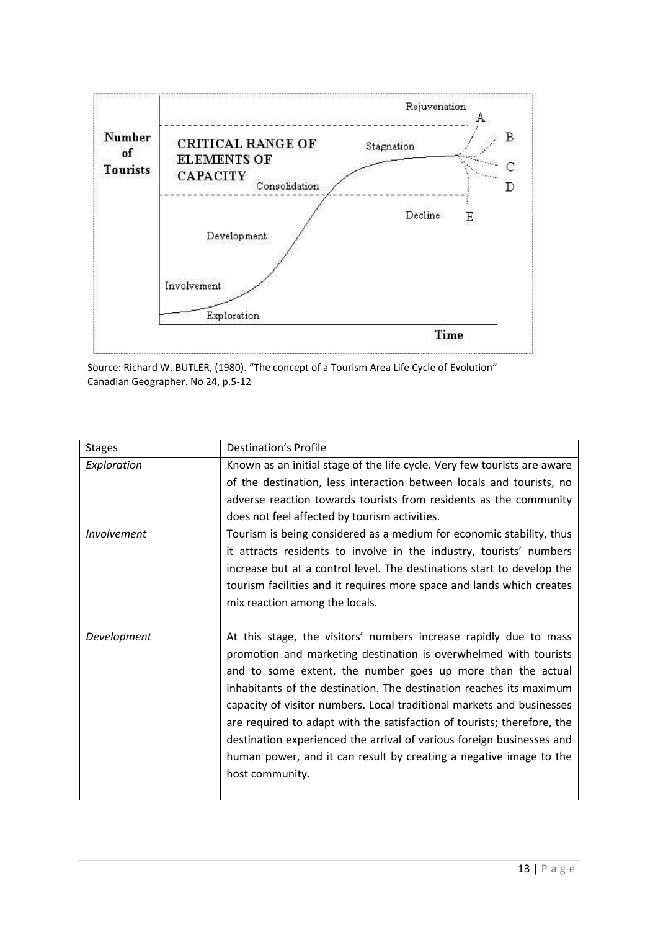

Source: Richard W. BUTLER, (1980). "The concept of a Tourism Area Life Cycle of Evolution" Canadian Geographer. No 24, p.5-12

| <b>Stages</b> | Destination's Profile                                                    |
|---------------|--------------------------------------------------------------------------|
| Exploration   | Known as an initial stage of the life cycle. Very few tourists are aware |
|               | of the destination, less interaction between locals and tourists, no     |
|               | adverse reaction towards tourists from residents as the community        |
|               | does not feel affected by tourism activities.                            |
| Involvement   | Tourism is being considered as a medium for economic stability, thus     |
|               | it attracts residents to involve in the industry, tourists' numbers      |
|               | increase but at a control level. The destinations start to develop the   |
|               | tourism facilities and it requires more space and lands which creates    |
|               | mix reaction among the locals.                                           |
|               |                                                                          |
| Development   | At this stage, the visitors' numbers increase rapidly due to mass        |
|               | promotion and marketing destination is overwhelmed with tourists         |
|               | and to some extent, the number goes up more than the actual              |
|               | inhabitants of the destination. The destination reaches its maximum      |
|               | capacity of visitor numbers. Local traditional markets and businesses    |
|               | are required to adapt with the satisfaction of tourists; therefore, the  |
|               | destination experienced the arrival of various foreign businesses and    |
|               | human power, and it can result by creating a negative image to the       |
|               | host community.                                                          |
|               |                                                                          |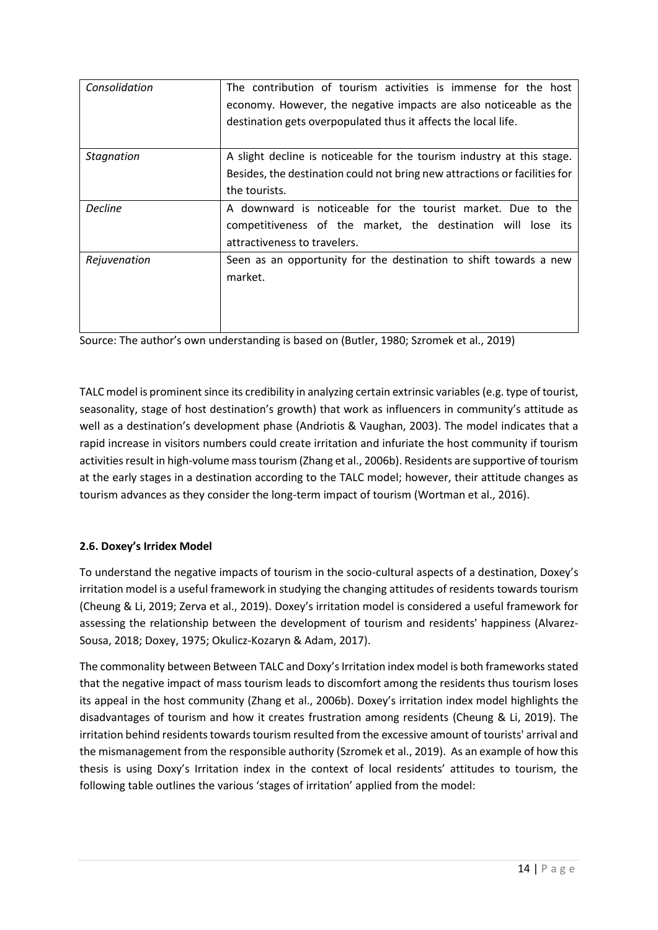| Consolidation     | The contribution of tourism activities is immense for the host<br>economy. However, the negative impacts are also noticeable as the<br>destination gets overpopulated thus it affects the local life. |
|-------------------|-------------------------------------------------------------------------------------------------------------------------------------------------------------------------------------------------------|
| <b>Stagnation</b> | A slight decline is noticeable for the tourism industry at this stage.<br>Besides, the destination could not bring new attractions or facilities for<br>the tourists.                                 |
| <b>Decline</b>    | A downward is noticeable for the tourist market. Due to the<br>competitiveness of the market, the destination will lose its<br>attractiveness to travelers.                                           |
| Rejuvenation      | Seen as an opportunity for the destination to shift towards a new<br>market.                                                                                                                          |

Source: The author's own understanding is based on (Butler, 1980; Szromek et al., 2019)

TALC model is prominent since its credibility in analyzing certain extrinsic variables (e.g. type of tourist, seasonality, stage of host destination's growth) that work as influencers in community's attitude as well as a destination's development phase (Andriotis & Vaughan, 2003). The model indicates that a rapid increase in visitors numbers could create irritation and infuriate the host community if tourism activities result in high-volume mass tourism (Zhang et al., 2006b). Residents are supportive of tourism at the early stages in a destination according to the TALC model; however, their attitude changes as tourism advances as they consider the long-term impact of tourism (Wortman et al., 2016).

# **2.6. Doxey's Irridex Model**

To understand the negative impacts of tourism in the socio-cultural aspects of a destination, Doxey's irritation model is a useful framework in studying the changing attitudes of residents towards tourism (Cheung & Li, 2019; Zerva et al., 2019). Doxey's irritation model is considered a useful framework for assessing the relationship between the development of tourism and residents' happiness (Alvarez-Sousa, 2018; Doxey, 1975; Okulicz-Kozaryn & Adam, 2017).

The commonality between Between TALC and Doxy's Irritation index model is both frameworks stated that the negative impact of mass tourism leads to discomfort among the residents thus tourism loses its appeal in the host community (Zhang et al., 2006b). Doxey's irritation index model highlights the disadvantages of tourism and how it creates frustration among residents (Cheung & Li, 2019). The irritation behind residents towards tourism resulted from the excessive amount of tourists' arrival and the mismanagement from the responsible authority (Szromek et al., 2019). As an example of how this thesis is using Doxy's Irritation index in the context of local residents' attitudes to tourism, the following table outlines the various 'stages of irritation' applied from the model: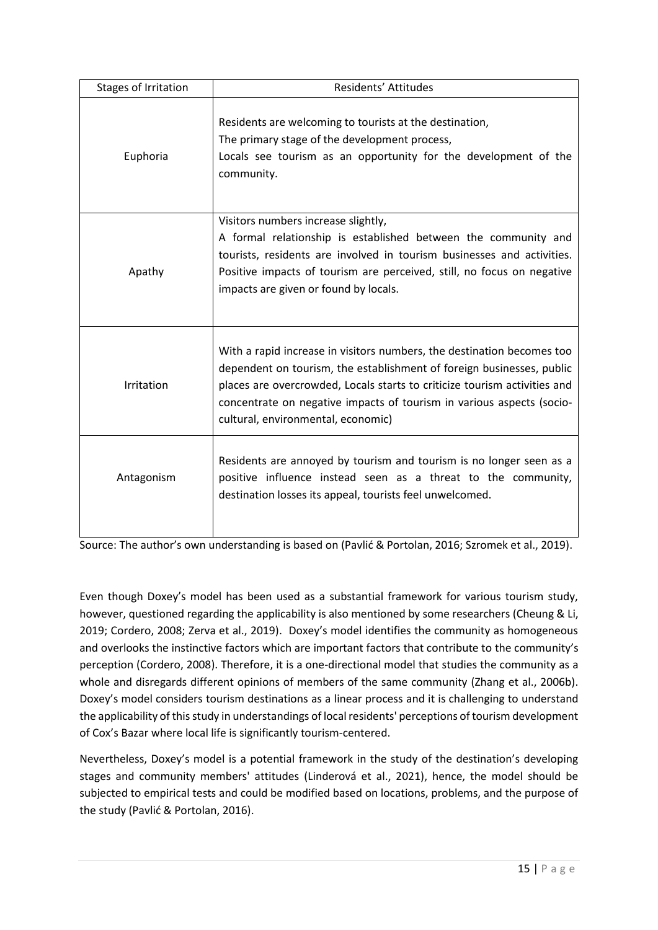| Stages of Irritation | Residents' Attitudes                                                                                                                                                                                                                                                                                                                        |
|----------------------|---------------------------------------------------------------------------------------------------------------------------------------------------------------------------------------------------------------------------------------------------------------------------------------------------------------------------------------------|
| Euphoria             | Residents are welcoming to tourists at the destination,<br>The primary stage of the development process,<br>Locals see tourism as an opportunity for the development of the<br>community.                                                                                                                                                   |
| Apathy               | Visitors numbers increase slightly,<br>A formal relationship is established between the community and<br>tourists, residents are involved in tourism businesses and activities.<br>Positive impacts of tourism are perceived, still, no focus on negative<br>impacts are given or found by locals.                                          |
| Irritation           | With a rapid increase in visitors numbers, the destination becomes too<br>dependent on tourism, the establishment of foreign businesses, public<br>places are overcrowded, Locals starts to criticize tourism activities and<br>concentrate on negative impacts of tourism in various aspects (socio-<br>cultural, environmental, economic) |
| Antagonism           | Residents are annoyed by tourism and tourism is no longer seen as a<br>positive influence instead seen as a threat to the community,<br>destination losses its appeal, tourists feel unwelcomed.                                                                                                                                            |

Source: The author's own understanding is based on (Pavlić & Portolan, 2016; Szromek et al., 2019).

Even though Doxey's model has been used as a substantial framework for various tourism study, however, questioned regarding the applicability is also mentioned by some researchers (Cheung & Li, 2019; Cordero, 2008; Zerva et al., 2019). Doxey's model identifies the community as homogeneous and overlooks the instinctive factors which are important factors that contribute to the community's perception (Cordero, 2008). Therefore, it is a one-directional model that studies the community as a whole and disregards different opinions of members of the same community (Zhang et al., 2006b). Doxey's model considers tourism destinations as a linear process and it is challenging to understand the applicability of this study in understandings of local residents' perceptions of tourism development of Cox's Bazar where local life is significantly tourism-centered.

Nevertheless, Doxey's model is a potential framework in the study of the destination's developing stages and community members' attitudes (Linderová et al., 2021), hence, the model should be subjected to empirical tests and could be modified based on locations, problems, and the purpose of the study (Pavlić & Portolan, 2016).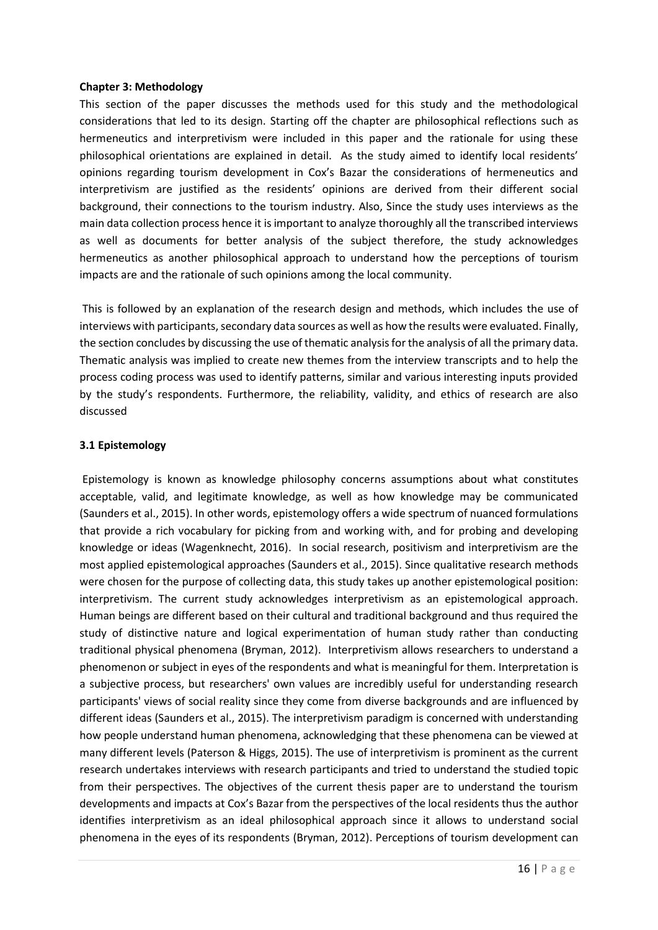#### **Chapter 3: Methodology**

This section of the paper discusses the methods used for this study and the methodological considerations that led to its design. Starting off the chapter are philosophical reflections such as hermeneutics and interpretivism were included in this paper and the rationale for using these philosophical orientations are explained in detail. As the study aimed to identify local residents' opinions regarding tourism development in Cox's Bazar the considerations of hermeneutics and interpretivism are justified as the residents' opinions are derived from their different social background, their connections to the tourism industry. Also, Since the study uses interviews as the main data collection process hence it is important to analyze thoroughly all the transcribed interviews as well as documents for better analysis of the subject therefore, the study acknowledges hermeneutics as another philosophical approach to understand how the perceptions of tourism impacts are and the rationale of such opinions among the local community.

This is followed by an explanation of the research design and methods, which includes the use of interviews with participants, secondary data sources as well as how the results were evaluated. Finally, the section concludes by discussing the use of thematic analysis for the analysis of all the primary data. Thematic analysis was implied to create new themes from the interview transcripts and to help the process coding process was used to identify patterns, similar and various interesting inputs provided by the study's respondents. Furthermore, the reliability, validity, and ethics of research are also discussed

#### **3.1 Epistemology**

Epistemology is known as knowledge philosophy concerns assumptions about what constitutes acceptable, valid, and legitimate knowledge, as well as how knowledge may be communicated (Saunders et al., 2015). In other words, epistemology offers a wide spectrum of nuanced formulations that provide a rich vocabulary for picking from and working with, and for probing and developing knowledge or ideas (Wagenknecht, 2016). In social research, positivism and interpretivism are the most applied epistemological approaches (Saunders et al., 2015). Since qualitative research methods were chosen for the purpose of collecting data, this study takes up another epistemological position: interpretivism. The current study acknowledges interpretivism as an epistemological approach. Human beings are different based on their cultural and traditional background and thus required the study of distinctive nature and logical experimentation of human study rather than conducting traditional physical phenomena (Bryman, 2012). Interpretivism allows researchers to understand a phenomenon or subject in eyes of the respondents and what is meaningful for them. Interpretation is a subjective process, but researchers' own values are incredibly useful for understanding research participants' views of social reality since they come from diverse backgrounds and are influenced by different ideas (Saunders et al., 2015). The interpretivism paradigm is concerned with understanding how people understand human phenomena, acknowledging that these phenomena can be viewed at many different levels (Paterson & Higgs, 2015). The use of interpretivism is prominent as the current research undertakes interviews with research participants and tried to understand the studied topic from their perspectives. The objectives of the current thesis paper are to understand the tourism developments and impacts at Cox's Bazar from the perspectives of the local residents thus the author identifies interpretivism as an ideal philosophical approach since it allows to understand social phenomena in the eyes of its respondents (Bryman, 2012). Perceptions of tourism development can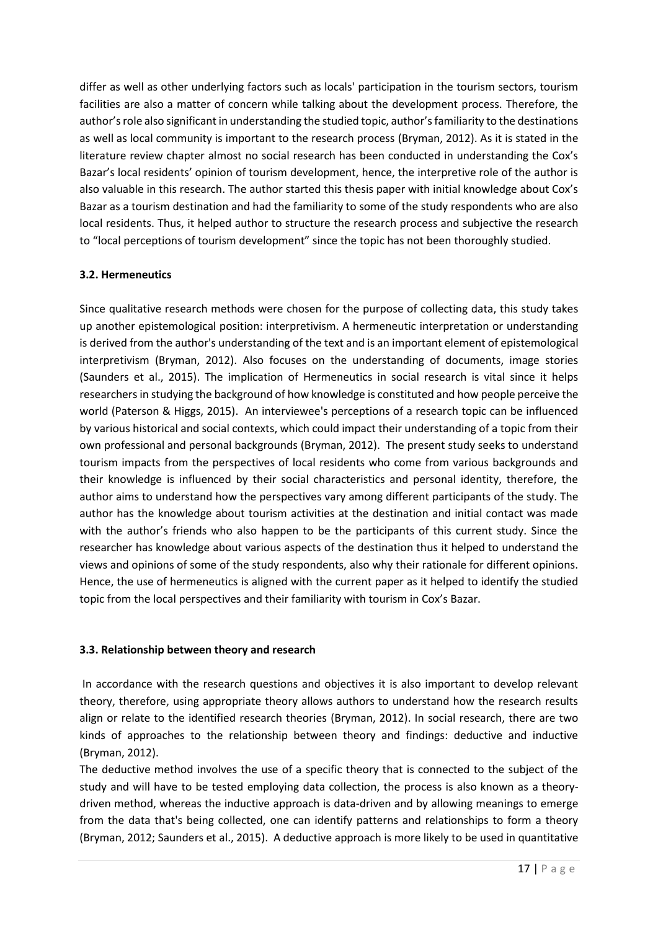differ as well as other underlying factors such as locals' participation in the tourism sectors, tourism facilities are also a matter of concern while talking about the development process. Therefore, the author's role also significant in understanding the studied topic, author's familiarity to the destinations as well as local community is important to the research process (Bryman, 2012). As it is stated in the literature review chapter almost no social research has been conducted in understanding the Cox's Bazar's local residents' opinion of tourism development, hence, the interpretive role of the author is also valuable in this research. The author started this thesis paper with initial knowledge about Cox's Bazar as a tourism destination and had the familiarity to some of the study respondents who are also local residents. Thus, it helped author to structure the research process and subjective the research to "local perceptions of tourism development" since the topic has not been thoroughly studied.

### **3.2. Hermeneutics**

Since qualitative research methods were chosen for the purpose of collecting data, this study takes up another epistemological position: interpretivism. A hermeneutic interpretation or understanding is derived from the author's understanding of the text and is an important element of epistemological interpretivism (Bryman, 2012). Also focuses on the understanding of documents, image stories (Saunders et al., 2015). The implication of Hermeneutics in social research is vital since it helps researchers in studying the background of how knowledge is constituted and how people perceive the world (Paterson & Higgs, 2015). An interviewee's perceptions of a research topic can be influenced by various historical and social contexts, which could impact their understanding of a topic from their own professional and personal backgrounds (Bryman, 2012). The present study seeks to understand tourism impacts from the perspectives of local residents who come from various backgrounds and their knowledge is influenced by their social characteristics and personal identity, therefore, the author aims to understand how the perspectives vary among different participants of the study. The author has the knowledge about tourism activities at the destination and initial contact was made with the author's friends who also happen to be the participants of this current study. Since the researcher has knowledge about various aspects of the destination thus it helped to understand the views and opinions of some of the study respondents, also why their rationale for different opinions. Hence, the use of hermeneutics is aligned with the current paper as it helped to identify the studied topic from the local perspectives and their familiarity with tourism in Cox's Bazar.

### **3.3. Relationship between theory and research**

In accordance with the research questions and objectives it is also important to develop relevant theory, therefore, using appropriate theory allows authors to understand how the research results align or relate to the identified research theories (Bryman, 2012). In social research, there are two kinds of approaches to the relationship between theory and findings: deductive and inductive (Bryman, 2012).

The deductive method involves the use of a specific theory that is connected to the subject of the study and will have to be tested employing data collection, the process is also known as a theorydriven method, whereas the inductive approach is data-driven and by allowing meanings to emerge from the data that's being collected, one can identify patterns and relationships to form a theory (Bryman, 2012; Saunders et al., 2015). A deductive approach is more likely to be used in quantitative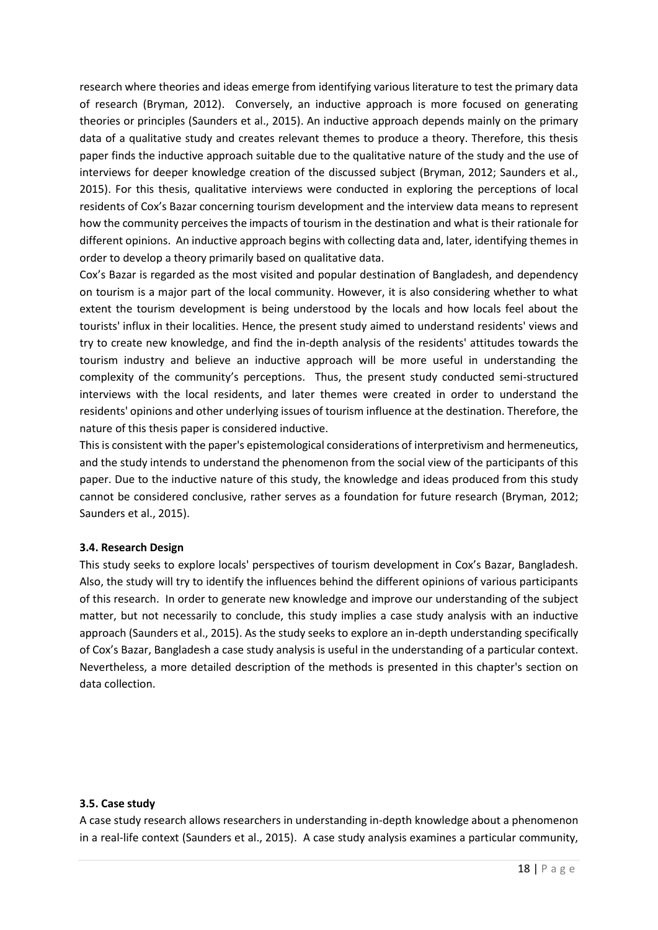research where theories and ideas emerge from identifying various literature to test the primary data of research (Bryman, 2012). Conversely, an inductive approach is more focused on generating theories or principles (Saunders et al., 2015). An inductive approach depends mainly on the primary data of a qualitative study and creates relevant themes to produce a theory. Therefore, this thesis paper finds the inductive approach suitable due to the qualitative nature of the study and the use of interviews for deeper knowledge creation of the discussed subject (Bryman, 2012; Saunders et al., 2015). For this thesis, qualitative interviews were conducted in exploring the perceptions of local residents of Cox's Bazar concerning tourism development and the interview data means to represent how the community perceives the impacts of tourism in the destination and what is their rationale for different opinions. An inductive approach begins with collecting data and, later, identifying themes in order to develop a theory primarily based on qualitative data.

Cox's Bazar is regarded as the most visited and popular destination of Bangladesh, and dependency on tourism is a major part of the local community. However, it is also considering whether to what extent the tourism development is being understood by the locals and how locals feel about the tourists' influx in their localities. Hence, the present study aimed to understand residents' views and try to create new knowledge, and find the in-depth analysis of the residents' attitudes towards the tourism industry and believe an inductive approach will be more useful in understanding the complexity of the community's perceptions. Thus, the present study conducted semi-structured interviews with the local residents, and later themes were created in order to understand the residents' opinions and other underlying issues of tourism influence at the destination. Therefore, the nature of this thesis paper is considered inductive.

This is consistent with the paper's epistemological considerations of interpretivism and hermeneutics, and the study intends to understand the phenomenon from the social view of the participants of this paper. Due to the inductive nature of this study, the knowledge and ideas produced from this study cannot be considered conclusive, rather serves as a foundation for future research (Bryman, 2012; Saunders et al., 2015).

### **3.4. Research Design**

This study seeks to explore locals' perspectives of tourism development in Cox's Bazar, Bangladesh. Also, the study will try to identify the influences behind the different opinions of various participants of this research. In order to generate new knowledge and improve our understanding of the subject matter, but not necessarily to conclude, this study implies a case study analysis with an inductive approach (Saunders et al., 2015). As the study seeks to explore an in-depth understanding specifically of Cox's Bazar, Bangladesh a case study analysis is useful in the understanding of a particular context. Nevertheless, a more detailed description of the methods is presented in this chapter's section on data collection.

#### **3.5. Case study**

A case study research allows researchers in understanding in-depth knowledge about a phenomenon in a real-life context (Saunders et al., 2015). A case study analysis examines a particular community,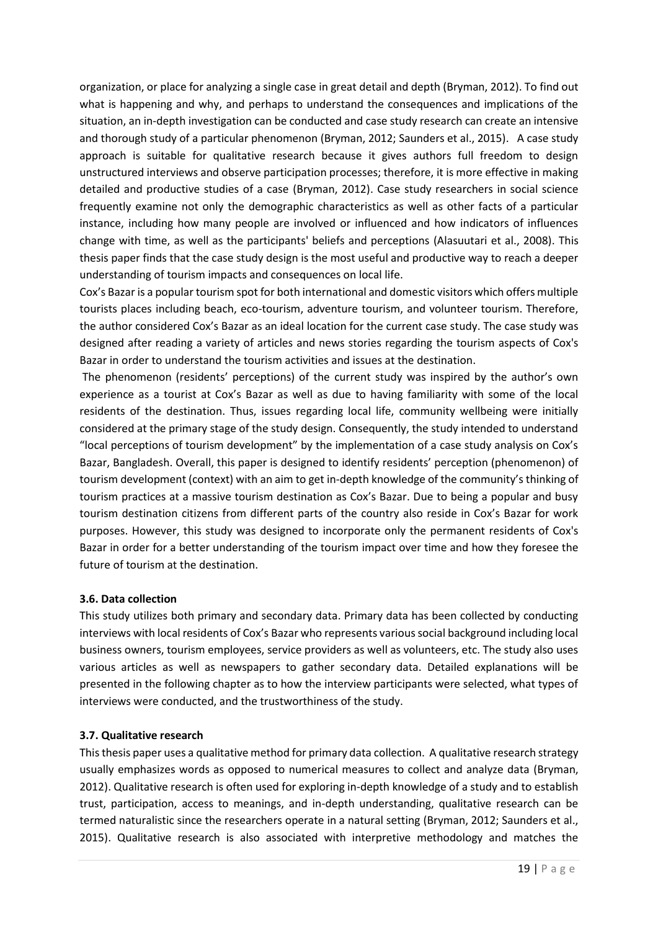organization, or place for analyzing a single case in great detail and depth (Bryman, 2012). To find out what is happening and why, and perhaps to understand the consequences and implications of the situation, an in-depth investigation can be conducted and case study research can create an intensive and thorough study of a particular phenomenon (Bryman, 2012; Saunders et al., 2015). A case study approach is suitable for qualitative research because it gives authors full freedom to design unstructured interviews and observe participation processes; therefore, it is more effective in making detailed and productive studies of a case (Bryman, 2012). Case study researchers in social science frequently examine not only the demographic characteristics as well as other facts of a particular instance, including how many people are involved or influenced and how indicators of influences change with time, as well as the participants' beliefs and perceptions (Alasuutari et al., 2008). This thesis paper finds that the case study design is the most useful and productive way to reach a deeper understanding of tourism impacts and consequences on local life.

Cox's Bazar is a popular tourism spot for both international and domestic visitors which offers multiple tourists places including beach, eco-tourism, adventure tourism, and volunteer tourism. Therefore, the author considered Cox's Bazar as an ideal location for the current case study. The case study was designed after reading a variety of articles and news stories regarding the tourism aspects of Cox's Bazar in order to understand the tourism activities and issues at the destination.

The phenomenon (residents' perceptions) of the current study was inspired by the author's own experience as a tourist at Cox's Bazar as well as due to having familiarity with some of the local residents of the destination. Thus, issues regarding local life, community wellbeing were initially considered at the primary stage of the study design. Consequently, the study intended to understand "local perceptions of tourism development" by the implementation of a case study analysis on Cox's Bazar, Bangladesh. Overall, this paper is designed to identify residents' perception (phenomenon) of tourism development (context) with an aim to get in-depth knowledge of the community's thinking of tourism practices at a massive tourism destination as Cox's Bazar. Due to being a popular and busy tourism destination citizens from different parts of the country also reside in Cox's Bazar for work purposes. However, this study was designed to incorporate only the permanent residents of Cox's Bazar in order for a better understanding of the tourism impact over time and how they foresee the future of tourism at the destination.

### **3.6. Data collection**

This study utilizes both primary and secondary data. Primary data has been collected by conducting interviews with local residents of Cox's Bazar who represents various social background including local business owners, tourism employees, service providers as well as volunteers, etc. The study also uses various articles as well as newspapers to gather secondary data. Detailed explanations will be presented in the following chapter as to how the interview participants were selected, what types of interviews were conducted, and the trustworthiness of the study.

### **3.7. Qualitative research**

This thesis paper uses a qualitative method for primary data collection. A qualitative research strategy usually emphasizes words as opposed to numerical measures to collect and analyze data (Bryman, 2012). Qualitative research is often used for exploring in-depth knowledge of a study and to establish trust, participation, access to meanings, and in-depth understanding, qualitative research can be termed naturalistic since the researchers operate in a natural setting (Bryman, 2012; Saunders et al., 2015). Qualitative research is also associated with interpretive methodology and matches the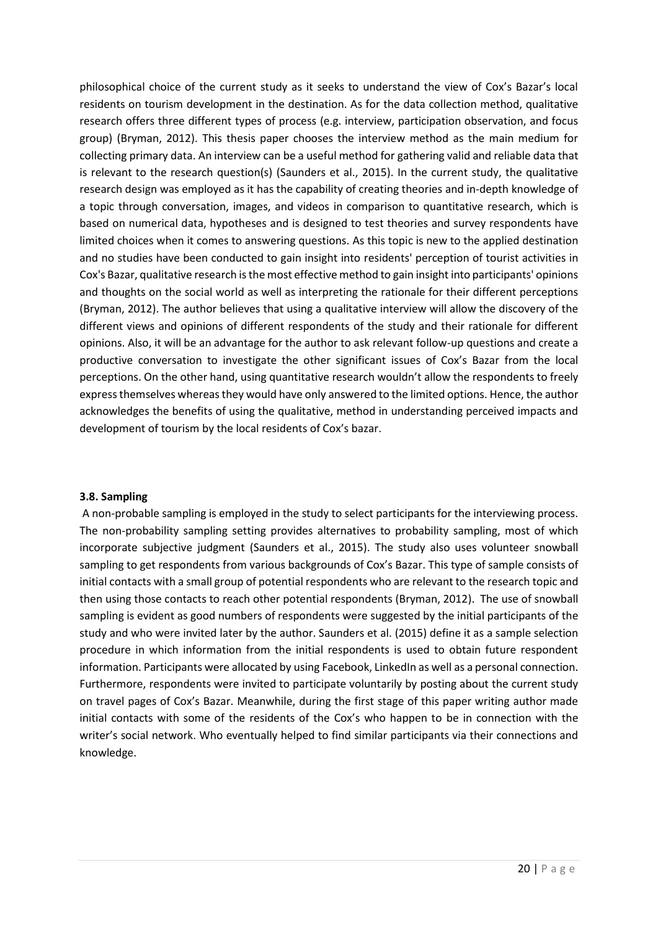philosophical choice of the current study as it seeks to understand the view of Cox's Bazar's local residents on tourism development in the destination. As for the data collection method, qualitative research offers three different types of process (e.g. interview, participation observation, and focus group) (Bryman, 2012). This thesis paper chooses the interview method as the main medium for collecting primary data. An interview can be a useful method for gathering valid and reliable data that is relevant to the research question(s) (Saunders et al., 2015). In the current study, the qualitative research design was employed as it has the capability of creating theories and in-depth knowledge of a topic through conversation, images, and videos in comparison to quantitative research, which is based on numerical data, hypotheses and is designed to test theories and survey respondents have limited choices when it comes to answering questions. As this topic is new to the applied destination and no studies have been conducted to gain insight into residents' perception of tourist activities in Cox's Bazar, qualitative research is the most effective method to gain insight into participants' opinions and thoughts on the social world as well as interpreting the rationale for their different perceptions (Bryman, 2012). The author believes that using a qualitative interview will allow the discovery of the different views and opinions of different respondents of the study and their rationale for different opinions. Also, it will be an advantage for the author to ask relevant follow-up questions and create a productive conversation to investigate the other significant issues of Cox's Bazar from the local perceptions. On the other hand, using quantitative research wouldn't allow the respondents to freely express themselves whereas they would have only answered to the limited options. Hence, the author acknowledges the benefits of using the qualitative, method in understanding perceived impacts and development of tourism by the local residents of Cox's bazar.

#### **3.8. Sampling**

A non-probable sampling is employed in the study to select participants for the interviewing process. The non-probability sampling setting provides alternatives to probability sampling, most of which incorporate subjective judgment (Saunders et al., 2015). The study also uses volunteer snowball sampling to get respondents from various backgrounds of Cox's Bazar. This type of sample consists of initial contacts with a small group of potential respondents who are relevant to the research topic and then using those contacts to reach other potential respondents (Bryman, 2012). The use of snowball sampling is evident as good numbers of respondents were suggested by the initial participants of the study and who were invited later by the author. Saunders et al. (2015) define it as a sample selection procedure in which information from the initial respondents is used to obtain future respondent information. Participants were allocated by using Facebook, LinkedIn as well as a personal connection. Furthermore, respondents were invited to participate voluntarily by posting about the current study on travel pages of Cox's Bazar. Meanwhile, during the first stage of this paper writing author made initial contacts with some of the residents of the Cox's who happen to be in connection with the writer's social network. Who eventually helped to find similar participants via their connections and knowledge.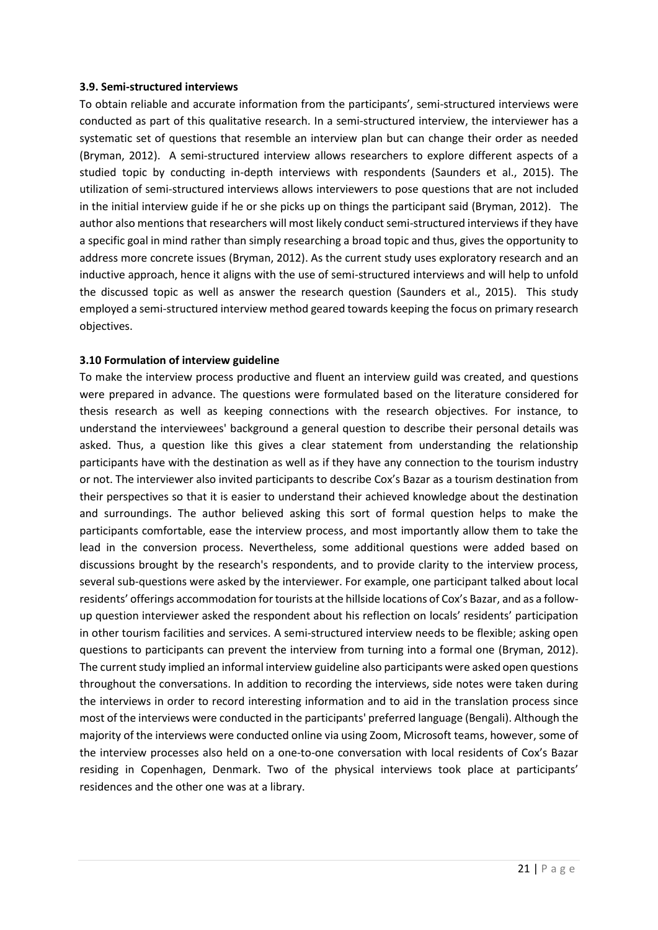#### **3.9. Semi-structured interviews**

To obtain reliable and accurate information from the participants', semi-structured interviews were conducted as part of this qualitative research. In a semi-structured interview, the interviewer has a systematic set of questions that resemble an interview plan but can change their order as needed (Bryman, 2012). A semi-structured interview allows researchers to explore different aspects of a studied topic by conducting in-depth interviews with respondents (Saunders et al., 2015). The utilization of semi-structured interviews allows interviewers to pose questions that are not included in the initial interview guide if he or she picks up on things the participant said (Bryman, 2012). The author also mentions that researchers will most likely conduct semi-structured interviews if they have a specific goal in mind rather than simply researching a broad topic and thus, gives the opportunity to address more concrete issues (Bryman, 2012). As the current study uses exploratory research and an inductive approach, hence it aligns with the use of semi-structured interviews and will help to unfold the discussed topic as well as answer the research question (Saunders et al., 2015). This study employed a semi-structured interview method geared towards keeping the focus on primary research objectives.

#### **3.10 Formulation of interview guideline**

To make the interview process productive and fluent an interview guild was created, and questions were prepared in advance. The questions were formulated based on the literature considered for thesis research as well as keeping connections with the research objectives. For instance, to understand the interviewees' background a general question to describe their personal details was asked. Thus, a question like this gives a clear statement from understanding the relationship participants have with the destination as well as if they have any connection to the tourism industry or not. The interviewer also invited participants to describe Cox's Bazar as a tourism destination from their perspectives so that it is easier to understand their achieved knowledge about the destination and surroundings. The author believed asking this sort of formal question helps to make the participants comfortable, ease the interview process, and most importantly allow them to take the lead in the conversion process. Nevertheless, some additional questions were added based on discussions brought by the research's respondents, and to provide clarity to the interview process, several sub-questions were asked by the interviewer. For example, one participant talked about local residents' offerings accommodation for tourists at the hillside locations of Cox's Bazar, and as a followup question interviewer asked the respondent about his reflection on locals' residents' participation in other tourism facilities and services. A semi-structured interview needs to be flexible; asking open questions to participants can prevent the interview from turning into a formal one (Bryman, 2012). The current study implied an informal interview guideline also participants were asked open questions throughout the conversations. In addition to recording the interviews, side notes were taken during the interviews in order to record interesting information and to aid in the translation process since most of the interviews were conducted in the participants' preferred language (Bengali). Although the majority of the interviews were conducted online via using Zoom, Microsoft teams, however, some of the interview processes also held on a one-to-one conversation with local residents of Cox's Bazar residing in Copenhagen, Denmark. Two of the physical interviews took place at participants' residences and the other one was at a library.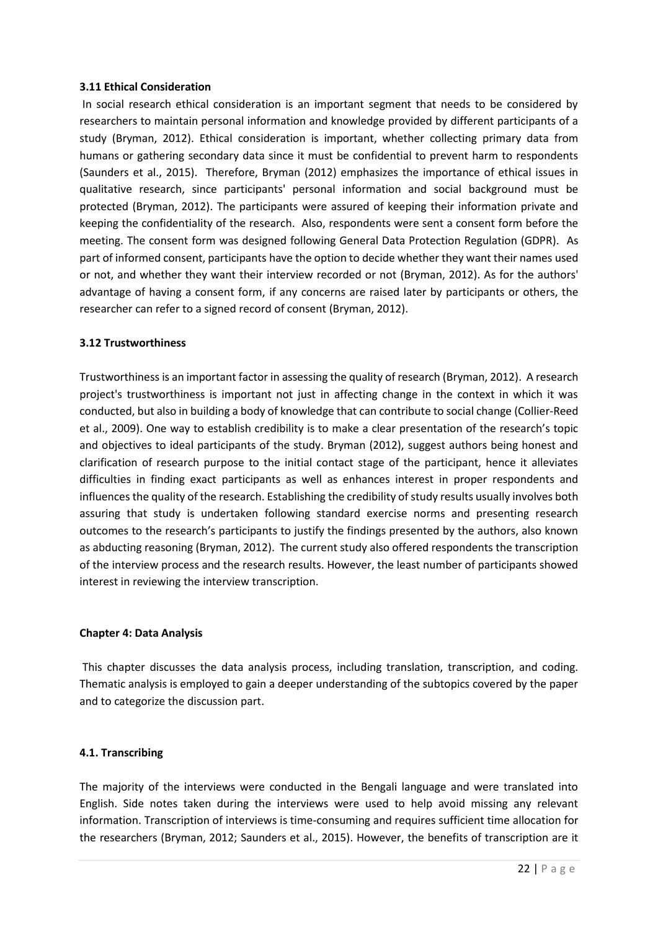#### **3.11 Ethical Consideration**

In social research ethical consideration is an important segment that needs to be considered by researchers to maintain personal information and knowledge provided by different participants of a study (Bryman, 2012). Ethical consideration is important, whether collecting primary data from humans or gathering secondary data since it must be confidential to prevent harm to respondents (Saunders et al., 2015). Therefore, Bryman (2012) emphasizes the importance of ethical issues in qualitative research, since participants' personal information and social background must be protected (Bryman, 2012). The participants were assured of keeping their information private and keeping the confidentiality of the research. Also, respondents were sent a consent form before the meeting. The consent form was designed following General Data Protection Regulation (GDPR). As part of informed consent, participants have the option to decide whether they want their names used or not, and whether they want their interview recorded or not (Bryman, 2012). As for the authors' advantage of having a consent form, if any concerns are raised later by participants or others, the researcher can refer to a signed record of consent (Bryman, 2012).

#### **3.12 Trustworthiness**

Trustworthiness is an important factor in assessing the quality of research (Bryman, 2012). A research project's trustworthiness is important not just in affecting change in the context in which it was conducted, but also in building a body of knowledge that can contribute to social change (Collier-Reed et al., 2009). One way to establish credibility is to make a clear presentation of the research's topic and objectives to ideal participants of the study. Bryman (2012), suggest authors being honest and clarification of research purpose to the initial contact stage of the participant, hence it alleviates difficulties in finding exact participants as well as enhances interest in proper respondents and influences the quality of the research. Establishing the credibility of study results usually involves both assuring that study is undertaken following standard exercise norms and presenting research outcomes to the research's participants to justify the findings presented by the authors, also known as abducting reasoning (Bryman, 2012). The current study also offered respondents the transcription of the interview process and the research results. However, the least number of participants showed interest in reviewing the interview transcription.

### **Chapter 4: Data Analysis**

This chapter discusses the data analysis process, including translation, transcription, and coding. Thematic analysis is employed to gain a deeper understanding of the subtopics covered by the paper and to categorize the discussion part.

### **4.1. Transcribing**

The majority of the interviews were conducted in the Bengali language and were translated into English. Side notes taken during the interviews were used to help avoid missing any relevant information. Transcription of interviews is time-consuming and requires sufficient time allocation for the researchers (Bryman, 2012; Saunders et al., 2015). However, the benefits of transcription are it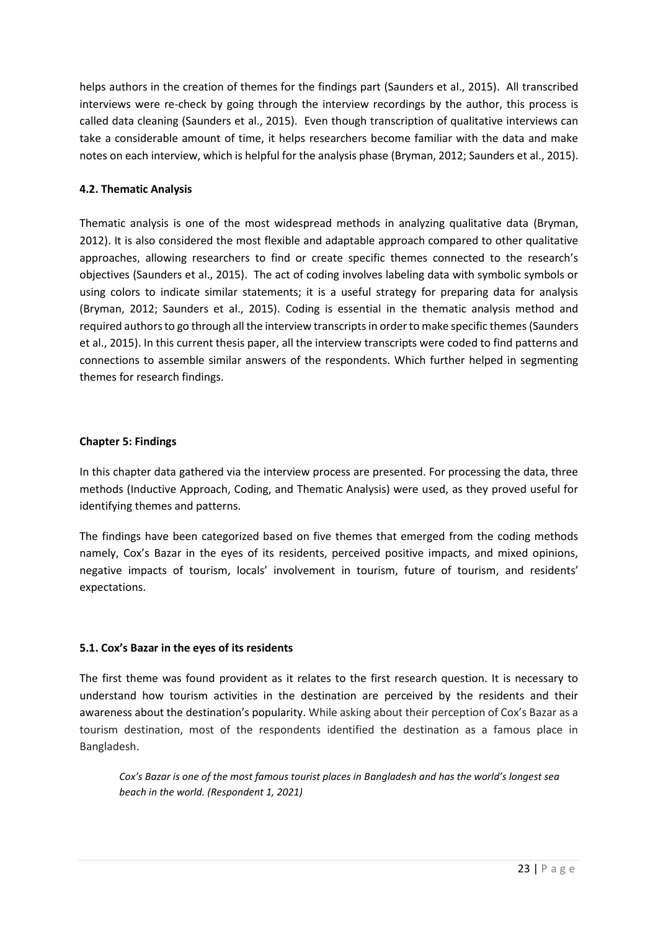helps authors in the creation of themes for the findings part (Saunders et al., 2015). All transcribed interviews were re-check by going through the interview recordings by the author, this process is called data cleaning (Saunders et al., 2015). Even though transcription of qualitative interviews can take a considerable amount of time, it helps researchers become familiar with the data and make notes on each interview, which is helpful for the analysis phase (Bryman, 2012; Saunders et al., 2015).

### **4.2. Thematic Analysis**

Thematic analysis is one of the most widespread methods in analyzing qualitative data (Bryman, 2012). It is also considered the most flexible and adaptable approach compared to other qualitative approaches, allowing researchers to find or create specific themes connected to the research's objectives (Saunders et al., 2015). The act of coding involves labeling data with symbolic symbols or using colors to indicate similar statements; it is a useful strategy for preparing data for analysis (Bryman, 2012; Saunders et al., 2015). Coding is essential in the thematic analysis method and required authors to go through all the interview transcripts in order to make specific themes (Saunders et al., 2015). In this current thesis paper, all the interview transcripts were coded to find patterns and connections to assemble similar answers of the respondents. Which further helped in segmenting themes for research findings.

### **Chapter 5: Findings**

In this chapter data gathered via the interview process are presented. For processing the data, three methods (Inductive Approach, Coding, and Thematic Analysis) were used, as they proved useful for identifying themes and patterns.

The findings have been categorized based on five themes that emerged from the coding methods namely, Cox's Bazar in the eyes of its residents, perceived positive impacts, and mixed opinions, negative impacts of tourism, locals' involvement in tourism, future of tourism, and residents' expectations.

### **5.1. Cox's Bazar in the eyes of its residents**

The first theme was found provident as it relates to the first research question. It is necessary to understand how tourism activities in the destination are perceived by the residents and their awareness about the destination's popularity. While asking about their perception of Cox's Bazar as a tourism destination, most of the respondents identified the destination as a famous place in Bangladesh.

*Cox's Bazar is one of the most famous tourist places in Bangladesh and has the world's longest sea beach in the world. (Respondent 1, 2021)*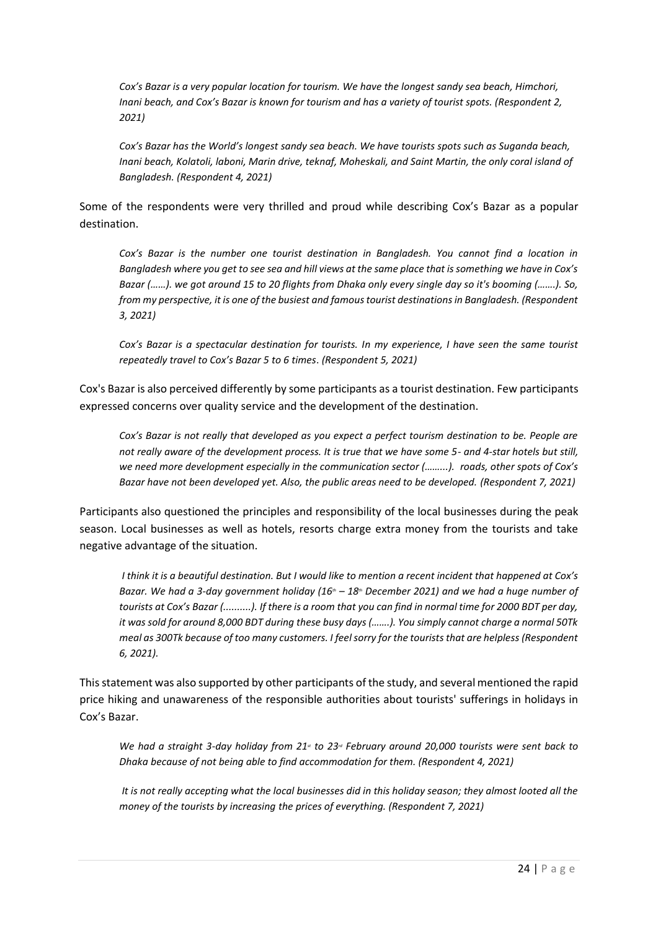*Cox's Bazar is a very popular location for tourism. We have the longest sandy sea beach, Himchori, Inani beach, and Cox's Bazar is known for tourism and has a variety of tourist spots. (Respondent 2, 2021)*

*Cox's Bazar has the World's longest sandy sea beach. We have tourists spots such as Suganda beach, Inani beach, Kolatoli, laboni, Marin drive, teknaf, Moheskali, and Saint Martin, the only coral island of Bangladesh. (Respondent 4, 2021)*

Some of the respondents were very thrilled and proud while describing Cox's Bazar as a popular destination.

*Cox's Bazar is the number one tourist destination in Bangladesh. You cannot find a location in Bangladesh where you get to see sea and hill views at the same place that is something we have in Cox's Bazar (……). we got around 15 to 20 flights from Dhaka only every single day so it's booming (…….). So, from my perspective, it is one of the busiest and famous tourist destinations in Bangladesh. (Respondent 3, 2021)*

*Cox's Bazar is a spectacular destination for tourists. In my experience, I have seen the same tourist repeatedly travel to Cox's Bazar 5 to 6 times*. *(Respondent 5, 2021)*

Cox's Bazar is also perceived differently by some participants as a tourist destination. Few participants expressed concerns over quality service and the development of the destination.

*Cox's Bazar is not really that developed as you expect a perfect tourism destination to be. People are not really aware of the development process. It is true that we have some 5- and 4-star hotels but still, we need more development especially in the communication sector (……...). roads, other spots of Cox's Bazar have not been developed yet. Also, the public areas need to be developed. (Respondent 7, 2021)*

Participants also questioned the principles and responsibility of the local businesses during the peak season. Local businesses as well as hotels, resorts charge extra money from the tourists and take negative advantage of the situation.

*I think it is a beautiful destination. But I would like to mention a recent incident that happened at Cox's Bazar. We had a 3-day government holiday (16th – 18th December 2021) and we had a huge number of tourists at Cox's Bazar (..........). If there is a room that you can find in normal time for 2000 BDT per day, it was sold for around 8,000 BDT during these busy days (…….). You simply cannot charge a normal 50Tk meal as 300Tk because of too many customers. I feel sorry for the tourists that are helpless (Respondent 6, 2021).* 

This statement was also supported by other participants of the study, and several mentioned the rapid price hiking and unawareness of the responsible authorities about tourists' sufferings in holidays in Cox's Bazar.

*We had a straight 3-day holiday from 21<sup><i>s*</sup> to 23<sup>*d*</sup> February around 20,000 tourists were sent back to *Dhaka because of not being able to find accommodation for them. (Respondent 4, 2021)*

*It is not really accepting what the local businesses did in this holiday season; they almost looted all the money of the tourists by increasing the prices of everything. (Respondent 7, 2021)*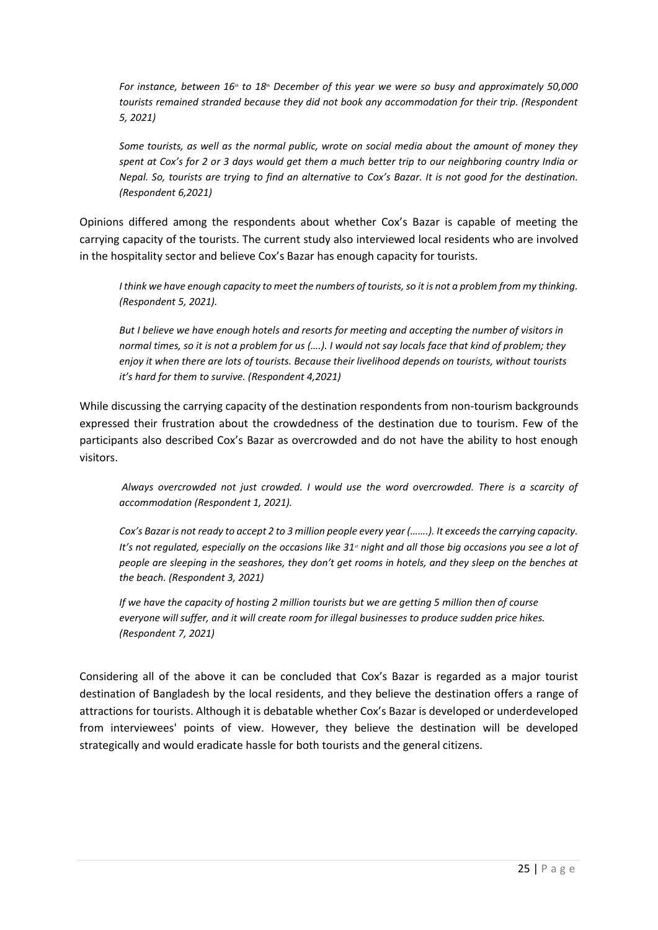*For instance, between 16th to 18th December of this year we were so busy and approximately 50,000 tourists remained stranded because they did not book any accommodation for their trip. (Respondent 5, 2021)*

*Some tourists, as well as the normal public, wrote on social media about the amount of money they spent at Cox's for 2 or 3 days would get them a much better trip to our neighboring country India or Nepal. So, tourists are trying to find an alternative to Cox's Bazar. It is not good for the destination. (Respondent 6,2021)*

Opinions differed among the respondents about whether Cox's Bazar is capable of meeting the carrying capacity of the tourists. The current study also interviewed local residents who are involved in the hospitality sector and believe Cox's Bazar has enough capacity for tourists.

*I think we have enough capacity to meet the numbers of tourists, so it is not a problem from my thinking. (Respondent 5, 2021).*

*But I believe we have enough hotels and resorts for meeting and accepting the number of visitors in normal times, so it is not a problem for us (….). I would not say locals face that kind of problem; they enjoy it when there are lots of tourists. Because their livelihood depends on tourists, without tourists it's hard for them to survive. (Respondent 4,2021)*

While discussing the carrying capacity of the destination respondents from non-tourism backgrounds expressed their frustration about the crowdedness of the destination due to tourism. Few of the participants also described Cox's Bazar as overcrowded and do not have the ability to host enough visitors.

*Always overcrowded not just crowded. I would use the word overcrowded. There is a scarcity of accommodation (Respondent 1, 2021).*

*Cox's Bazar is not ready to accept 2 to 3 million people every year (…….). It exceeds the carrying capacity. It's not regulated, especially on the occasions like 31<sup><i>st*</sup> night and all those big occasions you see a lot of *people are sleeping in the seashores, they don't get rooms in hotels, and they sleep on the benches at the beach. (Respondent 3, 2021)*

*If we have the capacity of hosting 2 million tourists but we are getting 5 million then of course everyone will suffer, and it will create room for illegal businesses to produce sudden price hikes. (Respondent 7, 2021)*

Considering all of the above it can be concluded that Cox's Bazar is regarded as a major tourist destination of Bangladesh by the local residents, and they believe the destination offers a range of attractions for tourists. Although it is debatable whether Cox's Bazar is developed or underdeveloped from interviewees' points of view. However, they believe the destination will be developed strategically and would eradicate hassle for both tourists and the general citizens.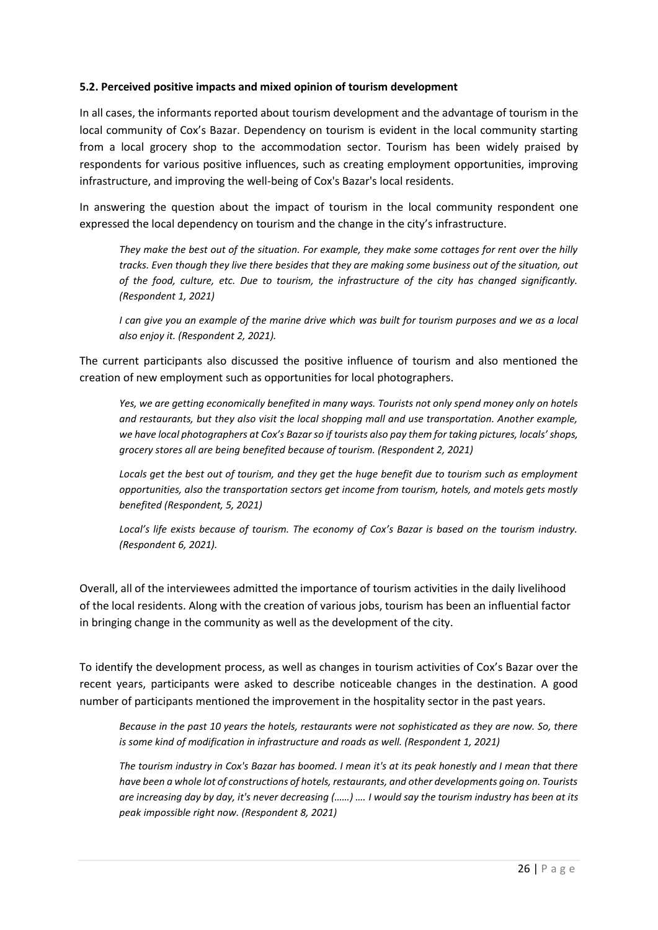#### **5.2. Perceived positive impacts and mixed opinion of tourism development**

In all cases, the informants reported about tourism development and the advantage of tourism in the local community of Cox's Bazar. Dependency on tourism is evident in the local community starting from a local grocery shop to the accommodation sector. Tourism has been widely praised by respondents for various positive influences, such as creating employment opportunities, improving infrastructure, and improving the well-being of Cox's Bazar's local residents.

In answering the question about the impact of tourism in the local community respondent one expressed the local dependency on tourism and the change in the city's infrastructure.

*They make the best out of the situation. For example, they make some cottages for rent over the hilly tracks. Even though they live there besides that they are making some business out of the situation, out of the food, culture, etc. Due to tourism, the infrastructure of the city has changed significantly. (Respondent 1, 2021)*

*I can give you an example of the marine drive which was built for tourism purposes and we as a local also enjoy it. (Respondent 2, 2021).*

The current participants also discussed the positive influence of tourism and also mentioned the creation of new employment such as opportunities for local photographers.

*Yes, we are getting economically benefited in many ways. Tourists not only spend money only on hotels and restaurants, but they also visit the local shopping mall and use transportation. Another example, we have local photographers at Cox's Bazar so if tourists also pay them for taking pictures, locals' shops, grocery stores all are being benefited because of tourism. (Respondent 2, 2021)*

*Locals get the best out of tourism, and they get the huge benefit due to tourism such as employment opportunities, also the transportation sectors get income from tourism, hotels, and motels gets mostly benefited (Respondent, 5, 2021)*

*Local's life exists because of tourism. The economy of Cox's Bazar is based on the tourism industry. (Respondent 6, 2021).*

Overall, all of the interviewees admitted the importance of tourism activities in the daily livelihood of the local residents. Along with the creation of various jobs, tourism has been an influential factor in bringing change in the community as well as the development of the city.

To identify the development process, as well as changes in tourism activities of Cox's Bazar over the recent years, participants were asked to describe noticeable changes in the destination. A good number of participants mentioned the improvement in the hospitality sector in the past years.

*Because in the past 10 years the hotels, restaurants were not sophisticated as they are now. So, there is some kind of modification in infrastructure and roads as well. (Respondent 1, 2021)*

*The tourism industry in Cox's Bazar has boomed. I mean it's at its peak honestly and I mean that there have been a whole lot of constructions of hotels, restaurants, and other developments going on. Tourists are increasing day by day, it's never decreasing (……) …. I would say the tourism industry has been at its peak impossible right now. (Respondent 8, 2021)*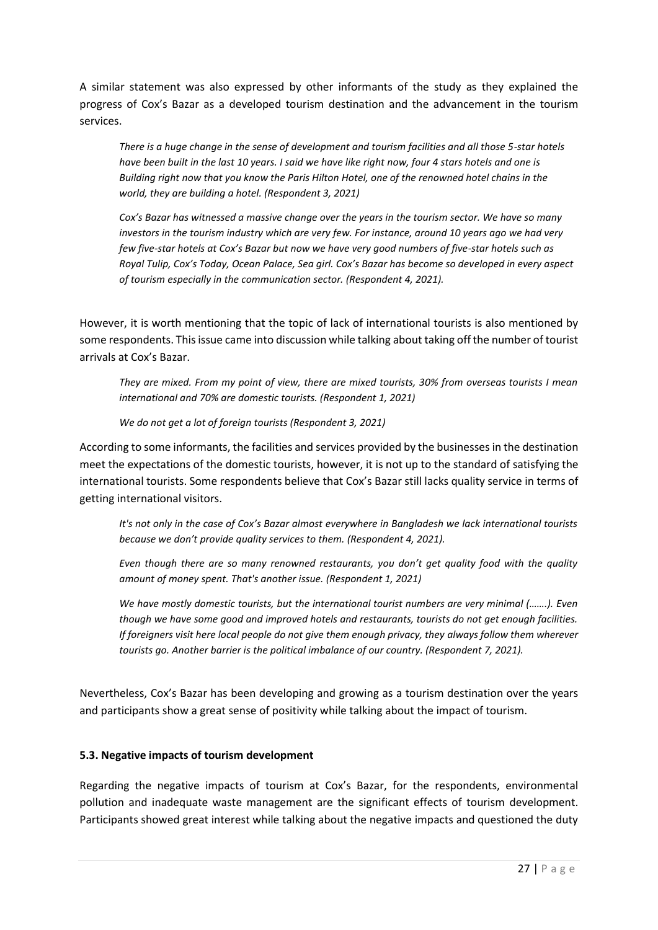A similar statement was also expressed by other informants of the study as they explained the progress of Cox's Bazar as a developed tourism destination and the advancement in the tourism services.

*There is a huge change in the sense of development and tourism facilities and all those 5-star hotels have been built in the last 10 years. I said we have like right now, four 4 stars hotels and one is Building right now that you know the Paris Hilton Hotel, one of the renowned hotel chains in the world, they are building a hotel. (Respondent 3, 2021)*

*Cox's Bazar has witnessed a massive change over the years in the tourism sector. We have so many investors in the tourism industry which are very few. For instance, around 10 years ago we had very few five-star hotels at Cox's Bazar but now we have very good numbers of five-star hotels such as Royal Tulip, Cox's Today, Ocean Palace, Sea girl. Cox's Bazar has become so developed in every aspect of tourism especially in the communication sector. (Respondent 4, 2021).*

However, it is worth mentioning that the topic of lack of international tourists is also mentioned by some respondents. This issue came into discussion while talking about taking off the number of tourist arrivals at Cox's Bazar.

*They are mixed. From my point of view, there are mixed tourists, 30% from overseas tourists I mean international and 70% are domestic tourists. (Respondent 1, 2021)*

*We do not get a lot of foreign tourists (Respondent 3, 2021)*

According to some informants, the facilities and services provided by the businesses in the destination meet the expectations of the domestic tourists, however, it is not up to the standard of satisfying the international tourists. Some respondents believe that Cox's Bazar still lacks quality service in terms of getting international visitors.

*It's not only in the case of Cox's Bazar almost everywhere in Bangladesh we lack international tourists because we don't provide quality services to them. (Respondent 4, 2021).*

*Even though there are so many renowned restaurants, you don't get quality food with the quality amount of money spent. That's another issue. (Respondent 1, 2021)*

*We have mostly domestic tourists, but the international tourist numbers are very minimal (…….). Even though we have some good and improved hotels and restaurants, tourists do not get enough facilities. If foreigners visit here local people do not give them enough privacy, they always follow them wherever tourists go. Another barrier is the political imbalance of our country. (Respondent 7, 2021).*

Nevertheless, Cox's Bazar has been developing and growing as a tourism destination over the years and participants show a great sense of positivity while talking about the impact of tourism.

### **5.3. Negative impacts of tourism development**

Regarding the negative impacts of tourism at Cox's Bazar, for the respondents, environmental pollution and inadequate waste management are the significant effects of tourism development. Participants showed great interest while talking about the negative impacts and questioned the duty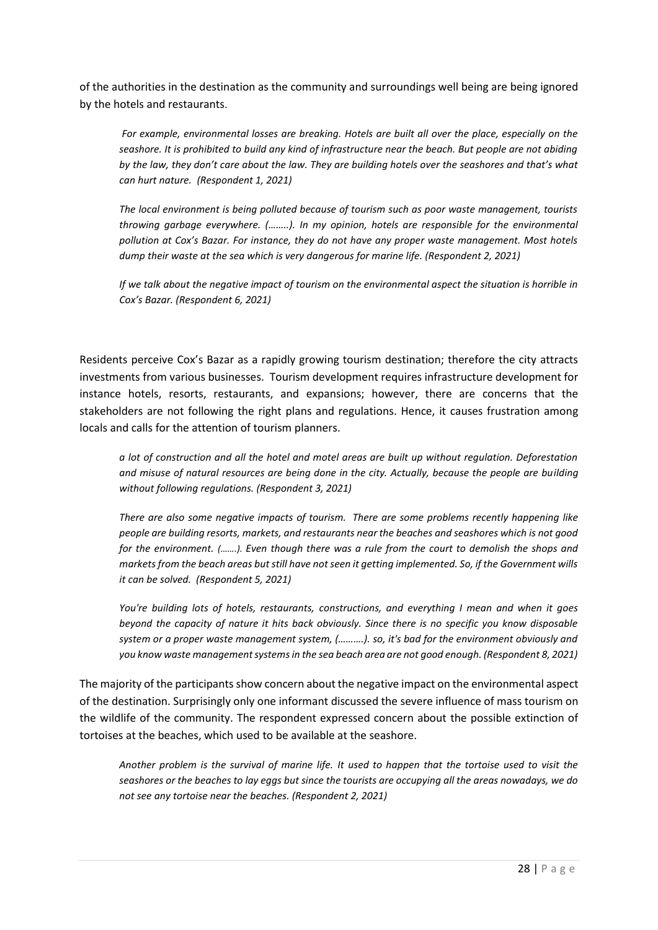of the authorities in the destination as the community and surroundings well being are being ignored by the hotels and restaurants.

*For example, environmental losses are breaking. Hotels are built all over the place, especially on the seashore. It is prohibited to build any kind of infrastructure near the beach. But people are not abiding by the law, they don't care about the law. They are building hotels over the seashores and that's what can hurt nature. (Respondent 1, 2021)*

*The local environment is being polluted because of tourism such as poor waste management, tourists throwing garbage everywhere. (……..). In my opinion, hotels are responsible for the environmental pollution at Cox's Bazar. For instance, they do not have any proper waste management. Most hotels dump their waste at the sea which is very dangerous for marine life. (Respondent 2, 2021)*

*If we talk about the negative impact of tourism on the environmental aspect the situation is horrible in Cox's Bazar. (Respondent 6, 2021)*

Residents perceive Cox's Bazar as a rapidly growing tourism destination; therefore the city attracts investments from various businesses. Tourism development requires infrastructure development for instance hotels, resorts, restaurants, and expansions; however, there are concerns that the stakeholders are not following the right plans and regulations. Hence, it causes frustration among locals and calls for the attention of tourism planners.

*a lot of construction and all the hotel and motel areas are built up without regulation. Deforestation and misuse of natural resources are being done in the city. Actually, because the people are building without following regulations. (Respondent 3, 2021)*

*There are also some negative impacts of tourism. There are some problems recently happening like people are building resorts, markets, and restaurants near the beaches and seashores which is not good for the environment. (…….). Even though there was a rule from the court to demolish the shops and markets from the beach areas but still have not seen it getting implemented. So, if the Government wills it can be solved. (Respondent 5, 2021)*

*You're building lots of hotels, restaurants, constructions, and everything I mean and when it goes beyond the capacity of nature it hits back obviously. Since there is no specific you know disposable system or a proper waste management system, (……….). so, it's bad for the environment obviously and you know waste management systems in the sea beach area are not good enough. (Respondent 8, 2021)*

The majority of the participants show concern about the negative impact on the environmental aspect of the destination. Surprisingly only one informant discussed the severe influence of mass tourism on the wildlife of the community. The respondent expressed concern about the possible extinction of tortoises at the beaches, which used to be available at the seashore.

*Another problem is the survival of marine life. It used to happen that the tortoise used to visit the seashores or the beaches to lay eggs but since the tourists are occupying all the areas nowadays, we do not see any tortoise near the beaches. (Respondent 2, 2021)*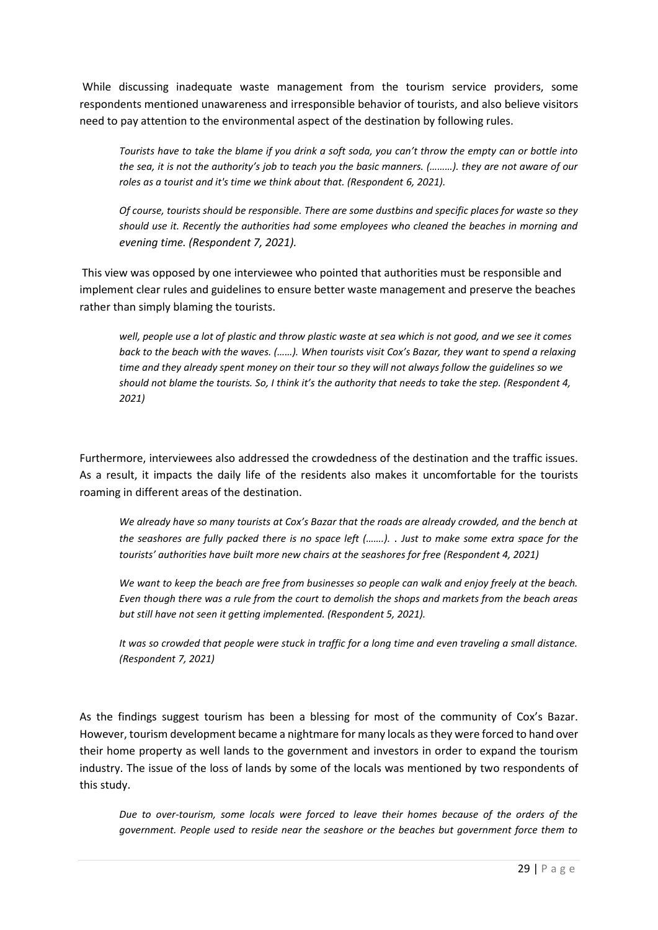While discussing inadequate waste management from the tourism service providers, some respondents mentioned unawareness and irresponsible behavior of tourists, and also believe visitors need to pay attention to the environmental aspect of the destination by following rules.

*Tourists have to take the blame if you drink a soft soda, you can't throw the empty can or bottle into the sea, it is not the authority's job to teach you the basic manners. (………). they are not aware of our roles as a tourist and it's time we think about that. (Respondent 6, 2021).*

*Of course, tourists should be responsible. There are some dustbins and specific places for waste so they should use it. Recently the authorities had some employees who cleaned the beaches in morning and evening time. (Respondent 7, 2021).*

This view was opposed by one interviewee who pointed that authorities must be responsible and implement clear rules and guidelines to ensure better waste management and preserve the beaches rather than simply blaming the tourists.

*well, people use a lot of plastic and throw plastic waste at sea which is not good, and we see it comes back to the beach with the waves. (……). When tourists visit Cox's Bazar, they want to spend a relaxing time and they already spent money on their tour so they will not always follow the guidelines so we should not blame the tourists. So, I think it's the authority that needs to take the step. (Respondent 4, 2021)*

Furthermore, interviewees also addressed the crowdedness of the destination and the traffic issues. As a result, it impacts the daily life of the residents also makes it uncomfortable for the tourists roaming in different areas of the destination.

*We already have so many tourists at Cox's Bazar that the roads are already crowded, and the bench at the seashores are fully packed there is no space left (…….).* . *Just to make some extra space for the tourists' authorities have built more new chairs at the seashores for free (Respondent 4, 2021)*

*We want to keep the beach are free from businesses so people can walk and enjoy freely at the beach. Even though there was a rule from the court to demolish the shops and markets from the beach areas but still have not seen it getting implemented. (Respondent 5, 2021).* 

*It was so crowded that people were stuck in traffic for a long time and even traveling a small distance. (Respondent 7, 2021)*

As the findings suggest tourism has been a blessing for most of the community of Cox's Bazar. However, tourism development became a nightmare for many locals as they were forced to hand over their home property as well lands to the government and investors in order to expand the tourism industry. The issue of the loss of lands by some of the locals was mentioned by two respondents of this study.

*Due to over-tourism, some locals were forced to leave their homes because of the orders of the government. People used to reside near the seashore or the beaches but government force them to*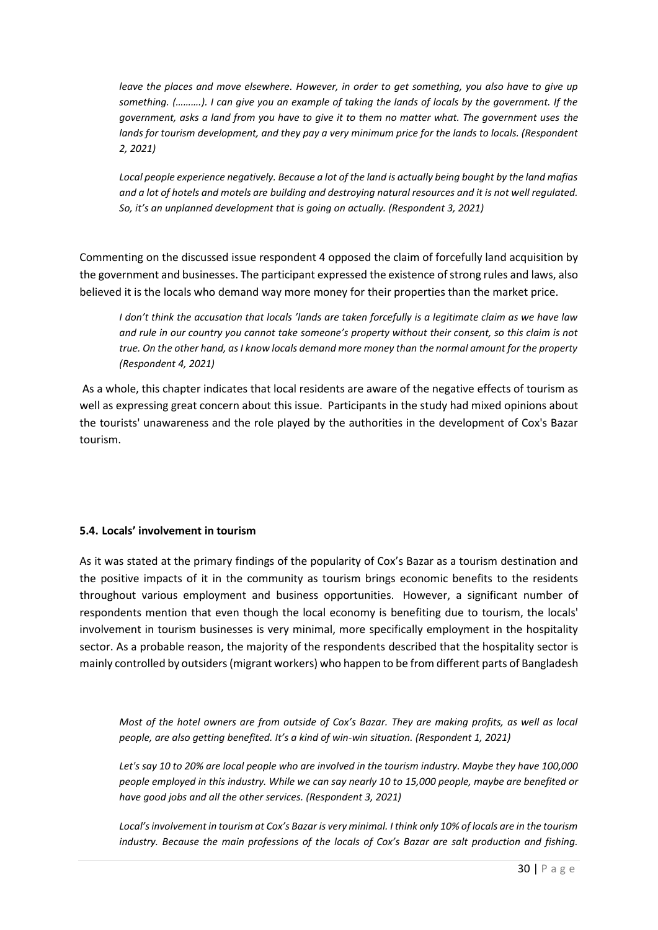*leave the places and move elsewhere. However, in order to get something, you also have to give up something. (……….). I can give you an example of taking the lands of locals by the government. If the government, asks a land from you have to give it to them no matter what. The government uses the lands for tourism development, and they pay a very minimum price for the lands to locals. (Respondent 2, 2021)*

*Local people experience negatively. Because a lot of the land is actually being bought by the land mafias and a lot of hotels and motels are building and destroying natural resources and it is not well regulated. So, it's an unplanned development that is going on actually. (Respondent 3, 2021)*

Commenting on the discussed issue respondent 4 opposed the claim of forcefully land acquisition by the government and businesses. The participant expressed the existence of strong rules and laws, also believed it is the locals who demand way more money for their properties than the market price.

*I don't think the accusation that locals 'lands are taken forcefully is a legitimate claim as we have law and rule in our country you cannot take someone's property without their consent, so this claim is not true. On the other hand, as I know locals demand more money than the normal amount for the property (Respondent 4, 2021)*

As a whole, this chapter indicates that local residents are aware of the negative effects of tourism as well as expressing great concern about this issue. Participants in the study had mixed opinions about the tourists' unawareness and the role played by the authorities in the development of Cox's Bazar tourism.

### **5.4. Locals' involvement in tourism**

As it was stated at the primary findings of the popularity of Cox's Bazar as a tourism destination and the positive impacts of it in the community as tourism brings economic benefits to the residents throughout various employment and business opportunities. However, a significant number of respondents mention that even though the local economy is benefiting due to tourism, the locals' involvement in tourism businesses is very minimal, more specifically employment in the hospitality sector. As a probable reason, the majority of the respondents described that the hospitality sector is mainly controlled by outsiders (migrant workers) who happen to be from different parts of Bangladesh

*Most of the hotel owners are from outside of Cox's Bazar. They are making profits, as well as local people, are also getting benefited. It's a kind of win-win situation. (Respondent 1, 2021)*

*Let's say 10 to 20% are local people who are involved in the tourism industry. Maybe they have 100,000 people employed in this industry. While we can say nearly 10 to 15,000 people, maybe are benefited or have good jobs and all the other services. (Respondent 3, 2021)*

*Local's involvement in tourism at Cox's Bazar is very minimal. I think only 10% of locals are in the tourism industry. Because the main professions of the locals of Cox's Bazar are salt production and fishing.*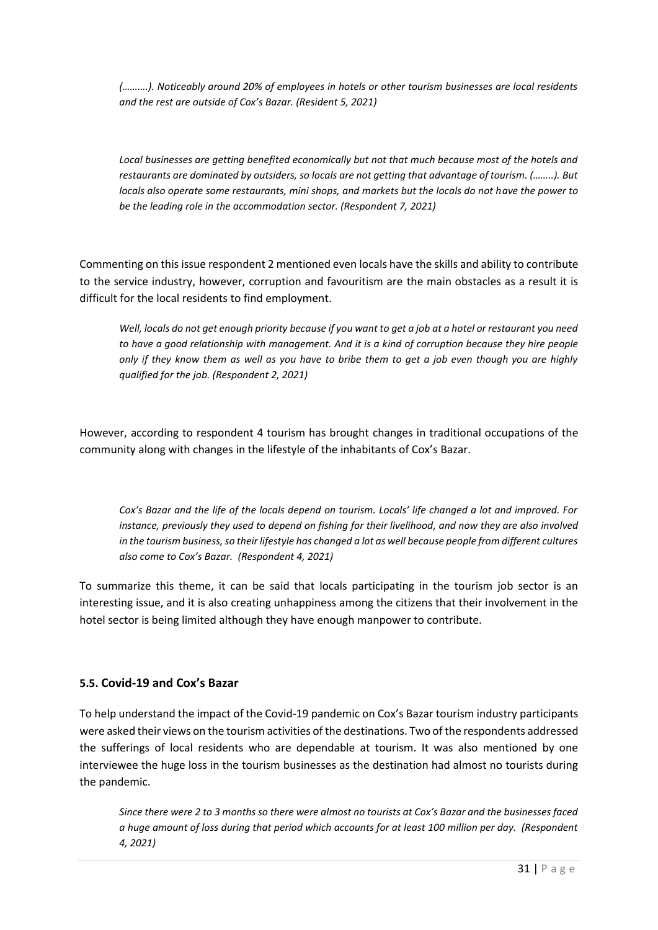*(……….). Noticeably around 20% of employees in hotels or other tourism businesses are local residents and the rest are outside of Cox's Bazar. (Resident 5, 2021)*

*Local businesses are getting benefited economically but not that much because most of the hotels and restaurants are dominated by outsiders, so locals are not getting that advantage of tourism. (……..). But locals also operate some restaurants, mini shops, and markets but the locals do not have the power to be the leading role in the accommodation sector. (Respondent 7, 2021)*

Commenting on this issue respondent 2 mentioned even locals have the skills and ability to contribute to the service industry, however, corruption and favouritism are the main obstacles as a result it is difficult for the local residents to find employment.

*Well, locals do not get enough priority because if you want to get a job at a hotel or restaurant you need to have a good relationship with management. And it is a kind of corruption because they hire people only if they know them as well as you have to bribe them to get a job even though you are highly qualified for the job. (Respondent 2, 2021)*

However, according to respondent 4 tourism has brought changes in traditional occupations of the community along with changes in the lifestyle of the inhabitants of Cox's Bazar.

*Cox's Bazar and the life of the locals depend on tourism. Locals' life changed a lot and improved. For instance, previously they used to depend on fishing for their livelihood, and now they are also involved in the tourism business, so their lifestyle has changed a lot as well because people from different cultures also come to Cox's Bazar. (Respondent 4, 2021)*

To summarize this theme, it can be said that locals participating in the tourism job sector is an interesting issue, and it is also creating unhappiness among the citizens that their involvement in the hotel sector is being limited although they have enough manpower to contribute.

### **5.5. Covid-19 and Cox's Bazar**

To help understand the impact of the Covid-19 pandemic on Cox's Bazar tourism industry participants were asked their views on the tourism activities of the destinations. Two of the respondents addressed the sufferings of local residents who are dependable at tourism. It was also mentioned by one interviewee the huge loss in the tourism businesses as the destination had almost no tourists during the pandemic.

*Since there were 2 to 3 months so there were almost no tourists at Cox's Bazar and the businesses faced a huge amount of loss during that period which accounts for at least 100 million per day. (Respondent 4, 2021)*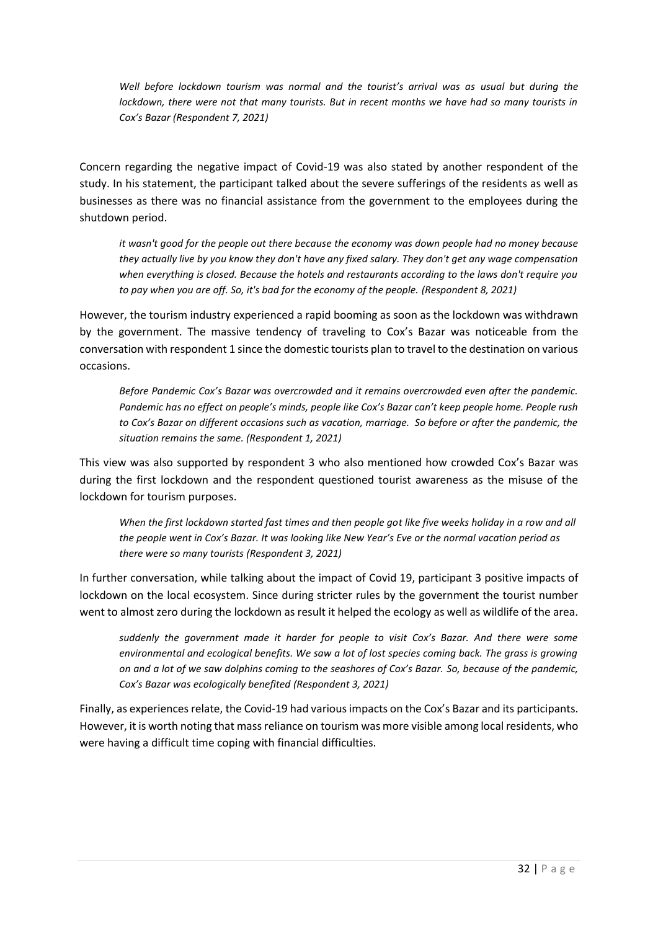*Well before lockdown tourism was normal and the tourist's arrival was as usual but during the lockdown, there were not that many tourists. But in recent months we have had so many tourists in Cox's Bazar (Respondent 7, 2021)*

Concern regarding the negative impact of Covid-19 was also stated by another respondent of the study. In his statement, the participant talked about the severe sufferings of the residents as well as businesses as there was no financial assistance from the government to the employees during the shutdown period.

*it wasn't good for the people out there because the economy was down people had no money because they actually live by you know they don't have any fixed salary. They don't get any wage compensation when everything is closed. Because the hotels and restaurants according to the laws don't require you to pay when you are off. So, it's bad for the economy of the people. (Respondent 8, 2021)*

However, the tourism industry experienced a rapid booming as soon as the lockdown was withdrawn by the government. The massive tendency of traveling to Cox's Bazar was noticeable from the conversation with respondent 1 since the domestic tourists plan to travel to the destination on various occasions.

*Before Pandemic Cox's Bazar was overcrowded and it remains overcrowded even after the pandemic. Pandemic has no effect on people's minds, people like Cox's Bazar can't keep people home. People rush to Cox's Bazar on different occasions such as vacation, marriage. So before or after the pandemic, the situation remains the same. (Respondent 1, 2021)*

This view was also supported by respondent 3 who also mentioned how crowded Cox's Bazar was during the first lockdown and the respondent questioned tourist awareness as the misuse of the lockdown for tourism purposes.

*When the first lockdown started fast times and then people got like five weeks holiday in a row and all the people went in Cox's Bazar. It was looking like New Year's Eve or the normal vacation period as there were so many tourists (Respondent 3, 2021)*

In further conversation, while talking about the impact of Covid 19, participant 3 positive impacts of lockdown on the local ecosystem. Since during stricter rules by the government the tourist number went to almost zero during the lockdown as result it helped the ecology as well as wildlife of the area.

*suddenly the government made it harder for people to visit Cox's Bazar. And there were some environmental and ecological benefits. We saw a lot of lost species coming back. The grass is growing on and a lot of we saw dolphins coming to the seashores of Cox's Bazar. So, because of the pandemic, Cox's Bazar was ecologically benefited (Respondent 3, 2021)*

Finally, as experiences relate, the Covid-19 had various impacts on the Cox's Bazar and its participants. However, it is worth noting that mass reliance on tourism was more visible among local residents, who were having a difficult time coping with financial difficulties.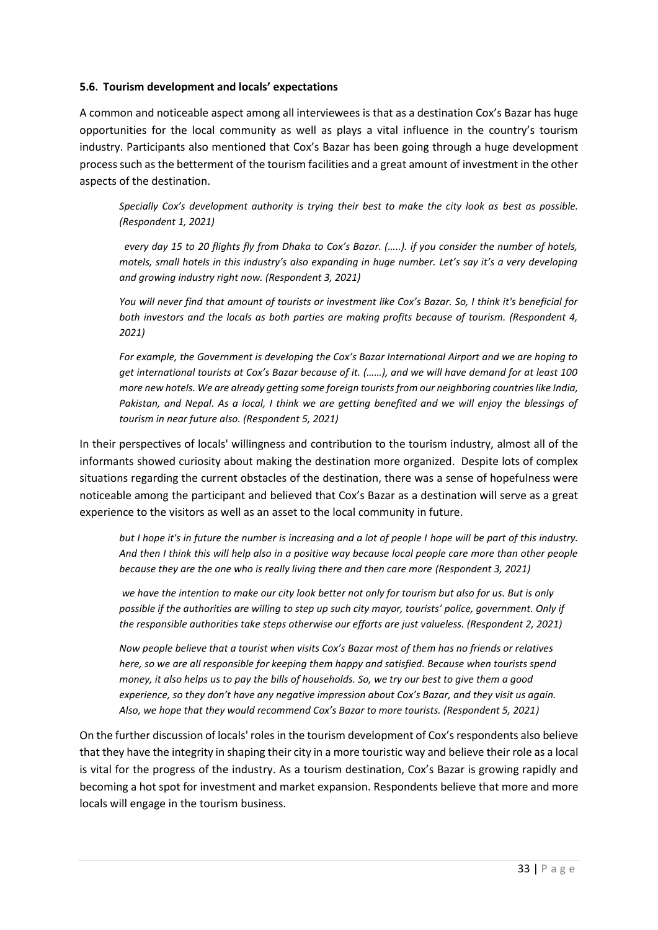#### **5.6. Tourism development and locals' expectations**

A common and noticeable aspect among all interviewees is that as a destination Cox's Bazar has huge opportunities for the local community as well as plays a vital influence in the country's tourism industry. Participants also mentioned that Cox's Bazar has been going through a huge development process such as the betterment of the tourism facilities and a great amount of investment in the other aspects of the destination.

*Specially Cox's development authority is trying their best to make the city look as best as possible. (Respondent 1, 2021)*

*every day 15 to 20 flights fly from Dhaka to Cox's Bazar. (…..). if you consider the number of hotels, motels, small hotels in this industry's also expanding in huge number. Let's say it's a very developing and growing industry right now. (Respondent 3, 2021)*

*You will never find that amount of tourists or investment like Cox's Bazar. So, I think it's beneficial for both investors and the locals as both parties are making profits because of tourism. (Respondent 4, 2021)*

*For example, the Government is developing the Cox's Bazar International Airport and we are hoping to get international tourists at Cox's Bazar because of it. (……), and we will have demand for at least 100 more new hotels. We are already getting some foreign tourists from our neighboring countries like India, Pakistan, and Nepal. As a local, I think we are getting benefited and we will enjoy the blessings of tourism in near future also. (Respondent 5, 2021)*

In their perspectives of locals' willingness and contribution to the tourism industry, almost all of the informants showed curiosity about making the destination more organized. Despite lots of complex situations regarding the current obstacles of the destination, there was a sense of hopefulness were noticeable among the participant and believed that Cox's Bazar as a destination will serve as a great experience to the visitors as well as an asset to the local community in future.

*but I hope it's in future the number is increasing and a lot of people I hope will be part of this industry. And then I think this will help also in a positive way because local people care more than other people because they are the one who is really living there and then care more (Respondent 3, 2021)*

*we have the intention to make our city look better not only for tourism but also for us. But is only possible if the authorities are willing to step up such city mayor, tourists' police, government. Only if the responsible authorities take steps otherwise our efforts are just valueless. (Respondent 2, 2021)*

*Now people believe that a tourist when visits Cox's Bazar most of them has no friends or relatives here, so we are all responsible for keeping them happy and satisfied. Because when tourists spend money, it also helps us to pay the bills of households. So, we try our best to give them a good experience, so they don't have any negative impression about Cox's Bazar, and they visit us again. Also, we hope that they would recommend Cox's Bazar to more tourists. (Respondent 5, 2021)* 

On the further discussion of locals' roles in the tourism development of Cox's respondents also believe that they have the integrity in shaping their city in a more touristic way and believe their role as a local is vital for the progress of the industry. As a tourism destination, Cox's Bazar is growing rapidly and becoming a hot spot for investment and market expansion. Respondents believe that more and more locals will engage in the tourism business.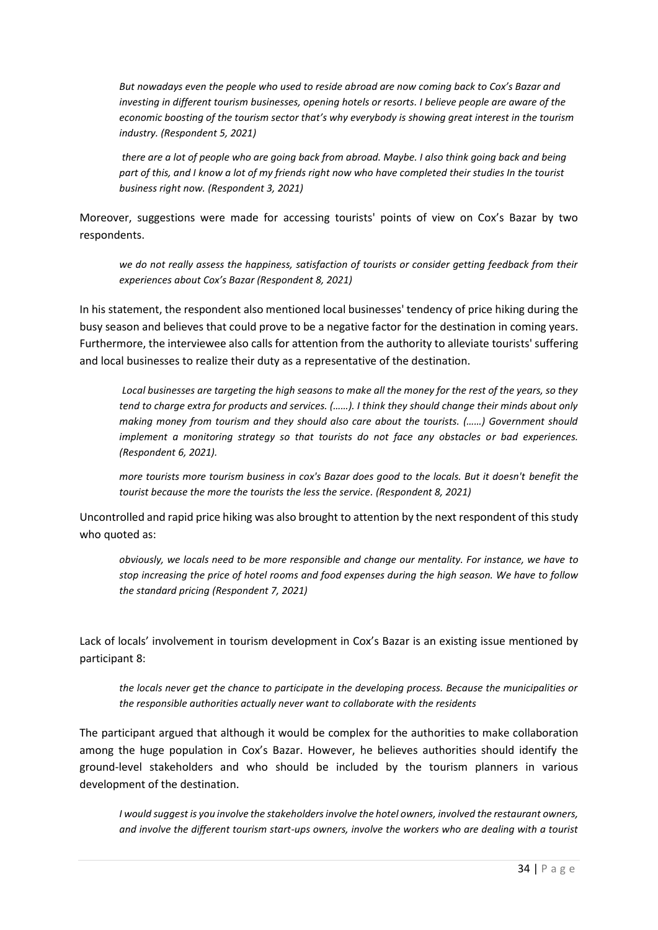*But nowadays even the people who used to reside abroad are now coming back to Cox's Bazar and investing in different tourism businesses, opening hotels or resorts. I believe people are aware of the economic boosting of the tourism sector that's why everybody is showing great interest in the tourism industry. (Respondent 5, 2021)*

*there are a lot of people who are going back from abroad. Maybe. I also think going back and being part of this, and I know a lot of my friends right now who have completed their studies In the tourist business right now. (Respondent 3, 2021)*

Moreover, suggestions were made for accessing tourists' points of view on Cox's Bazar by two respondents.

*we do not really assess the happiness, satisfaction of tourists or consider getting feedback from their experiences about Cox's Bazar (Respondent 8, 2021)*

In his statement, the respondent also mentioned local businesses' tendency of price hiking during the busy season and believes that could prove to be a negative factor for the destination in coming years. Furthermore, the interviewee also calls for attention from the authority to alleviate tourists' suffering and local businesses to realize their duty as a representative of the destination.

*Local businesses are targeting the high seasons to make all the money for the rest of the years, so they tend to charge extra for products and services. (……). I think they should change their minds about only making money from tourism and they should also care about the tourists. (……) Government should implement a monitoring strategy so that tourists do not face any obstacles or bad experiences. (Respondent 6, 2021).* 

*more tourists more tourism business in cox's Bazar does good to the locals. But it doesn't benefit the tourist because the more the tourists the less the service. (Respondent 8, 2021)*

Uncontrolled and rapid price hiking was also brought to attention by the next respondent of this study who quoted as:

*obviously, we locals need to be more responsible and change our mentality. For instance, we have to stop increasing the price of hotel rooms and food expenses during the high season. We have to follow the standard pricing (Respondent 7, 2021)*

Lack of locals' involvement in tourism development in Cox's Bazar is an existing issue mentioned by participant 8:

*the locals never get the chance to participate in the developing process. Because the municipalities or the responsible authorities actually never want to collaborate with the residents* 

The participant argued that although it would be complex for the authorities to make collaboration among the huge population in Cox's Bazar. However, he believes authorities should identify the ground-level stakeholders and who should be included by the tourism planners in various development of the destination.

*I would suggest is you involve the stakeholders involve the hotel owners, involved the restaurant owners, and involve the different tourism start-ups owners, involve the workers who are dealing with a tourist*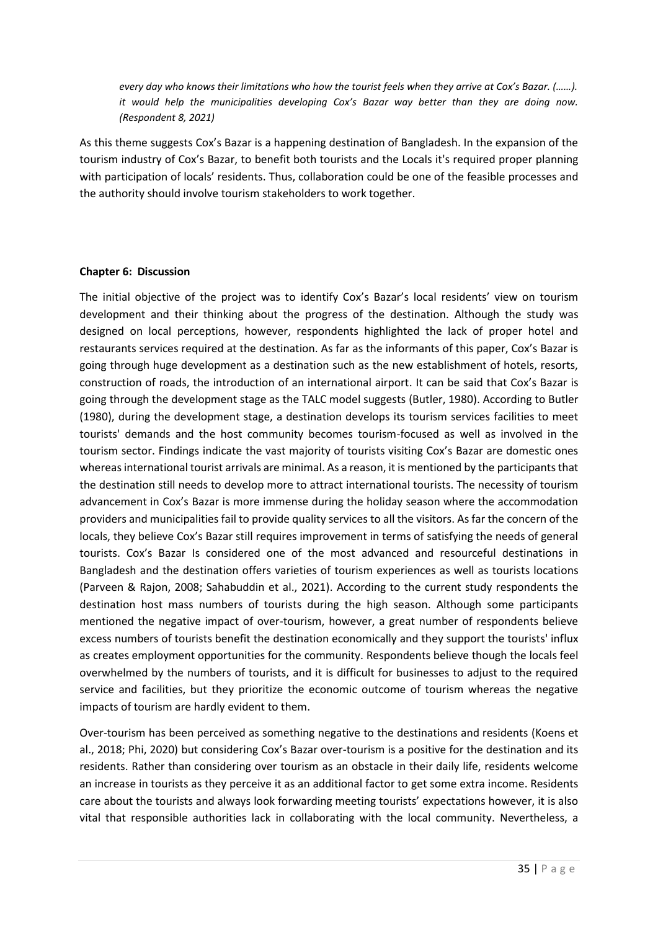*every day who knows their limitations who how the tourist feels when they arrive at Cox's Bazar. (……). it would help the municipalities developing Cox's Bazar way better than they are doing now. (Respondent 8, 2021)*

As this theme suggests Cox's Bazar is a happening destination of Bangladesh. In the expansion of the tourism industry of Cox's Bazar, to benefit both tourists and the Locals it's required proper planning with participation of locals' residents. Thus, collaboration could be one of the feasible processes and the authority should involve tourism stakeholders to work together.

#### **Chapter 6: Discussion**

The initial objective of the project was to identify Cox's Bazar's local residents' view on tourism development and their thinking about the progress of the destination. Although the study was designed on local perceptions, however, respondents highlighted the lack of proper hotel and restaurants services required at the destination. As far as the informants of this paper, Cox's Bazar is going through huge development as a destination such as the new establishment of hotels, resorts, construction of roads, the introduction of an international airport. It can be said that Cox's Bazar is going through the development stage as the TALC model suggests (Butler, 1980). According to Butler (1980), during the development stage, a destination develops its tourism services facilities to meet tourists' demands and the host community becomes tourism-focused as well as involved in the tourism sector. Findings indicate the vast majority of tourists visiting Cox's Bazar are domestic ones whereas international tourist arrivals are minimal. As a reason, it is mentioned by the participants that the destination still needs to develop more to attract international tourists. The necessity of tourism advancement in Cox's Bazar is more immense during the holiday season where the accommodation providers and municipalities fail to provide quality services to all the visitors. As far the concern of the locals, they believe Cox's Bazar still requires improvement in terms of satisfying the needs of general tourists. Cox's Bazar Is considered one of the most advanced and resourceful destinations in Bangladesh and the destination offers varieties of tourism experiences as well as tourists locations (Parveen & Rajon, 2008; Sahabuddin et al., 2021). According to the current study respondents the destination host mass numbers of tourists during the high season. Although some participants mentioned the negative impact of over-tourism, however, a great number of respondents believe excess numbers of tourists benefit the destination economically and they support the tourists' influx as creates employment opportunities for the community. Respondents believe though the locals feel overwhelmed by the numbers of tourists, and it is difficult for businesses to adjust to the required service and facilities, but they prioritize the economic outcome of tourism whereas the negative impacts of tourism are hardly evident to them.

Over-tourism has been perceived as something negative to the destinations and residents (Koens et al., 2018; Phi, 2020) but considering Cox's Bazar over-tourism is a positive for the destination and its residents. Rather than considering over tourism as an obstacle in their daily life, residents welcome an increase in tourists as they perceive it as an additional factor to get some extra income. Residents care about the tourists and always look forwarding meeting tourists' expectations however, it is also vital that responsible authorities lack in collaborating with the local community. Nevertheless, a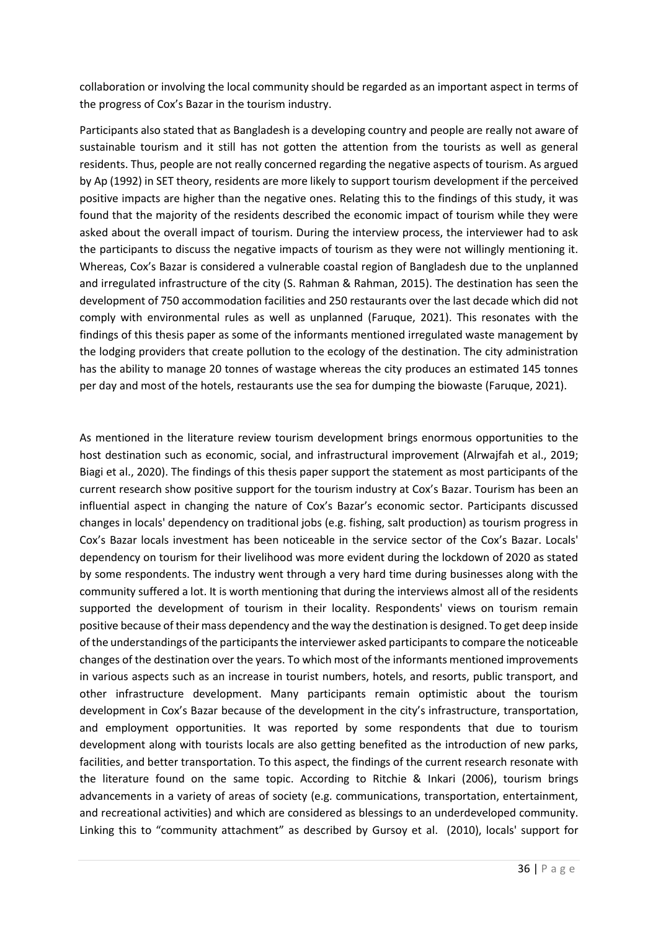collaboration or involving the local community should be regarded as an important aspect in terms of the progress of Cox's Bazar in the tourism industry.

Participants also stated that as Bangladesh is a developing country and people are really not aware of sustainable tourism and it still has not gotten the attention from the tourists as well as general residents. Thus, people are not really concerned regarding the negative aspects of tourism. As argued by Ap (1992) in SET theory, residents are more likely to support tourism development if the perceived positive impacts are higher than the negative ones. Relating this to the findings of this study, it was found that the majority of the residents described the economic impact of tourism while they were asked about the overall impact of tourism. During the interview process, the interviewer had to ask the participants to discuss the negative impacts of tourism as they were not willingly mentioning it. Whereas, Cox's Bazar is considered a vulnerable coastal region of Bangladesh due to the unplanned and irregulated infrastructure of the city (S. Rahman & Rahman, 2015). The destination has seen the development of 750 accommodation facilities and 250 restaurants over the last decade which did not comply with environmental rules as well as unplanned (Faruque, 2021). This resonates with the findings of this thesis paper as some of the informants mentioned irregulated waste management by the lodging providers that create pollution to the ecology of the destination. The city administration has the ability to manage 20 tonnes of wastage whereas the city produces an estimated 145 tonnes per day and most of the hotels, restaurants use the sea for dumping the biowaste (Faruque, 2021).

As mentioned in the literature review tourism development brings enormous opportunities to the host destination such as economic, social, and infrastructural improvement (Alrwajfah et al., 2019; Biagi et al., 2020). The findings of this thesis paper support the statement as most participants of the current research show positive support for the tourism industry at Cox's Bazar. Tourism has been an influential aspect in changing the nature of Cox's Bazar's economic sector. Participants discussed changes in locals' dependency on traditional jobs (e.g. fishing, salt production) as tourism progress in Cox's Bazar locals investment has been noticeable in the service sector of the Cox's Bazar. Locals' dependency on tourism for their livelihood was more evident during the lockdown of 2020 as stated by some respondents. The industry went through a very hard time during businesses along with the community suffered a lot. It is worth mentioning that during the interviews almost all of the residents supported the development of tourism in their locality. Respondents' views on tourism remain positive because of their mass dependency and the way the destination is designed. To get deep inside of the understandings of the participants the interviewer asked participants to compare the noticeable changes of the destination over the years. To which most of the informants mentioned improvements in various aspects such as an increase in tourist numbers, hotels, and resorts, public transport, and other infrastructure development. Many participants remain optimistic about the tourism development in Cox's Bazar because of the development in the city's infrastructure, transportation, and employment opportunities. It was reported by some respondents that due to tourism development along with tourists locals are also getting benefited as the introduction of new parks, facilities, and better transportation. To this aspect, the findings of the current research resonate with the literature found on the same topic. According to Ritchie & Inkari (2006), tourism brings advancements in a variety of areas of society (e.g. communications, transportation, entertainment, and recreational activities) and which are considered as blessings to an underdeveloped community. Linking this to "community attachment" as described by Gursoy et al. (2010), locals' support for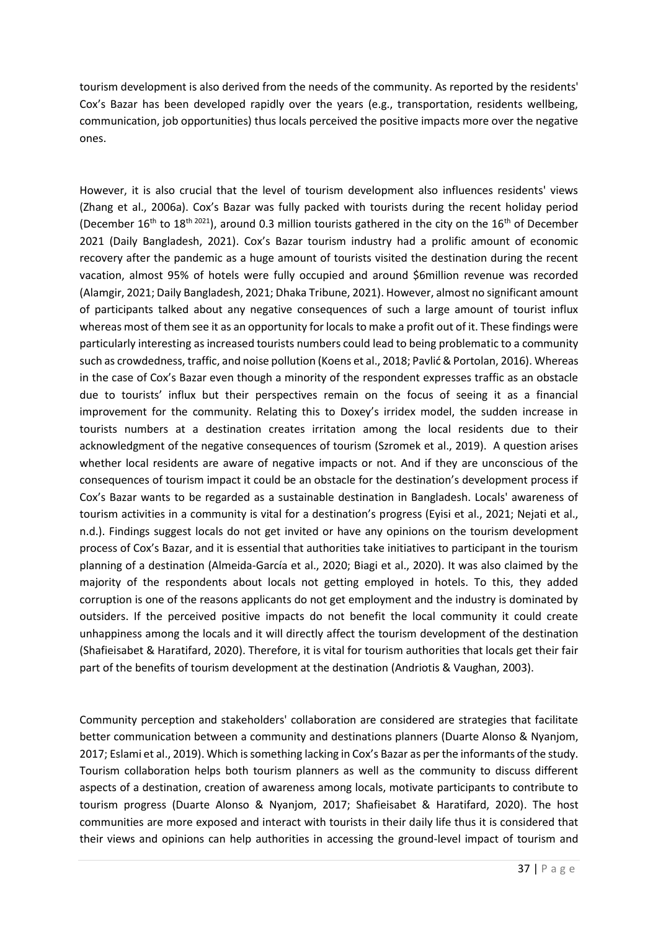tourism development is also derived from the needs of the community. As reported by the residents' Cox's Bazar has been developed rapidly over the years (e.g., transportation, residents wellbeing, communication, job opportunities) thus locals perceived the positive impacts more over the negative ones.

However, it is also crucial that the level of tourism development also influences residents' views (Zhang et al., 2006a). Cox's Bazar was fully packed with tourists during the recent holiday period (December  $16^{th}$  to  $18^{th}$   $2021$ ), around 0.3 million tourists gathered in the city on the  $16^{th}$  of December 2021 (Daily Bangladesh, 2021). Cox's Bazar tourism industry had a prolific amount of economic recovery after the pandemic as a huge amount of tourists visited the destination during the recent vacation, almost 95% of hotels were fully occupied and around \$6million revenue was recorded (Alamgir, 2021; Daily Bangladesh, 2021; Dhaka Tribune, 2021). However, almost no significant amount of participants talked about any negative consequences of such a large amount of tourist influx whereas most of them see it as an opportunity for locals to make a profit out of it. These findings were particularly interesting as increased tourists numbers could lead to being problematic to a community such as crowdedness, traffic, and noise pollution (Koens et al., 2018; Pavlić & Portolan, 2016). Whereas in the case of Cox's Bazar even though a minority of the respondent expresses traffic as an obstacle due to tourists' influx but their perspectives remain on the focus of seeing it as a financial improvement for the community. Relating this to Doxey's irridex model, the sudden increase in tourists numbers at a destination creates irritation among the local residents due to their acknowledgment of the negative consequences of tourism (Szromek et al., 2019). A question arises whether local residents are aware of negative impacts or not. And if they are unconscious of the consequences of tourism impact it could be an obstacle for the destination's development process if Cox's Bazar wants to be regarded as a sustainable destination in Bangladesh. Locals' awareness of tourism activities in a community is vital for a destination's progress (Eyisi et al., 2021; Nejati et al., n.d.). Findings suggest locals do not get invited or have any opinions on the tourism development process of Cox's Bazar, and it is essential that authorities take initiatives to participant in the tourism planning of a destination (Almeida-García et al., 2020; Biagi et al., 2020). It was also claimed by the majority of the respondents about locals not getting employed in hotels. To this, they added corruption is one of the reasons applicants do not get employment and the industry is dominated by outsiders. If the perceived positive impacts do not benefit the local community it could create unhappiness among the locals and it will directly affect the tourism development of the destination (Shafieisabet & Haratifard, 2020). Therefore, it is vital for tourism authorities that locals get their fair part of the benefits of tourism development at the destination (Andriotis & Vaughan, 2003).

Community perception and stakeholders' collaboration are considered are strategies that facilitate better communication between a community and destinations planners (Duarte Alonso & Nyanjom, 2017; Eslami et al., 2019). Which is something lacking in Cox's Bazar as per the informants of the study. Tourism collaboration helps both tourism planners as well as the community to discuss different aspects of a destination, creation of awareness among locals, motivate participants to contribute to tourism progress (Duarte Alonso & Nyanjom, 2017; Shafieisabet & Haratifard, 2020). The host communities are more exposed and interact with tourists in their daily life thus it is considered that their views and opinions can help authorities in accessing the ground-level impact of tourism and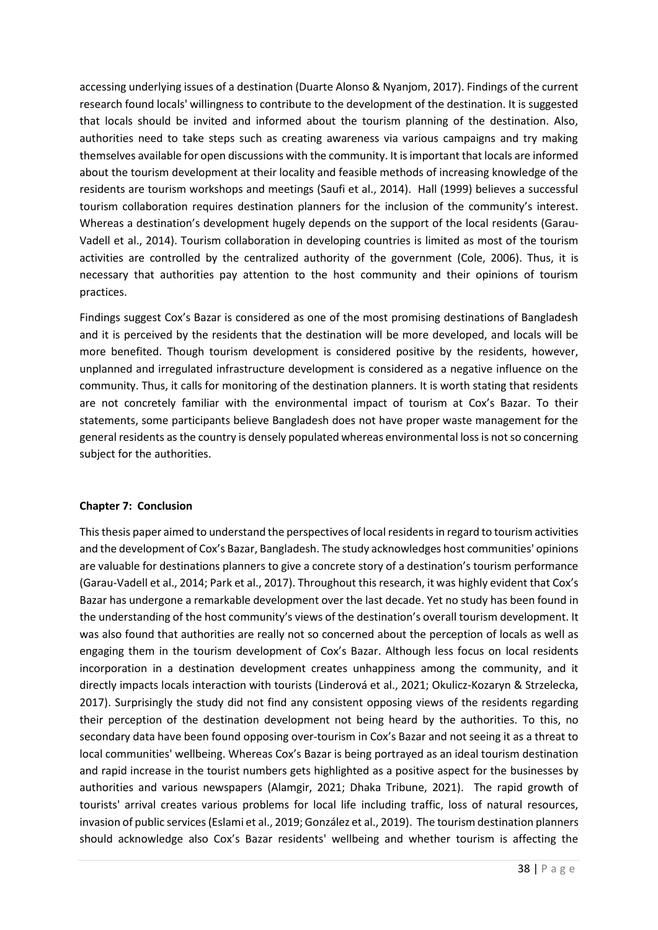accessing underlying issues of a destination (Duarte Alonso & Nyanjom, 2017). Findings of the current research found locals' willingness to contribute to the development of the destination. It is suggested that locals should be invited and informed about the tourism planning of the destination. Also, authorities need to take steps such as creating awareness via various campaigns and try making themselves available for open discussions with the community. It is important that locals are informed about the tourism development at their locality and feasible methods of increasing knowledge of the residents are tourism workshops and meetings (Saufi et al., 2014). Hall (1999) believes a successful tourism collaboration requires destination planners for the inclusion of the community's interest. Whereas a destination's development hugely depends on the support of the local residents (Garau-Vadell et al., 2014). Tourism collaboration in developing countries is limited as most of the tourism activities are controlled by the centralized authority of the government (Cole, 2006). Thus, it is necessary that authorities pay attention to the host community and their opinions of tourism practices.

Findings suggest Cox's Bazar is considered as one of the most promising destinations of Bangladesh and it is perceived by the residents that the destination will be more developed, and locals will be more benefited. Though tourism development is considered positive by the residents, however, unplanned and irregulated infrastructure development is considered as a negative influence on the community. Thus, it calls for monitoring of the destination planners. It is worth stating that residents are not concretely familiar with the environmental impact of tourism at Cox's Bazar. To their statements, some participants believe Bangladesh does not have proper waste management for the general residents as the country is densely populated whereas environmental loss is not so concerning subject for the authorities.

### **Chapter 7: Conclusion**

This thesis paper aimed to understand the perspectives of local residents in regard to tourism activities and the development of Cox's Bazar, Bangladesh. The study acknowledges host communities' opinions are valuable for destinations planners to give a concrete story of a destination's tourism performance (Garau-Vadell et al., 2014; Park et al., 2017). Throughout this research, it was highly evident that Cox's Bazar has undergone a remarkable development over the last decade. Yet no study has been found in the understanding of the host community's views of the destination's overall tourism development. It was also found that authorities are really not so concerned about the perception of locals as well as engaging them in the tourism development of Cox's Bazar. Although less focus on local residents incorporation in a destination development creates unhappiness among the community, and it directly impacts locals interaction with tourists (Linderová et al., 2021; Okulicz-Kozaryn & Strzelecka, 2017). Surprisingly the study did not find any consistent opposing views of the residents regarding their perception of the destination development not being heard by the authorities. To this, no secondary data have been found opposing over-tourism in Cox's Bazar and not seeing it as a threat to local communities' wellbeing. Whereas Cox's Bazar is being portrayed as an ideal tourism destination and rapid increase in the tourist numbers gets highlighted as a positive aspect for the businesses by authorities and various newspapers (Alamgir, 2021; Dhaka Tribune, 2021). The rapid growth of tourists' arrival creates various problems for local life including traffic, loss of natural resources, invasion of public services (Eslami et al., 2019; González et al., 2019). The tourism destination planners should acknowledge also Cox's Bazar residents' wellbeing and whether tourism is affecting the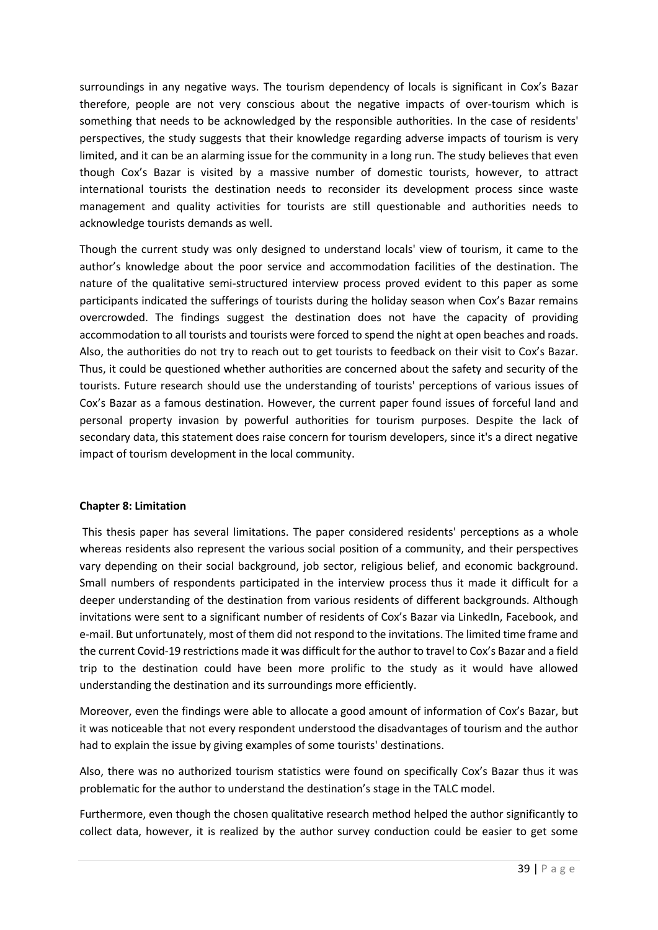surroundings in any negative ways. The tourism dependency of locals is significant in Cox's Bazar therefore, people are not very conscious about the negative impacts of over-tourism which is something that needs to be acknowledged by the responsible authorities. In the case of residents' perspectives, the study suggests that their knowledge regarding adverse impacts of tourism is very limited, and it can be an alarming issue for the community in a long run. The study believes that even though Cox's Bazar is visited by a massive number of domestic tourists, however, to attract international tourists the destination needs to reconsider its development process since waste management and quality activities for tourists are still questionable and authorities needs to acknowledge tourists demands as well.

Though the current study was only designed to understand locals' view of tourism, it came to the author's knowledge about the poor service and accommodation facilities of the destination. The nature of the qualitative semi-structured interview process proved evident to this paper as some participants indicated the sufferings of tourists during the holiday season when Cox's Bazar remains overcrowded. The findings suggest the destination does not have the capacity of providing accommodation to all tourists and tourists were forced to spend the night at open beaches and roads. Also, the authorities do not try to reach out to get tourists to feedback on their visit to Cox's Bazar. Thus, it could be questioned whether authorities are concerned about the safety and security of the tourists. Future research should use the understanding of tourists' perceptions of various issues of Cox's Bazar as a famous destination. However, the current paper found issues of forceful land and personal property invasion by powerful authorities for tourism purposes. Despite the lack of secondary data, this statement does raise concern for tourism developers, since it's a direct negative impact of tourism development in the local community.

### **Chapter 8: Limitation**

This thesis paper has several limitations. The paper considered residents' perceptions as a whole whereas residents also represent the various social position of a community, and their perspectives vary depending on their social background, job sector, religious belief, and economic background. Small numbers of respondents participated in the interview process thus it made it difficult for a deeper understanding of the destination from various residents of different backgrounds. Although invitations were sent to a significant number of residents of Cox's Bazar via LinkedIn, Facebook, and e-mail. But unfortunately, most of them did not respond to the invitations. The limited time frame and the current Covid-19 restrictions made it was difficult for the author to travel to Cox's Bazar and a field trip to the destination could have been more prolific to the study as it would have allowed understanding the destination and its surroundings more efficiently.

Moreover, even the findings were able to allocate a good amount of information of Cox's Bazar, but it was noticeable that not every respondent understood the disadvantages of tourism and the author had to explain the issue by giving examples of some tourists' destinations.

Also, there was no authorized tourism statistics were found on specifically Cox's Bazar thus it was problematic for the author to understand the destination's stage in the TALC model.

Furthermore, even though the chosen qualitative research method helped the author significantly to collect data, however, it is realized by the author survey conduction could be easier to get some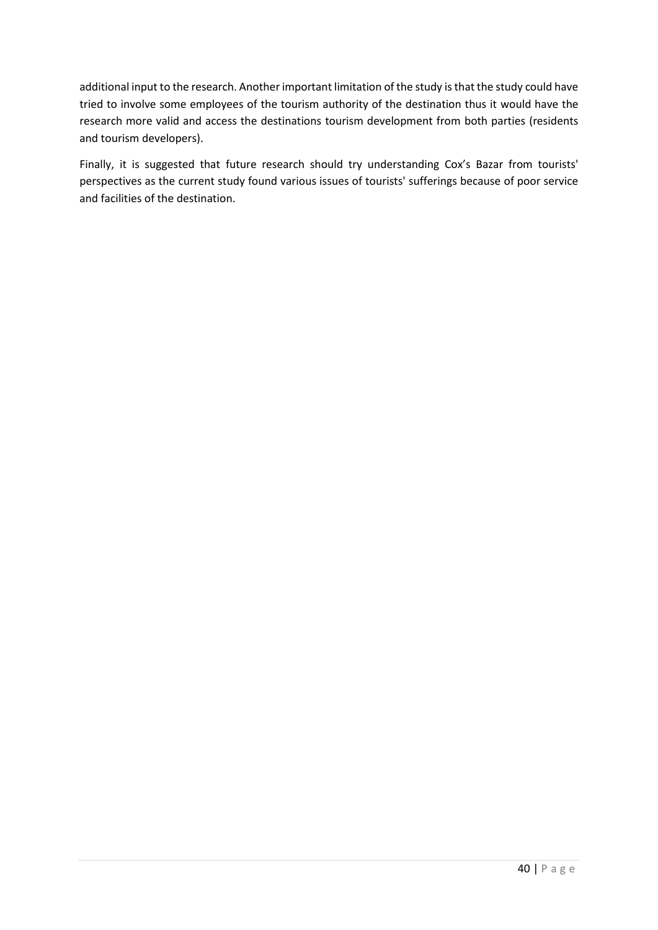additional input to the research. Another important limitation of the study is that the study could have tried to involve some employees of the tourism authority of the destination thus it would have the research more valid and access the destinations tourism development from both parties (residents and tourism developers).

Finally, it is suggested that future research should try understanding Cox's Bazar from tourists' perspectives as the current study found various issues of tourists' sufferings because of poor service and facilities of the destination.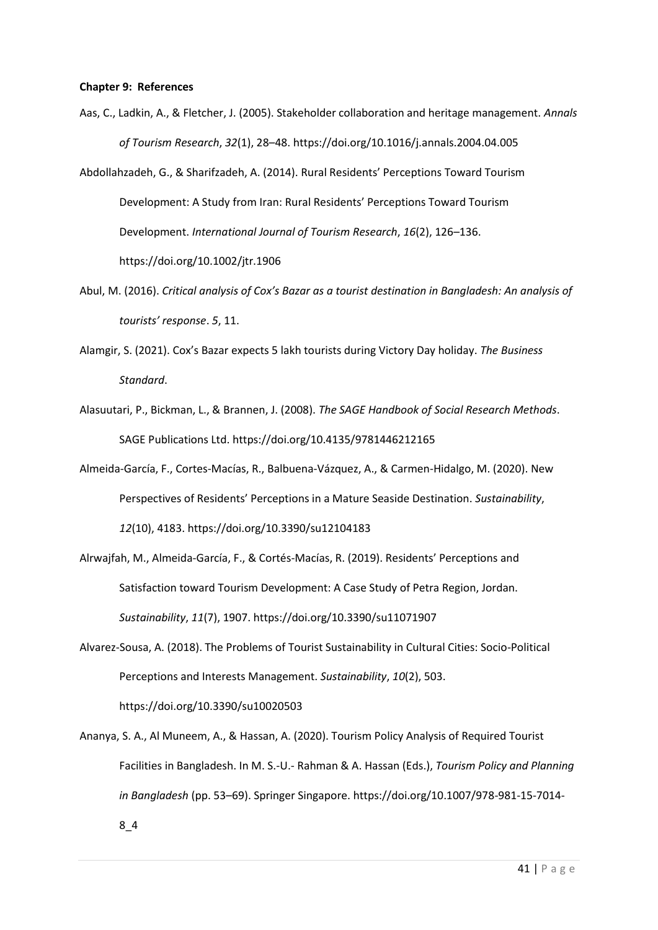#### **Chapter 9: References**

- Aas, C., Ladkin, A., & Fletcher, J. (2005). Stakeholder collaboration and heritage management. *Annals of Tourism Research*, *32*(1), 28–48. https://doi.org/10.1016/j.annals.2004.04.005
- Abdollahzadeh, G., & Sharifzadeh, A. (2014). Rural Residents' Perceptions Toward Tourism Development: A Study from Iran: Rural Residents' Perceptions Toward Tourism Development. *International Journal of Tourism Research*, *16*(2), 126–136. https://doi.org/10.1002/jtr.1906
- Abul, M. (2016). *Critical analysis of Cox's Bazar as a tourist destination in Bangladesh: An analysis of tourists' response*. *5*, 11.
- Alamgir, S. (2021). Cox's Bazar expects 5 lakh tourists during Victory Day holiday. *The Business Standard*.
- Alasuutari, P., Bickman, L., & Brannen, J. (2008). *The SAGE Handbook of Social Research Methods*. SAGE Publications Ltd. https://doi.org/10.4135/9781446212165
- Almeida-García, F., Cortes-Macías, R., Balbuena-Vázquez, A., & Carmen-Hidalgo, M. (2020). New Perspectives of Residents' Perceptions in a Mature Seaside Destination. *Sustainability*, *12*(10), 4183. https://doi.org/10.3390/su12104183
- Alrwajfah, M., Almeida-García, F., & Cortés-Macías, R. (2019). Residents' Perceptions and Satisfaction toward Tourism Development: A Case Study of Petra Region, Jordan. *Sustainability*, *11*(7), 1907. https://doi.org/10.3390/su11071907
- Alvarez-Sousa, A. (2018). The Problems of Tourist Sustainability in Cultural Cities: Socio-Political Perceptions and Interests Management. *Sustainability*, *10*(2), 503. https://doi.org/10.3390/su10020503
- Ananya, S. A., Al Muneem, A., & Hassan, A. (2020). Tourism Policy Analysis of Required Tourist Facilities in Bangladesh. In M. S.-U.- Rahman & A. Hassan (Eds.), *Tourism Policy and Planning in Bangladesh* (pp. 53–69). Springer Singapore. https://doi.org/10.1007/978-981-15-7014- 8\_4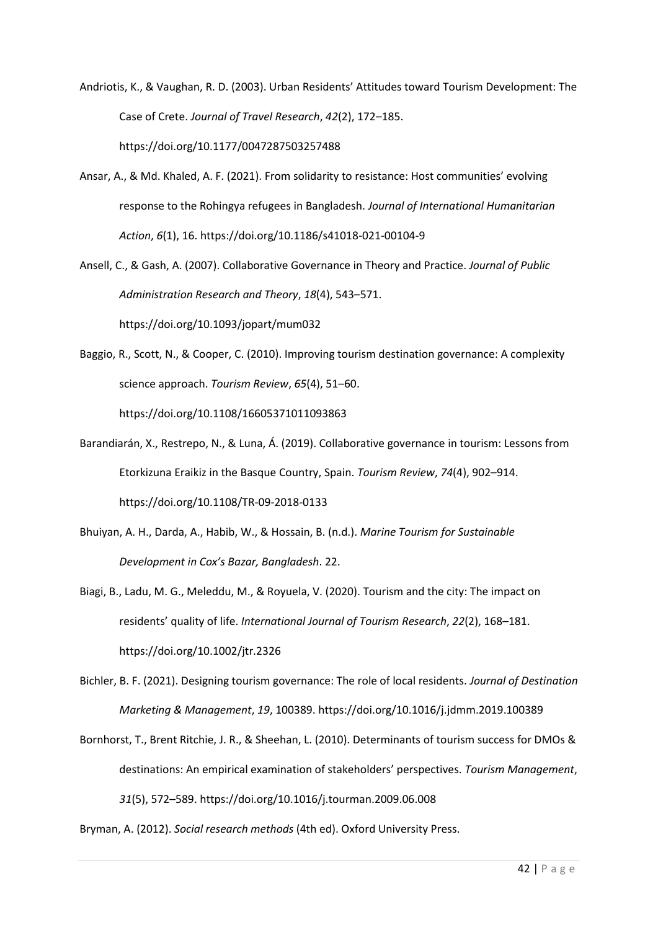Andriotis, K., & Vaughan, R. D. (2003). Urban Residents' Attitudes toward Tourism Development: The Case of Crete. *Journal of Travel Research*, *42*(2), 172–185. https://doi.org/10.1177/0047287503257488

- Ansar, A., & Md. Khaled, A. F. (2021). From solidarity to resistance: Host communities' evolving response to the Rohingya refugees in Bangladesh. *Journal of International Humanitarian Action*, *6*(1), 16. https://doi.org/10.1186/s41018-021-00104-9
- Ansell, C., & Gash, A. (2007). Collaborative Governance in Theory and Practice. *Journal of Public Administration Research and Theory*, *18*(4), 543–571.

https://doi.org/10.1093/jopart/mum032

Baggio, R., Scott, N., & Cooper, C. (2010). Improving tourism destination governance: A complexity science approach. *Tourism Review*, *65*(4), 51–60.

https://doi.org/10.1108/16605371011093863

- Barandiarán, X., Restrepo, N., & Luna, Á. (2019). Collaborative governance in tourism: Lessons from Etorkizuna Eraikiz in the Basque Country, Spain. *Tourism Review*, *74*(4), 902–914. https://doi.org/10.1108/TR-09-2018-0133
- Bhuiyan, A. H., Darda, A., Habib, W., & Hossain, B. (n.d.). *Marine Tourism for Sustainable Development in Cox's Bazar, Bangladesh*. 22.
- Biagi, B., Ladu, M. G., Meleddu, M., & Royuela, V. (2020). Tourism and the city: The impact on residents' quality of life. *International Journal of Tourism Research*, *22*(2), 168–181. https://doi.org/10.1002/jtr.2326
- Bichler, B. F. (2021). Designing tourism governance: The role of local residents. *Journal of Destination Marketing & Management*, *19*, 100389. https://doi.org/10.1016/j.jdmm.2019.100389
- Bornhorst, T., Brent Ritchie, J. R., & Sheehan, L. (2010). Determinants of tourism success for DMOs & destinations: An empirical examination of stakeholders' perspectives. *Tourism Management*, *31*(5), 572–589. https://doi.org/10.1016/j.tourman.2009.06.008

Bryman, A. (2012). *Social research methods* (4th ed). Oxford University Press.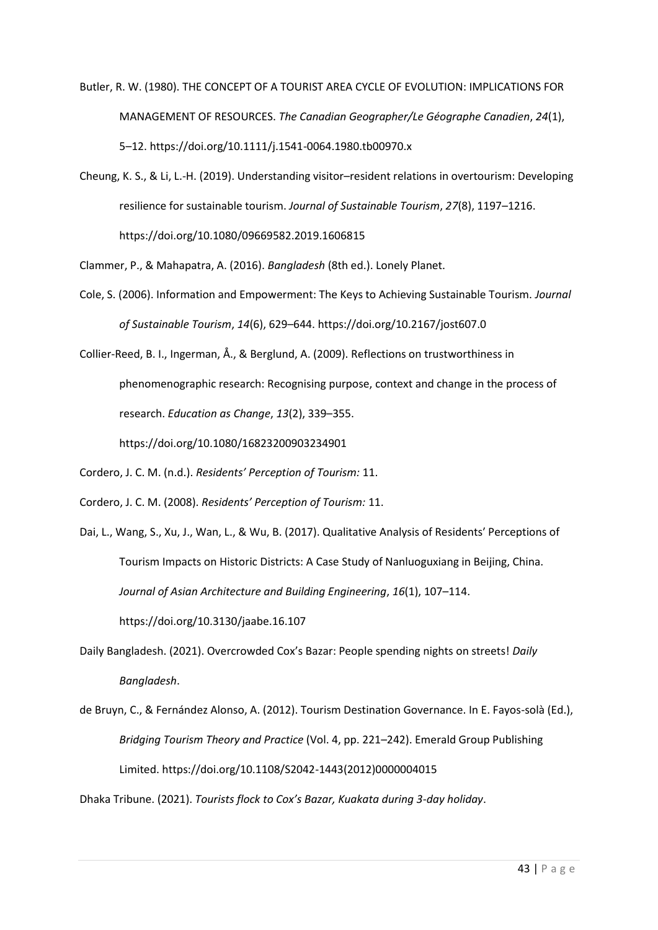- Butler, R. W. (1980). THE CONCEPT OF A TOURIST AREA CYCLE OF EVOLUTION: IMPLICATIONS FOR MANAGEMENT OF RESOURCES. *The Canadian Geographer/Le Géographe Canadien*, *24*(1), 5–12. https://doi.org/10.1111/j.1541-0064.1980.tb00970.x
- Cheung, K. S., & Li, L.-H. (2019). Understanding visitor–resident relations in overtourism: Developing resilience for sustainable tourism. *Journal of Sustainable Tourism*, *27*(8), 1197–1216. https://doi.org/10.1080/09669582.2019.1606815
- Clammer, P., & Mahapatra, A. (2016). *Bangladesh* (8th ed.). Lonely Planet.
- Cole, S. (2006). Information and Empowerment: The Keys to Achieving Sustainable Tourism. *Journal of Sustainable Tourism*, *14*(6), 629–644. https://doi.org/10.2167/jost607.0
- Collier-Reed, B. I., Ingerman, Å., & Berglund, A. (2009). Reflections on trustworthiness in phenomenographic research: Recognising purpose, context and change in the process of research. *Education as Change*, *13*(2), 339–355.

https://doi.org/10.1080/16823200903234901

- Cordero, J. C. M. (n.d.). *Residents' Perception of Tourism:* 11.
- Cordero, J. C. M. (2008). *Residents' Perception of Tourism:* 11.
- Dai, L., Wang, S., Xu, J., Wan, L., & Wu, B. (2017). Qualitative Analysis of Residents′ Perceptions of Tourism Impacts on Historic Districts: A Case Study of Nanluoguxiang in Beijing, China. *Journal of Asian Architecture and Building Engineering*, *16*(1), 107–114. https://doi.org/10.3130/jaabe.16.107
- Daily Bangladesh. (2021). Overcrowded Cox's Bazar: People spending nights on streets! *Daily Bangladesh*.
- de Bruyn, C., & Fernández Alonso, A. (2012). Tourism Destination Governance. In E. Fayos-solà (Ed.), *Bridging Tourism Theory and Practice* (Vol. 4, pp. 221–242). Emerald Group Publishing Limited. https://doi.org/10.1108/S2042-1443(2012)0000004015

Dhaka Tribune. (2021). *Tourists flock to Cox's Bazar, Kuakata during 3-day holiday*.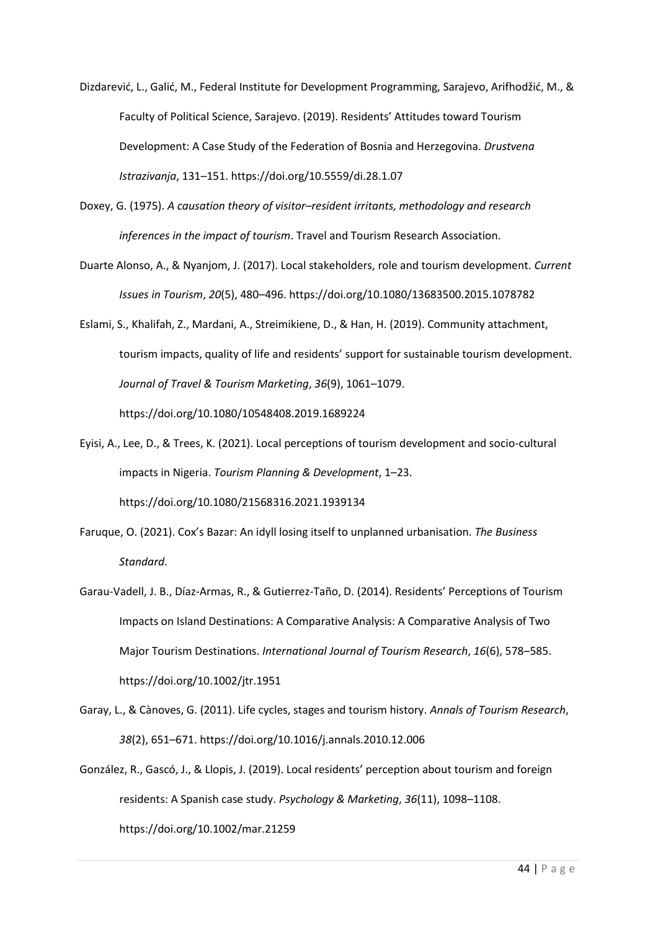- Dizdarević, L., Galić, M., Federal Institute for Development Programming, Sarajevo, Arifhodžić, M., & Faculty of Political Science, Sarajevo. (2019). Residents' Attitudes toward Tourism Development: A Case Study of the Federation of Bosnia and Herzegovina. *Drustvena Istrazivanja*, 131–151. https://doi.org/10.5559/di.28.1.07
- Doxey, G. (1975). *A causation theory of visitor–resident irritants, methodology and research inferences in the impact of tourism*. Travel and Tourism Research Association.
- Duarte Alonso, A., & Nyanjom, J. (2017). Local stakeholders, role and tourism development. *Current Issues in Tourism*, *20*(5), 480–496. https://doi.org/10.1080/13683500.2015.1078782
- Eslami, S., Khalifah, Z., Mardani, A., Streimikiene, D., & Han, H. (2019). Community attachment, tourism impacts, quality of life and residents' support for sustainable tourism development. *Journal of Travel & Tourism Marketing*, *36*(9), 1061–1079. https://doi.org/10.1080/10548408.2019.1689224
- Eyisi, A., Lee, D., & Trees, K. (2021). Local perceptions of tourism development and socio-cultural impacts in Nigeria. *Tourism Planning & Development*, 1–23.

https://doi.org/10.1080/21568316.2021.1939134

- Faruque, O. (2021). Cox's Bazar: An idyll losing itself to unplanned urbanisation. *The Business Standard*.
- Garau-Vadell, J. B., Díaz-Armas, R., & Gutierrez-Taño, D. (2014). Residents' Perceptions of Tourism Impacts on Island Destinations: A Comparative Analysis: A Comparative Analysis of Two Major Tourism Destinations. *International Journal of Tourism Research*, *16*(6), 578–585. https://doi.org/10.1002/jtr.1951
- Garay, L., & Cànoves, G. (2011). Life cycles, stages and tourism history. *Annals of Tourism Research*, *38*(2), 651–671. https://doi.org/10.1016/j.annals.2010.12.006
- González, R., Gascó, J., & Llopis, J. (2019). Local residents' perception about tourism and foreign residents: A Spanish case study. *Psychology & Marketing*, *36*(11), 1098–1108. https://doi.org/10.1002/mar.21259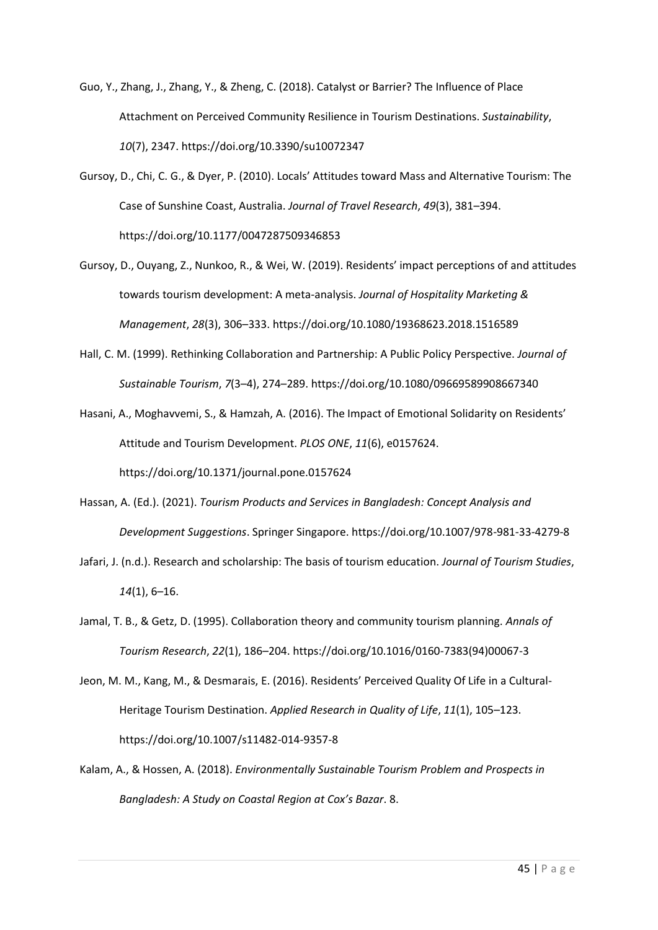- Guo, Y., Zhang, J., Zhang, Y., & Zheng, C. (2018). Catalyst or Barrier? The Influence of Place Attachment on Perceived Community Resilience in Tourism Destinations. *Sustainability*, *10*(7), 2347. https://doi.org/10.3390/su10072347
- Gursoy, D., Chi, C. G., & Dyer, P. (2010). Locals' Attitudes toward Mass and Alternative Tourism: The Case of Sunshine Coast, Australia. *Journal of Travel Research*, *49*(3), 381–394. https://doi.org/10.1177/0047287509346853
- Gursoy, D., Ouyang, Z., Nunkoo, R., & Wei, W. (2019). Residents' impact perceptions of and attitudes towards tourism development: A meta-analysis. *Journal of Hospitality Marketing & Management*, *28*(3), 306–333. https://doi.org/10.1080/19368623.2018.1516589
- Hall, C. M. (1999). Rethinking Collaboration and Partnership: A Public Policy Perspective. *Journal of Sustainable Tourism*, *7*(3–4), 274–289. https://doi.org/10.1080/09669589908667340

Hasani, A., Moghavvemi, S., & Hamzah, A. (2016). The Impact of Emotional Solidarity on Residents' Attitude and Tourism Development. *PLOS ONE*, *11*(6), e0157624. https://doi.org/10.1371/journal.pone.0157624

- Hassan, A. (Ed.). (2021). *Tourism Products and Services in Bangladesh: Concept Analysis and Development Suggestions*. Springer Singapore. https://doi.org/10.1007/978-981-33-4279-8
- Jafari, J. (n.d.). Research and scholarship: The basis of tourism education. *Journal of Tourism Studies*, *14*(1), 6–16.
- Jamal, T. B., & Getz, D. (1995). Collaboration theory and community tourism planning. *Annals of Tourism Research*, *22*(1), 186–204. https://doi.org/10.1016/0160-7383(94)00067-3
- Jeon, M. M., Kang, M., & Desmarais, E. (2016). Residents' Perceived Quality Of Life in a Cultural-Heritage Tourism Destination. *Applied Research in Quality of Life*, *11*(1), 105–123. https://doi.org/10.1007/s11482-014-9357-8
- Kalam, A., & Hossen, A. (2018). *Environmentally Sustainable Tourism Problem and Prospects in Bangladesh: A Study on Coastal Region at Cox's Bazar*. 8.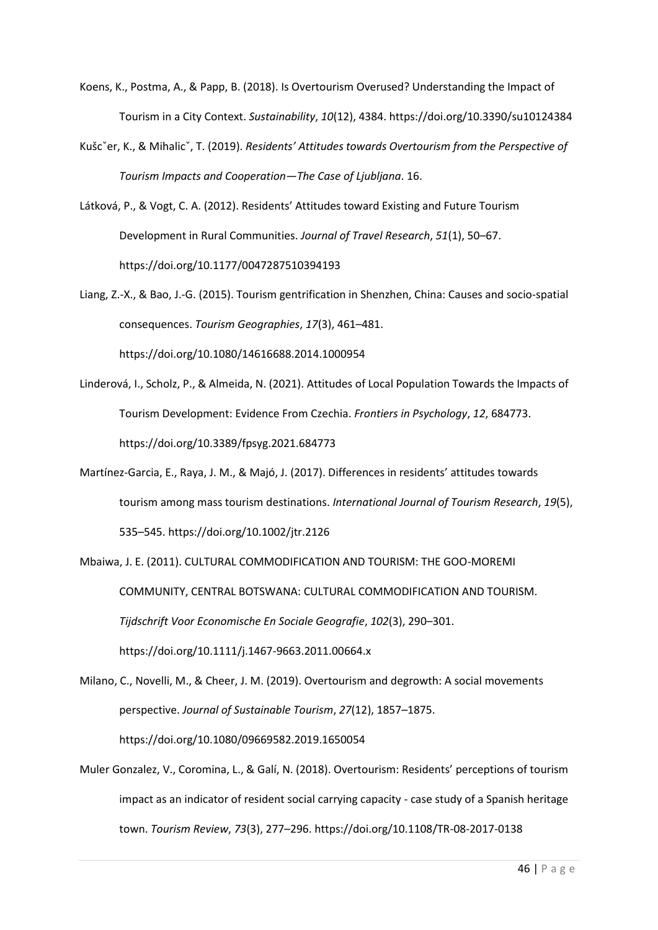- Koens, K., Postma, A., & Papp, B. (2018). Is Overtourism Overused? Understanding the Impact of Tourism in a City Context. *Sustainability*, *10*(12), 4384. https://doi.org/10.3390/su10124384
- Kušcˇer, K., & Mihalicˇ, T. (2019). *Residents' Attitudes towards Overtourism from the Perspective of Tourism Impacts and Cooperation—The Case of Ljubljana*. 16.

Látková, P., & Vogt, C. A. (2012). Residents' Attitudes toward Existing and Future Tourism Development in Rural Communities. *Journal of Travel Research*, *51*(1), 50–67. https://doi.org/10.1177/0047287510394193

Liang, Z.-X., & Bao, J.-G. (2015). Tourism gentrification in Shenzhen, China: Causes and socio-spatial consequences. *Tourism Geographies*, *17*(3), 461–481. https://doi.org/10.1080/14616688.2014.1000954

- Linderová, I., Scholz, P., & Almeida, N. (2021). Attitudes of Local Population Towards the Impacts of Tourism Development: Evidence From Czechia. *Frontiers in Psychology*, *12*, 684773. https://doi.org/10.3389/fpsyg.2021.684773
- Martínez-Garcia, E., Raya, J. M., & Majó, J. (2017). Differences in residents' attitudes towards tourism among mass tourism destinations. *International Journal of Tourism Research*, *19*(5), 535–545. https://doi.org/10.1002/jtr.2126

Mbaiwa, J. E. (2011). CULTURAL COMMODIFICATION AND TOURISM: THE GOO-MOREMI COMMUNITY, CENTRAL BOTSWANA: CULTURAL COMMODIFICATION AND TOURISM. *Tijdschrift Voor Economische En Sociale Geografie*, *102*(3), 290–301. https://doi.org/10.1111/j.1467-9663.2011.00664.x

Milano, C., Novelli, M., & Cheer, J. M. (2019). Overtourism and degrowth: A social movements perspective. *Journal of Sustainable Tourism*, *27*(12), 1857–1875. https://doi.org/10.1080/09669582.2019.1650054

Muler Gonzalez, V., Coromina, L., & Galí, N. (2018). Overtourism: Residents' perceptions of tourism impact as an indicator of resident social carrying capacity - case study of a Spanish heritage town. *Tourism Review*, *73*(3), 277–296. https://doi.org/10.1108/TR-08-2017-0138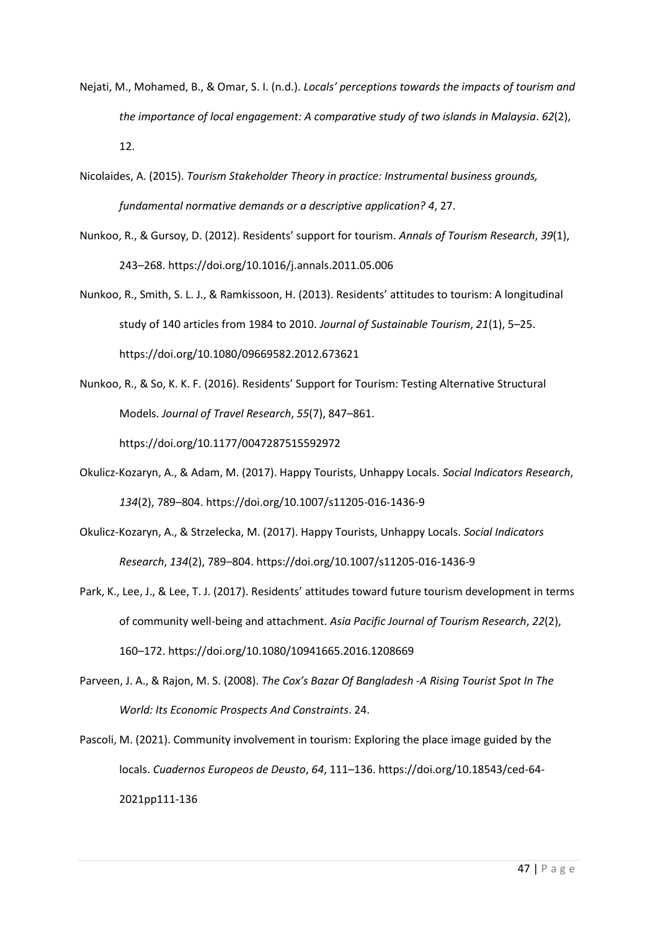- Nejati, M., Mohamed, B., & Omar, S. I. (n.d.). *Locals' perceptions towards the impacts of tourism and the importance of local engagement: A comparative study of two islands in Malaysia*. *62*(2), 12.
- Nicolaides, A. (2015). *Tourism Stakeholder Theory in practice: Instrumental business grounds, fundamental normative demands or a descriptive application? 4*, 27.
- Nunkoo, R., & Gursoy, D. (2012). Residents' support for tourism. *Annals of Tourism Research*, *39*(1), 243–268. https://doi.org/10.1016/j.annals.2011.05.006
- Nunkoo, R., Smith, S. L. J., & Ramkissoon, H. (2013). Residents' attitudes to tourism: A longitudinal study of 140 articles from 1984 to 2010. *Journal of Sustainable Tourism*, *21*(1), 5–25. https://doi.org/10.1080/09669582.2012.673621
- Nunkoo, R., & So, K. K. F. (2016). Residents' Support for Tourism: Testing Alternative Structural Models. *Journal of Travel Research*, *55*(7), 847–861. https://doi.org/10.1177/0047287515592972
- Okulicz-Kozaryn, A., & Adam, M. (2017). Happy Tourists, Unhappy Locals. *Social Indicators Research*, *134*(2), 789–804. https://doi.org/10.1007/s11205-016-1436-9
- Okulicz-Kozaryn, A., & Strzelecka, M. (2017). Happy Tourists, Unhappy Locals. *Social Indicators Research*, *134*(2), 789–804. https://doi.org/10.1007/s11205-016-1436-9
- Park, K., Lee, J., & Lee, T. J. (2017). Residents' attitudes toward future tourism development in terms of community well-being and attachment. *Asia Pacific Journal of Tourism Research*, *22*(2), 160–172. https://doi.org/10.1080/10941665.2016.1208669
- Parveen, J. A., & Rajon, M. S. (2008). *The Cox's Bazar Of Bangladesh -A Rising Tourist Spot In The World: Its Economic Prospects And Constraints*. 24.
- Pascoli, M. (2021). Community involvement in tourism: Exploring the place image guided by the locals. *Cuadernos Europeos de Deusto*, *64*, 111–136. https://doi.org/10.18543/ced-64- 2021pp111-136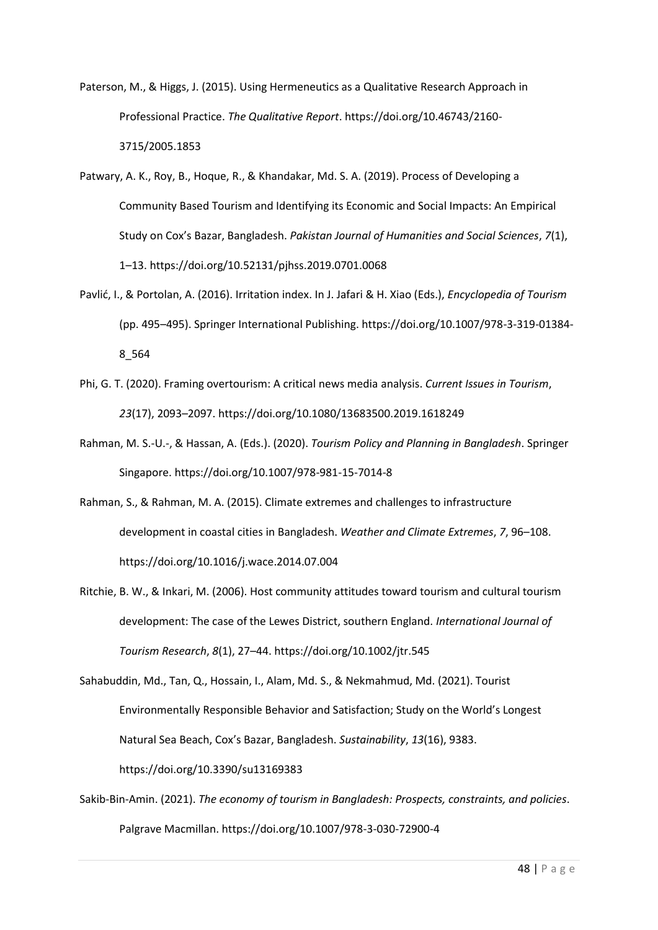Paterson, M., & Higgs, J. (2015). Using Hermeneutics as a Qualitative Research Approach in Professional Practice. *The Qualitative Report*. https://doi.org/10.46743/2160- 3715/2005.1853

- Patwary, A. K., Roy, B., Hoque, R., & Khandakar, Md. S. A. (2019). Process of Developing a Community Based Tourism and Identifying its Economic and Social Impacts: An Empirical Study on Cox's Bazar, Bangladesh. *Pakistan Journal of Humanities and Social Sciences*, *7*(1), 1–13. https://doi.org/10.52131/pjhss.2019.0701.0068
- Pavlić, I., & Portolan, A. (2016). Irritation index. In J. Jafari & H. Xiao (Eds.), *Encyclopedia of Tourism* (pp. 495–495). Springer International Publishing. https://doi.org/10.1007/978-3-319-01384- 8\_564
- Phi, G. T. (2020). Framing overtourism: A critical news media analysis. *Current Issues in Tourism*, *23*(17), 2093–2097. https://doi.org/10.1080/13683500.2019.1618249
- Rahman, M. S.-U.-, & Hassan, A. (Eds.). (2020). *Tourism Policy and Planning in Bangladesh*. Springer Singapore. https://doi.org/10.1007/978-981-15-7014-8
- Rahman, S., & Rahman, M. A. (2015). Climate extremes and challenges to infrastructure development in coastal cities in Bangladesh. *Weather and Climate Extremes*, *7*, 96–108. https://doi.org/10.1016/j.wace.2014.07.004
- Ritchie, B. W., & Inkari, M. (2006). Host community attitudes toward tourism and cultural tourism development: The case of the Lewes District, southern England. *International Journal of Tourism Research*, *8*(1), 27–44. https://doi.org/10.1002/jtr.545

Sahabuddin, Md., Tan, Q., Hossain, I., Alam, Md. S., & Nekmahmud, Md. (2021). Tourist Environmentally Responsible Behavior and Satisfaction; Study on the World's Longest Natural Sea Beach, Cox's Bazar, Bangladesh. *Sustainability*, *13*(16), 9383. https://doi.org/10.3390/su13169383

Sakib-Bin-Amin. (2021). *The economy of tourism in Bangladesh: Prospects, constraints, and policies*. Palgrave Macmillan. https://doi.org/10.1007/978-3-030-72900-4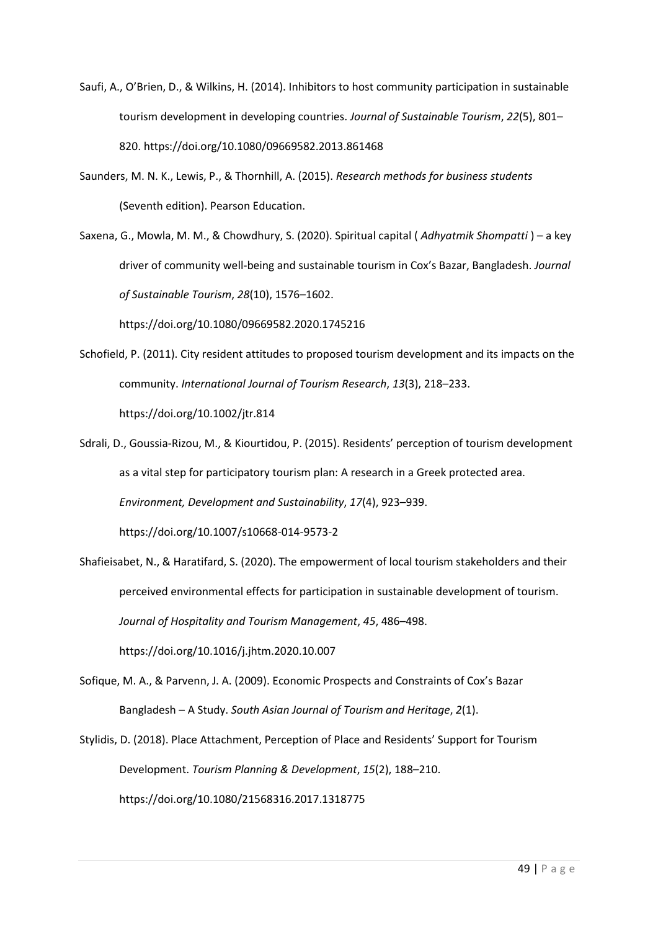- Saufi, A., O'Brien, D., & Wilkins, H. (2014). Inhibitors to host community participation in sustainable tourism development in developing countries. *Journal of Sustainable Tourism*, *22*(5), 801– 820. https://doi.org/10.1080/09669582.2013.861468
- Saunders, M. N. K., Lewis, P., & Thornhill, A. (2015). *Research methods for business students* (Seventh edition). Pearson Education.
- Saxena, G., Mowla, M. M., & Chowdhury, S. (2020). Spiritual capital ( *Adhyatmik Shompatti* ) a key driver of community well-being and sustainable tourism in Cox's Bazar, Bangladesh. *Journal of Sustainable Tourism*, *28*(10), 1576–1602.

https://doi.org/10.1080/09669582.2020.1745216

- Schofield, P. (2011). City resident attitudes to proposed tourism development and its impacts on the community. *International Journal of Tourism Research*, *13*(3), 218–233. https://doi.org/10.1002/jtr.814
- Sdrali, D., Goussia-Rizou, M., & Kiourtidou, P. (2015). Residents' perception of tourism development as a vital step for participatory tourism plan: A research in a Greek protected area. *Environment, Development and Sustainability*, *17*(4), 923–939.

https://doi.org/10.1007/s10668-014-9573-2

- Shafieisabet, N., & Haratifard, S. (2020). The empowerment of local tourism stakeholders and their perceived environmental effects for participation in sustainable development of tourism. *Journal of Hospitality and Tourism Management*, *45*, 486–498. https://doi.org/10.1016/j.jhtm.2020.10.007
- Sofique, M. A., & Parvenn, J. A. (2009). Economic Prospects and Constraints of Cox's Bazar Bangladesh – A Study. *South Asian Journal of Tourism and Heritage*, *2*(1).
- Stylidis, D. (2018). Place Attachment, Perception of Place and Residents' Support for Tourism Development. *Tourism Planning & Development*, *15*(2), 188–210. https://doi.org/10.1080/21568316.2017.1318775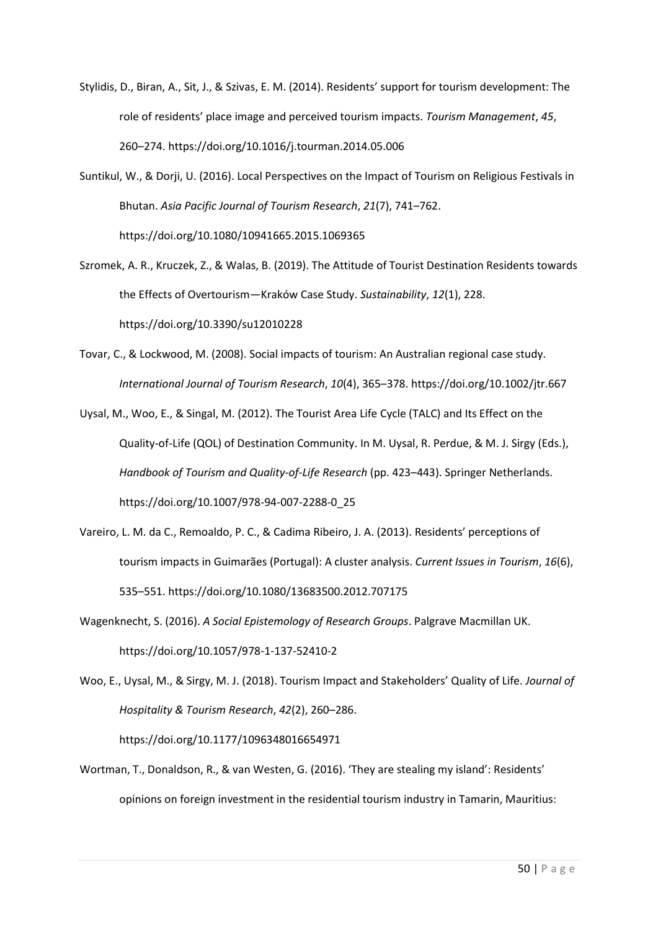- Stylidis, D., Biran, A., Sit, J., & Szivas, E. M. (2014). Residents' support for tourism development: The role of residents' place image and perceived tourism impacts. *Tourism Management*, *45*, 260–274. https://doi.org/10.1016/j.tourman.2014.05.006
- Suntikul, W., & Dorji, U. (2016). Local Perspectives on the Impact of Tourism on Religious Festivals in Bhutan. *Asia Pacific Journal of Tourism Research*, *21*(7), 741–762. https://doi.org/10.1080/10941665.2015.1069365
- Szromek, A. R., Kruczek, Z., & Walas, B. (2019). The Attitude of Tourist Destination Residents towards the Effects of Overtourism—Kraków Case Study. *Sustainability*, *12*(1), 228. https://doi.org/10.3390/su12010228
- Tovar, C., & Lockwood, M. (2008). Social impacts of tourism: An Australian regional case study. *International Journal of Tourism Research*, *10*(4), 365–378. https://doi.org/10.1002/jtr.667
- Uysal, M., Woo, E., & Singal, M. (2012). The Tourist Area Life Cycle (TALC) and Its Effect on the Quality-of-Life (QOL) of Destination Community. In M. Uysal, R. Perdue, & M. J. Sirgy (Eds.), *Handbook of Tourism and Quality-of-Life Research* (pp. 423–443). Springer Netherlands. https://doi.org/10.1007/978-94-007-2288-0\_25
- Vareiro, L. M. da C., Remoaldo, P. C., & Cadima Ribeiro, J. A. (2013). Residents' perceptions of tourism impacts in Guimarães (Portugal): A cluster analysis. *Current Issues in Tourism*, *16*(6), 535–551. https://doi.org/10.1080/13683500.2012.707175
- Wagenknecht, S. (2016). *A Social Epistemology of Research Groups*. Palgrave Macmillan UK. https://doi.org/10.1057/978-1-137-52410-2
- Woo, E., Uysal, M., & Sirgy, M. J. (2018). Tourism Impact and Stakeholders' Quality of Life. *Journal of Hospitality & Tourism Research*, *42*(2), 260–286. https://doi.org/10.1177/1096348016654971
- Wortman, T., Donaldson, R., & van Westen, G. (2016). 'They are stealing my island': Residents' opinions on foreign investment in the residential tourism industry in Tamarin, Mauritius: